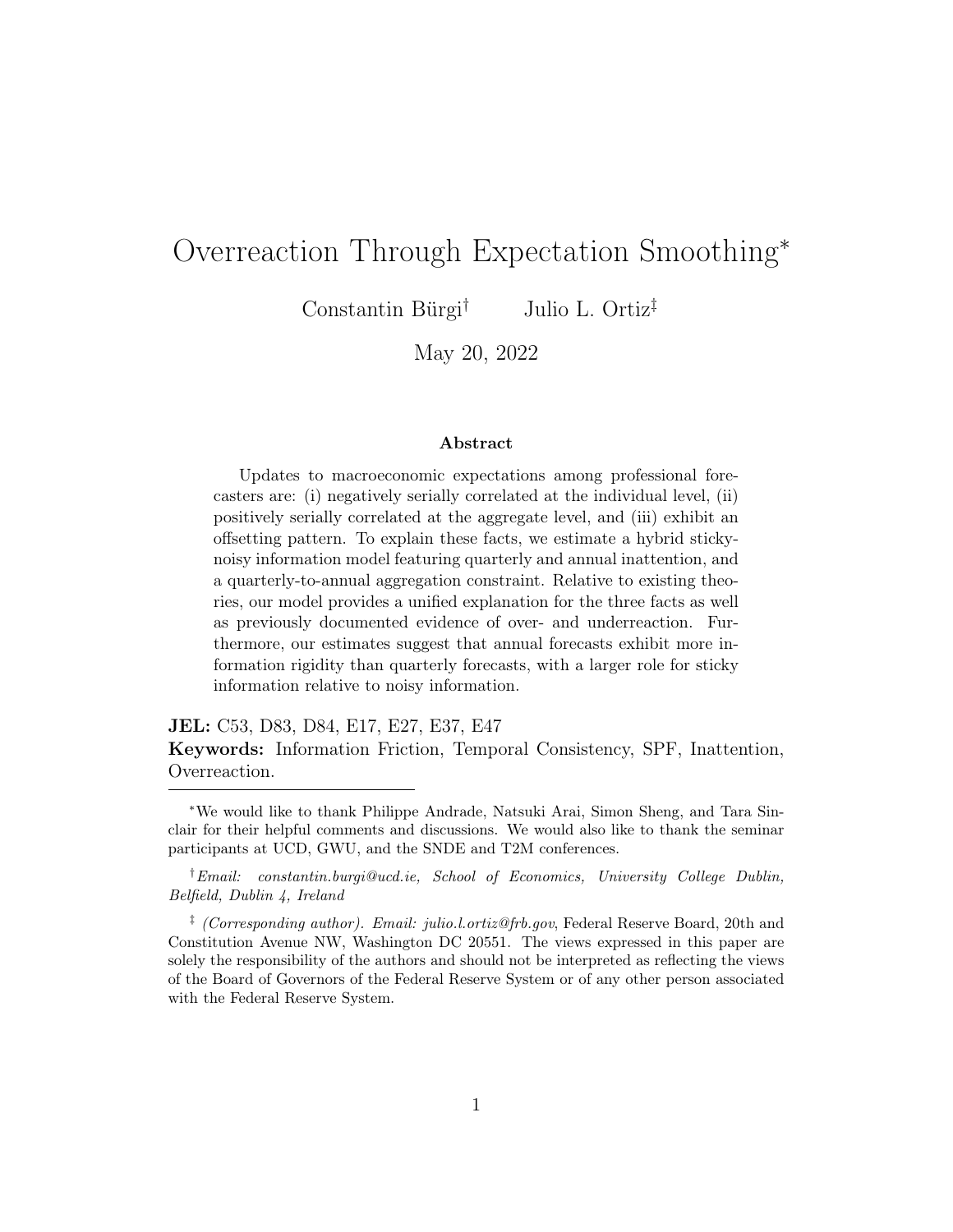# Overreaction Through Expectation Smoothing<sup>∗</sup>

Constantin Bürgi† Julio L. Ortiz‡

May 20, 2022

#### Abstract

Updates to macroeconomic expectations among professional forecasters are: (i) negatively serially correlated at the individual level, (ii) positively serially correlated at the aggregate level, and (iii) exhibit an offsetting pattern. To explain these facts, we estimate a hybrid stickynoisy information model featuring quarterly and annual inattention, and a quarterly-to-annual aggregation constraint. Relative to existing theories, our model provides a unified explanation for the three facts as well as previously documented evidence of over- and underreaction. Furthermore, our estimates suggest that annual forecasts exhibit more information rigidity than quarterly forecasts, with a larger role for sticky information relative to noisy information.

JEL: C53, D83, D84, E17, E27, E37, E47 Keywords: Information Friction, Temporal Consistency, SPF, Inattention, Overreaction.

<sup>∗</sup>We would like to thank Philippe Andrade, Natsuki Arai, Simon Sheng, and Tara Sinclair for their helpful comments and discussions. We would also like to thank the seminar participants at UCD, GWU, and the SNDE and T2M conferences.

<sup>†</sup>Email: constantin.burgi@ucd.ie, School of Economics, University College Dublin, Belfield, Dublin 4, Ireland

<sup>&</sup>lt;sup>‡</sup> (Corresponding author). Email: julio.l.ortiz@frb.gov, Federal Reserve Board, 20th and Constitution Avenue NW, Washington DC 20551. The views expressed in this paper are solely the responsibility of the authors and should not be interpreted as reflecting the views of the Board of Governors of the Federal Reserve System or of any other person associated with the Federal Reserve System.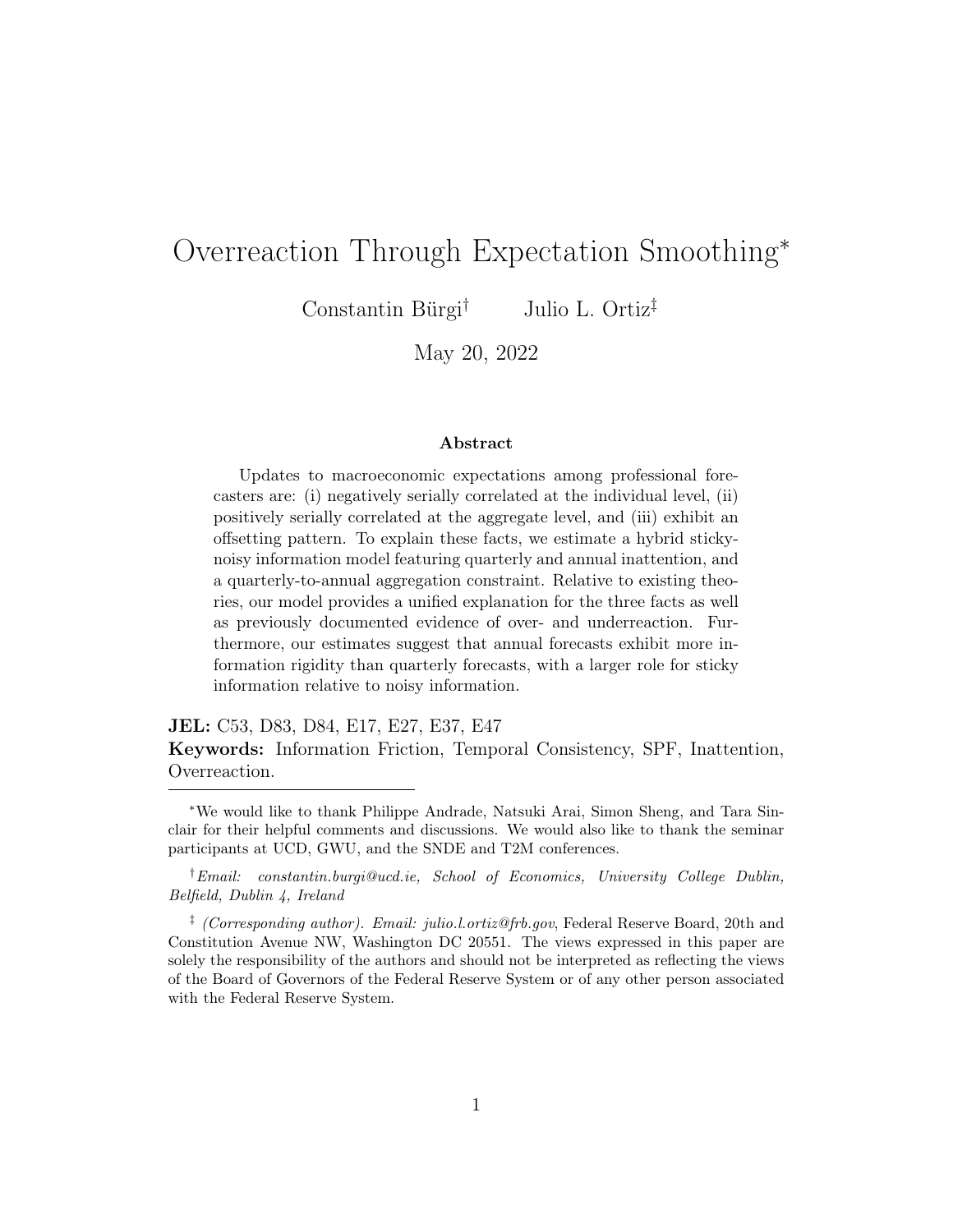## 1 Introduction

Professional forecasters make predictable mistakes. Whereas individual predictions exhibit overreactions [\(Bordalo et al.,](#page-34-0) [2020;](#page-34-0) [Broer and Kohlhas,](#page-34-1) [2019;](#page-34-1) [Bürgi,](#page-34-2) [2016\)](#page-34-2), aggregate forecasts are characterized by inertia [\(Coibion and](#page-35-0) [Gorodnichenko,](#page-35-0) [2015;](#page-35-0) [Dovern et al.,](#page-35-1) [2015\)](#page-35-1). Both forms of error predictability are incompatible with full information rational expectations, a benchmark assumption made in macroeconomics. Consequently, theories of non-rational expectations as well as models of imperfect information have been devised to explain over- and underadjustments.<sup>[1](#page-1-0)</sup>

In this paper, we document three key facts relating to survey expectations. First, fixed-event revisions are negatively serially correlated among individual forecasters. Second, fixed-event revisions are positively serially correlated at the consensus-level. Third, individual forecast revisions exhibit an offsetting pattern. The third fact, which has not been previously documented in the literature, cannot be reconciled with traditional theories of expectation formation. We develop a model of long-run smoothing that can reproduce all of these empirical patterns.

Our model is a version of a hybrid sticky-noisy information model as in [Andrade and Le Bihan](#page-34-3) [\(2013\)](#page-34-3) with a focus on the interaction between quarterly and annual forecasts. Two key assumptions are responsible for generating overreactions: temporal consistency (i.e. quarterly forecasts aggregate up to annual forecasts) and smoothing of annual expectations. With these two assumptions, an upward revision in the near-term must be offset by a down-ward revision later in the year, as in the data.<sup>[2](#page-1-1)</sup> These overrevisions introduce volatility to quarterly updates which generates overreactions.

<span id="page-1-0"></span><sup>1</sup>[Bordalo et al.](#page-34-0) [\(2020\)](#page-34-0) for instance develop a model of diagnostic expectations while [Woodford](#page-36-0) [\(2001\)](#page-36-0), [Sims](#page-36-1) [\(2003\)](#page-36-1), and [Mankiw and Reis](#page-36-2) [\(2002\)](#page-36-2) present theories of imperfect information.

<span id="page-1-1"></span> $2$ In the event that forecasts are rounded, quarterly updates would need to be sufficiently large to generate offsetting revisions but not so large that they lead to a full outlook revision [\(Baker et al.,](#page-34-4) [2020\)](#page-34-4). While these factors may be present in the data, we nonetheless uncover robust evidence of offsetting revisions, leading us to abstract from rounding and state dependent updating in our model.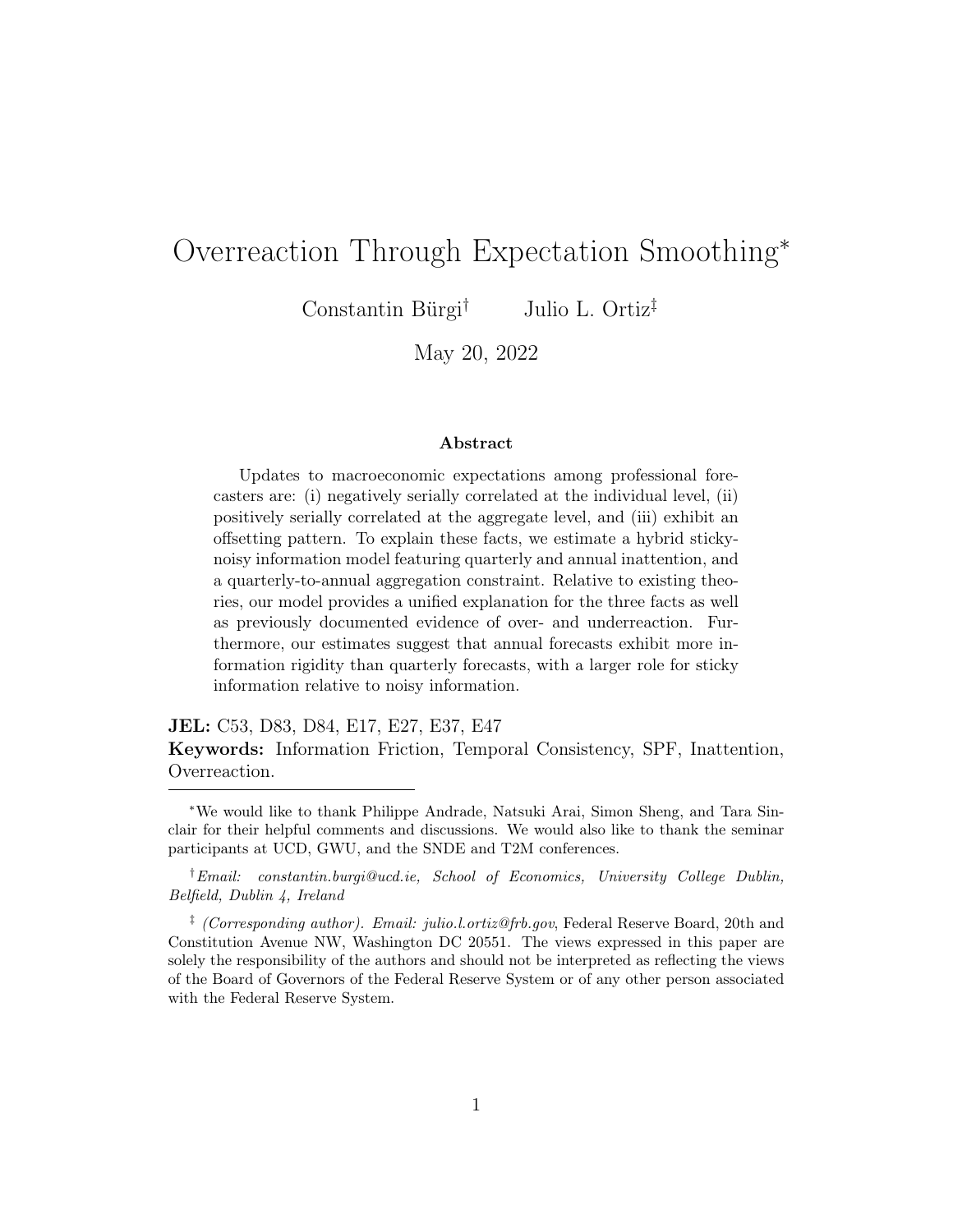We begin by providing empirical evidence relating to overreactions, underreactions, and annual smoothing based on data from the U.S. Survey of Professional Forecasters (SPF). With regard to overadjustments, we document a robust negative autocorrelation of revisions [\(Nordhaus,](#page-36-3) [1987\)](#page-36-3). We repeat this exercise at the aggregate level, documenting a positive autocorrelation of consensus revisions.[3](#page-2-0) Finally, we find that when a forecaster revises upward today, she simultaneously revises downward further along her forecasted annual path. We interpret this result as evidence of annual smoothing and note that existing models of expectation formation cannot flexibly account for offsetting revisions.

Motivated by these facts, we devise a noisy information model with heterogeneous updating rates by frequency. Forecasters issue quarterly and annual forecasts based on private and public signals. Quarterly and annual updating are separate activities governed by distinct Calvo-like probabilities. Furthermore, forecasters are subject to a consistency constraint which requires that a forecaster's sequence of quarterly predictions aggregate up to her annual forecast.<sup>[4](#page-2-1)</sup>

Annual inattention can reflect deeper real-world features of forecasting. For instance, reputational considerations can generate annual smoothing.<sup>[5](#page-2-2)</sup> Alternatively, time and resource constraints associated with widespread model revisions can result in infrequent annual updating. In both of these settings, forecasters could find it optimal to revise high frequency forecasts while keeping their low frequency outlooks fixed.

The source of overreactions in our model comes from forecasters introduc-

<span id="page-2-0"></span><sup>&</sup>lt;sup>3</sup>We focus on revision autocorrelation as these over- and underadjustments can be determined ex ante. However, our results also hold for alternative ex post measures like errors on revisions [\(Nordhaus,](#page-36-3) [1987;](#page-36-3) [Coibion and Gorodnichenko,](#page-35-0) [2015;](#page-35-0) [Bordalo et al.,](#page-34-0) [2020\)](#page-34-0) or errors on outcomes [\(Kohlhas and Walther,](#page-35-2) [2021\)](#page-35-2) as shown in the main text and appendix.

<span id="page-2-1"></span><sup>&</sup>lt;sup>4</sup>The SPF requires forecasters to issue consistent predictions, a feature of the data which we verify in Appendix A. Beyond the SPF, we also find evidence consistent with annual smoothing in the Bloomberg survey as shown in Appendix D.

<span id="page-2-2"></span><sup>5</sup>Ways to model such reputational considerations include adjustment costs as in [Kucin](#page-36-4)[skas and Peters](#page-36-4) [\(2021\)](#page-36-4) or the game theory framework in [Ehrbeck and Waldmann](#page-35-3) [\(1996\)](#page-35-3).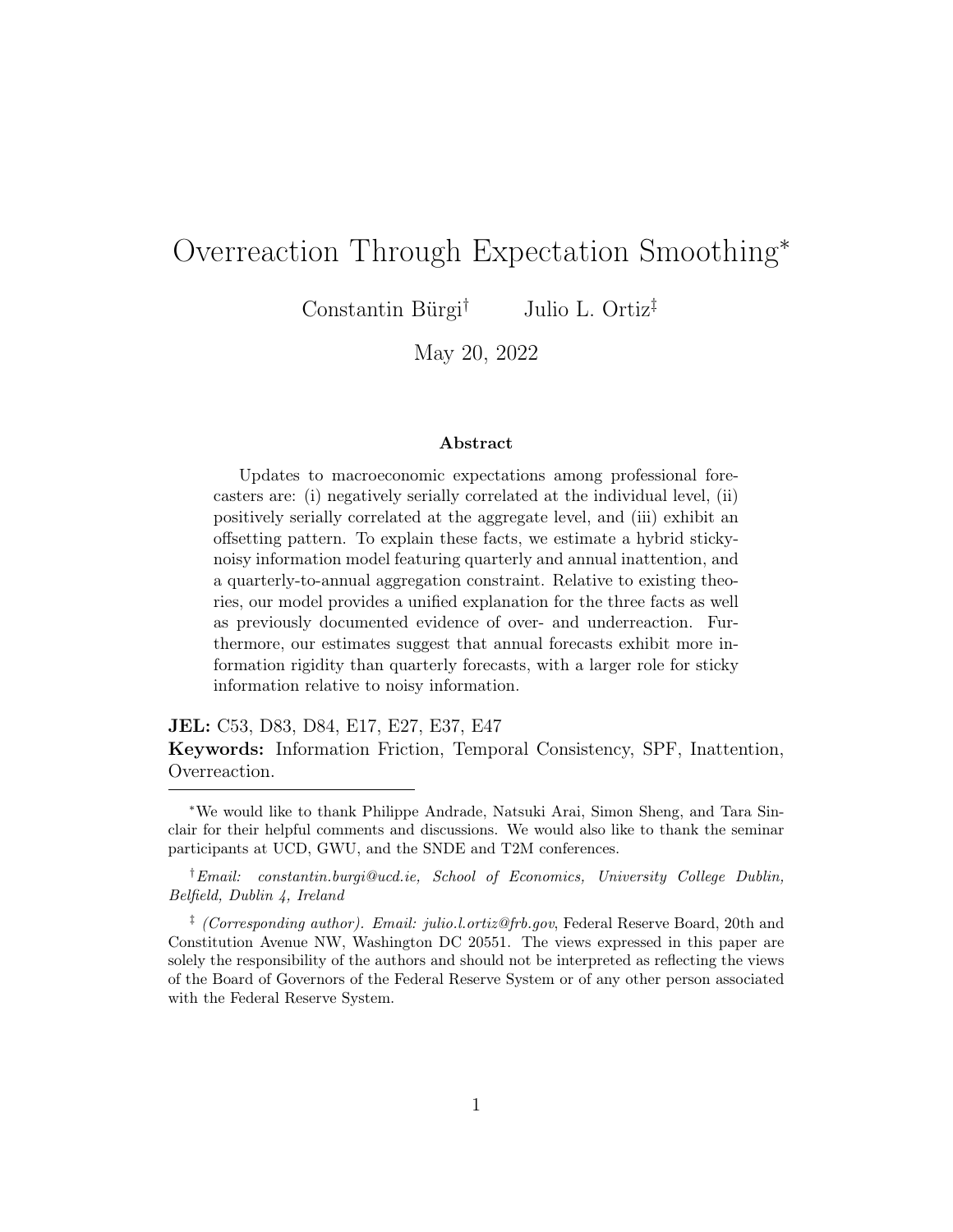ing past errors into their reported predictions through the annual consistency constraint.[6](#page-3-0) Suppose, for instance, that a forecaster periodically makes full updates to her GDP forecast and story. In between these full updates, she replaces the quarterly predictions with realized outcomes, and then offsets the prediction error to ensure annual consistency and to preserve her accompanying narrative. These offsetting revisions in turn generate a negative autocorrelation of fixed-event updates as forecasters trade off accuracy with consistency.

Annual smoothing is a key ingredient which allows our model to generate individual overadjustments. While traditional models of forecast smoothing [\(Scotese,](#page-36-5) [1994\)](#page-36-5) deliver individual and aggregate underreactions, our multifrequency approach allows us to match individual overreactions while preserving aggregate underreactions.

We estimate the model using a minimum distance approach. In particular, we estimate the six parameters of our model by targeting eight micro moments in the panel of real GDP forecasts from the SPF. Our estimated model successfully fits both targeted and non-targeted moments in the data. We find that modeling heterogeneity in updating by frequency allows us to jointly match realistic levels of inattention and disagreement, something which is not feasible in traditional hybrid sticky-noisy information models [\(Andrade and Le](#page-34-3) [Bihan,](#page-34-3) [2013\)](#page-34-3). Overall, our estimates imply that sticky long-run expectations can explain meaningful share of observed overadjustments across a range of measures. The estimated model can also replicate underreactions in consensus forecasts.

In an effort to quantify the importance of our mechanism relative to other theories, we estimate a version of the model with diagnostic expectations [Bor](#page-34-0)[dalo et al.](#page-34-0)  $(2020)$ .<sup>[7](#page-3-1)</sup> When we add diagnostic expectations to our model and examine different forms of error and revision predictability, we find that our

<span id="page-3-0"></span><sup>&</sup>lt;sup>6</sup>Similar to the explanation for an apparent forecast bias at the individual level in [Bürgi](#page-35-4) [\(2017\)](#page-35-4), the overreaction here is consistent with standard forecasting methods.

<span id="page-3-1"></span><sup>7</sup>Several alternative theories of non-rational expectations can explain overreactive behavior [\(Daniel et al.,](#page-35-5) [1998;](#page-35-5) [Broer and Kohlhas,](#page-34-1) [2019\)](#page-34-1). At the same time, overreactions can arise through optimizing behavior subject to attention or memory constraints [\(Kohlhas and](#page-35-2) [Walther,](#page-35-2) [2021;](#page-35-2) [Azeredo da Silvera et al.,](#page-34-5) [2020\)](#page-34-5), or through learning [\(Farmer et al.,](#page-35-6) [2022\)](#page-35-6).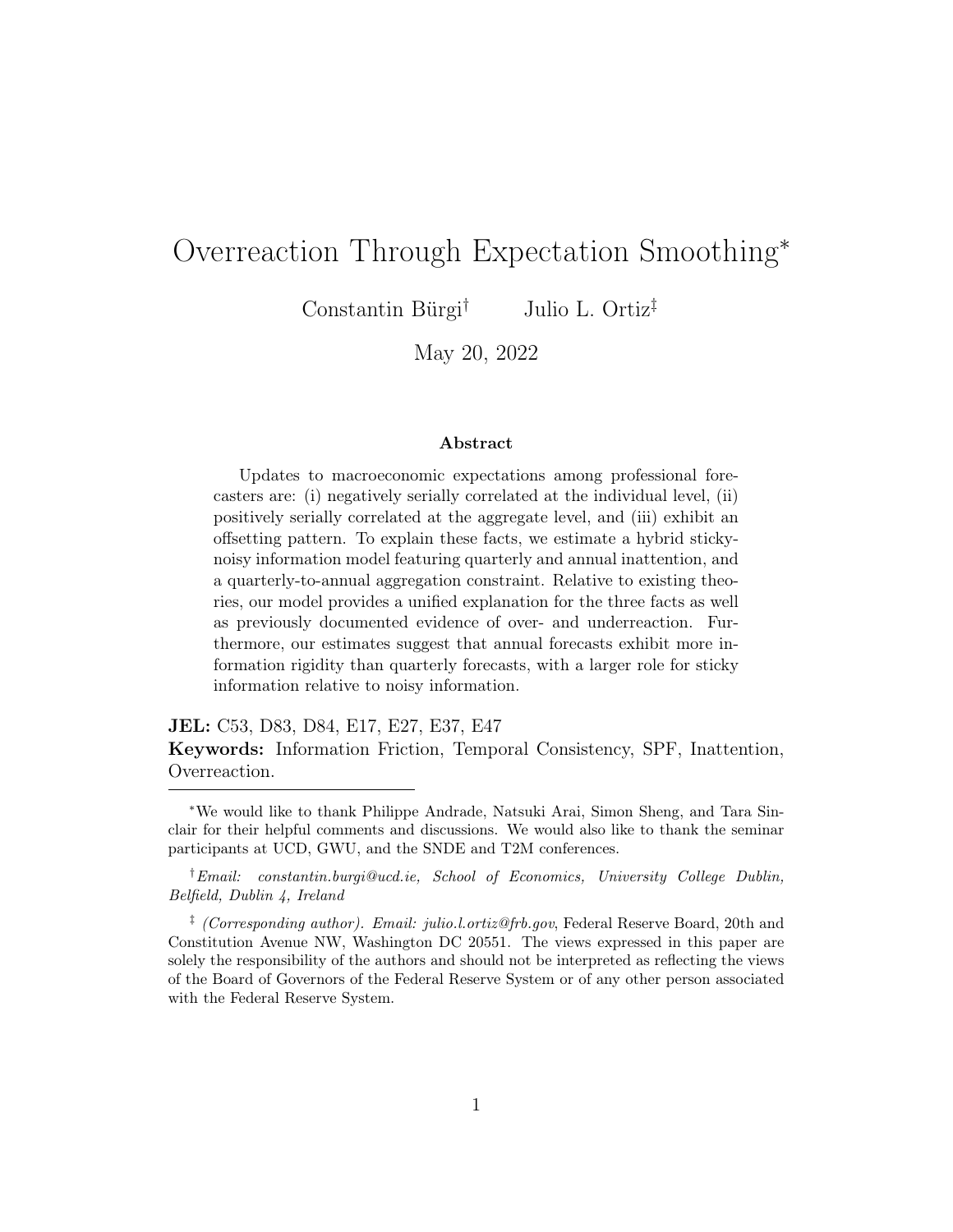mechanism can still explain more than half of measured overreactions. This indicates that annual smoothing is an important contributor to overreactions, alongside other forces.

We conduct additional exercises to establish the robustness of our findings and to examine a potential driver of annual smoothing. First, we estimate our model across the many macroeconomic variables for which SPF forecasters issue predictions. Our estimates are able to replicate observed overreactions for a variety of SPF variables.<sup>[8](#page-4-0)</sup> Next, we estimate our model for financial and non-financial SPF forecasters, and provide evidence suggesting that time or resource costs associated with frequent model revisions can explain annual inattention.

Finally, we use the model to study information rigidities. Our estimates reveal that information frictions differ across frequencies and are more pervasive at the annual level. When averaging across the two frequencies, we recover implied information frictions similar to estimates previously documented in the literature [\(Coibion and Gorodnichenko,](#page-35-0) [2015;](#page-35-0) [Ryngaert,](#page-36-6) [2017\)](#page-36-6). In addition, our model allows us to decompose the sources of information rigidities into noisy and sticky information. We find that noisy information is the dominant source of information frictions at the quarterly frequency while sticky information is the main driver of information frictions at the annual frequency.

The rest of the paper is organized as follows. Section 2 documents motivating empirical evidence relating to overadjustments, underadjustments, and annual smoothing. Section 3 presents the hybrid sticky-noisy information model with differential rates of updating. Section 4 discusses the estimation approach and results. Section 5 quantifies the extent to which long-run rigidity can explain short-run overadjustments. Section 6 discusses the implications for information frictions. Section 7 concludes.

<span id="page-4-0"></span><sup>&</sup>lt;sup>8</sup>In Appendix D we also estimate the model assuming that forecasts are rounded, across different sub-periods, under alternative assumptions on the data generating process, and for forecasts issued in the Bloomberg survey.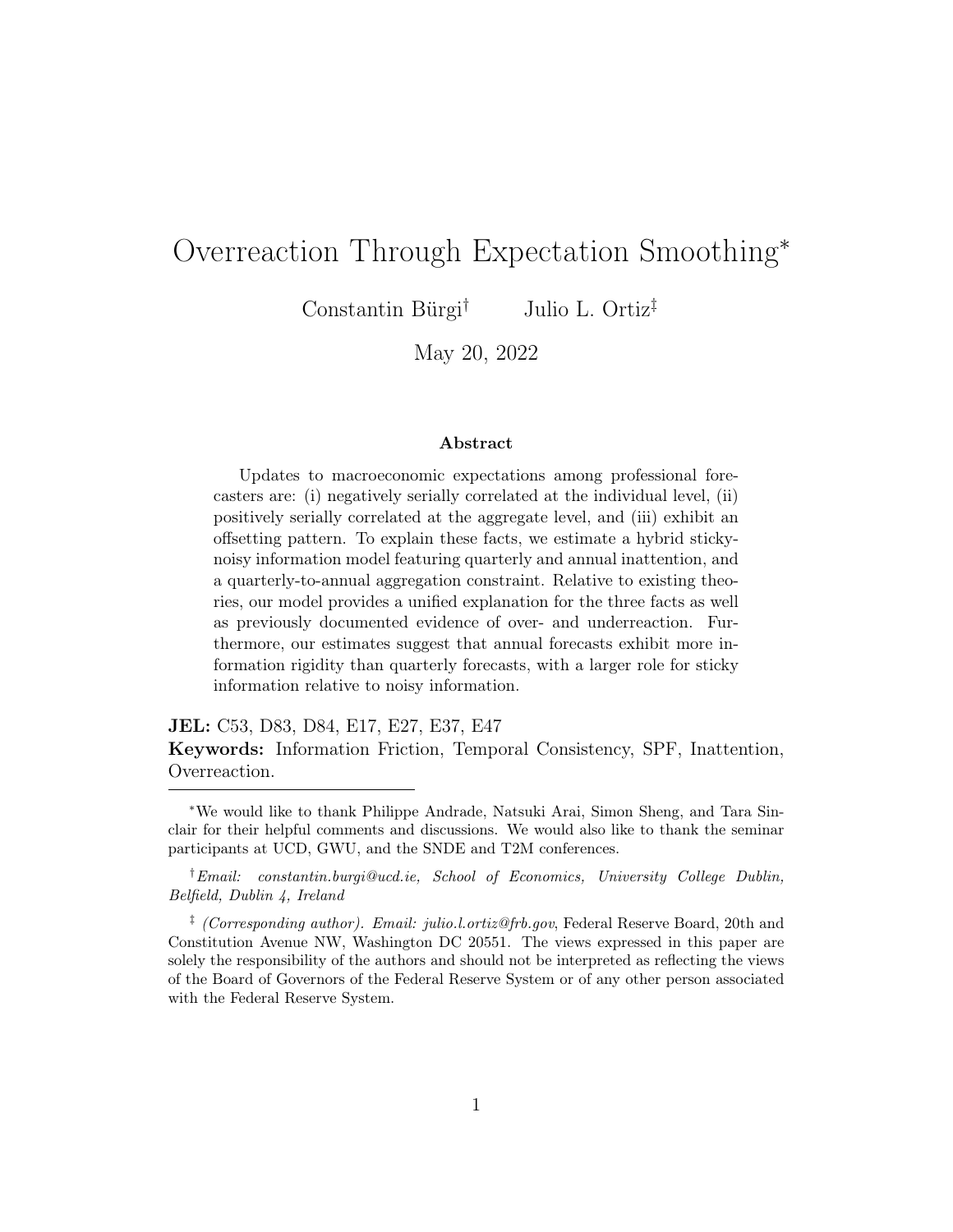# 2 Facts About Over- and Underreactions

We first document some empirical facts about professional forecasts. The patterns that we highlight in the data serve as motivating evidence for the model introduced in the subsequent section. Furthermore, we revisit some of these moments when assessing the estimated model's ability to explain observed overadjustments.

The data that we use come from the SPF, a quarterly survey managed by the Federal Reserve Bank of Philadelphia. The survey began in 1968Q4 and provides forecasts from several forecasters across a range of macroeconomic variables over many horizons, h. The SPF reports current-year annual predictions which the survey requires to be consistent with the averages of the quarterly forecasts starting in  $1981Q3$  $1981Q3$  $1981Q3$ .<sup>9</sup> In this sense, the consistency constraint that we impose in our model is directly motivated by the data.

### 2.1 Individual Overreactions

First, professional forecasters exhibit overreactive behavior. To show this, we run two sets of panel regressions: revisions on past revisions and errors on revisions.[10](#page-5-1) Both regressions were first introduced as tests of weak efficiency in [Nordhaus](#page-36-3) [\(1987\)](#page-36-3). Let  $x_{t+h}$  denote real GDP growth at time  $t+h$ . Furthermore, let  $F_{it}(x_{t+h})$  denote forecaster i's prediction for  $x_{t+h}$  devised at time t. With this notation defined, the revision autocorrelation regression is:

<span id="page-5-2"></span>
$$
F_{it}(x_{t+h}) - F_{it-1}(x_{t+h}) = \gamma_h \left[ F_{it-1}(x_{t+h}) - F_{it-2}(x_{t+h}) \right] + \varepsilon_{it+h}.
$$
 (1)

In words, we focus on a fixed-event and project the current forecast revision on its previous value. We are interested in the coefficient in front of the lagged revision,  $\gamma_h$ . A negative value of  $\gamma_h$  indicates that an upward forecast revision

<span id="page-5-0"></span><sup>&</sup>lt;sup>9</sup>For this reason, and to abstract away from the COVID-19 pandemic, our sample spans 1981Q3 to 2019Q4.

<span id="page-5-1"></span><sup>&</sup>lt;sup>10</sup>We provide an additional estimate of overreactions based on [Kohlhas and Walther](#page-35-2)  $(2021)$ in Appendix A.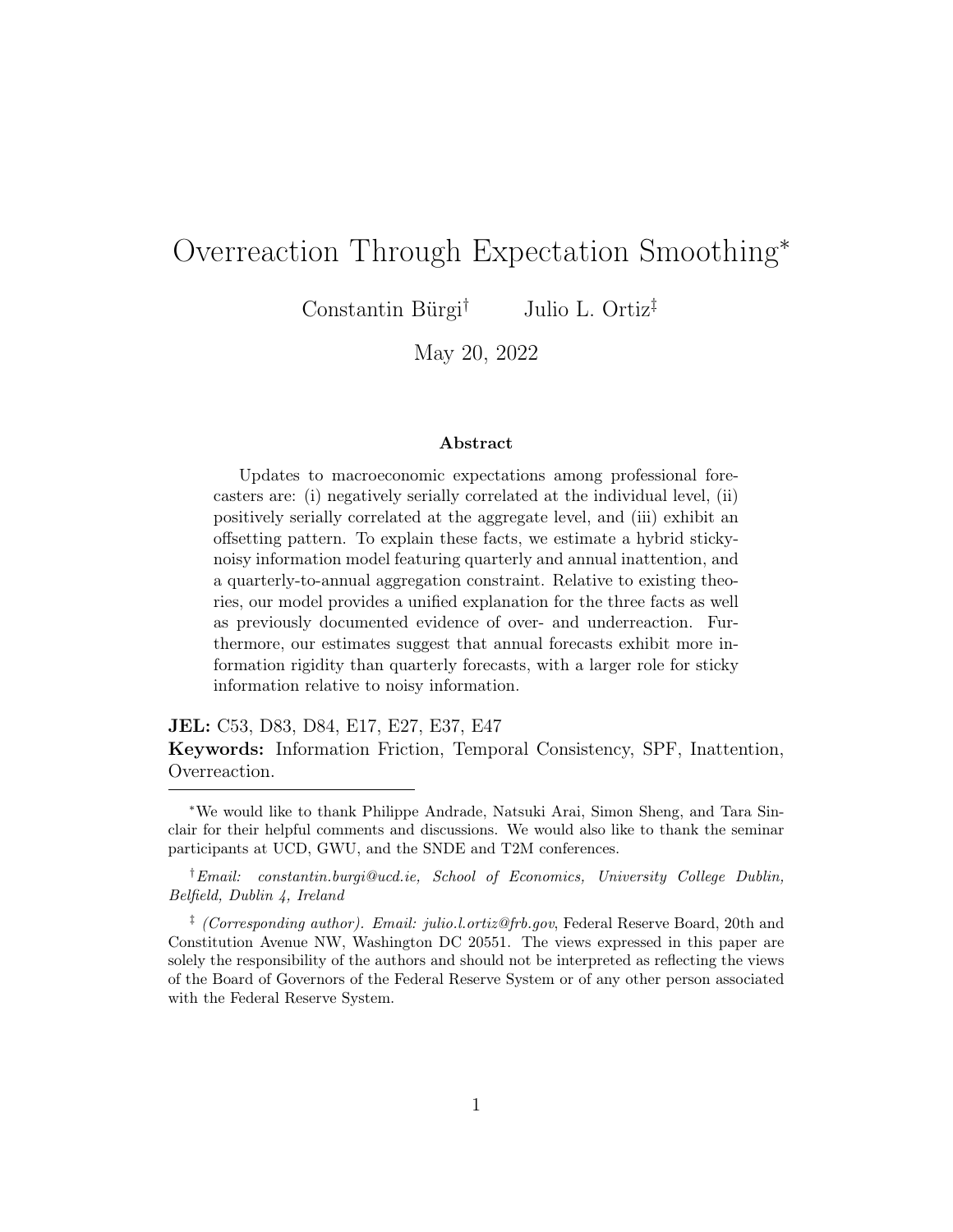<span id="page-6-1"></span>

|                   | $h=0$      |             |             | $h=1$      |             | $h=2$       |  |
|-------------------|------------|-------------|-------------|------------|-------------|-------------|--|
|                   | Revision   | Error       | Revision    | Error      | Revision    | Error       |  |
| Previous revision | $-0.132**$ |             | $-0.316***$ |            | $-0.397***$ |             |  |
|                   | (0.056)    |             | (0.064)     |            | (0.089)     |             |  |
| Revision          |            | $-0.269***$ |             | $-0.156**$ |             | $-0.355***$ |  |
|                   |            | (0.061)     |             | (0.077)    |             | (0.064)     |  |
| Forecasters       | 164        | 184         | 163         | 165        | 162         | 161         |  |
| Observations      | 3,384      | 3.605       | 3,573       | 3,532      | 3.477       | 3,384       |  |

Table 1: Overreaction Among Individual Forecasters

Note: The table reports panel regression results from SPF forecasts of real GDP growth based on regressions [\(1\)](#page-5-2) and [\(2\)](#page-6-0). Each set of columns refers to a different horizon, from the current quarter to two quarters ahead. [Driscoll and Kraay](#page-35-7) [\(1998\)](#page-35-7) standard errors are reported in parentheses. \*\*\* denotes  $1\%$  significance, \*\* denotes  $5\%$  significance, and \* denotes 10% significance.

today predicts a downward forecast revision tomorrow.

Table [1](#page-6-1) reports the results across three horizons which imply that forecasters overrevise their predictions. For current quarter forecasts, a one percentage point upward revision today predicts a 0.13 percentage point downward revision tomorrow. Forecasters tend to overrevise more strongly at the one- and two-quarter ahead horizons, with point estimates hovering from -0.30 to -0.40.

The second set of results, also reported in Table [1,](#page-6-1) relate to errors-onrevisions. We run the following regression:

<span id="page-6-0"></span>
$$
x_{t+h} - F_{it}(x_{t+h}) = \beta_i + \beta_{1,h} \left[ F_{it}(x_{t+h}) - F_{it-1}(x_{t+h}) \right] + \epsilon_{it+h}.
$$
 (2)

When  $\beta_{1,h} < 0$ , an upward revision predicts a more negative subsequent forecast error, implying that forecasters overreact to new information when updating their predictions. Table [1](#page-6-1) reproduces these estimates in our sample. Across horizons, we find that a one percentage point upward forecast revision predicts a roughly -0.15 to -0.35 percentage point more negative subsequent forecast error. These estimates are in line with the estimates in [Bordalo et al.](#page-34-0) [\(2020\)](#page-34-0) and [Bürgi](#page-34-2) [\(2016\)](#page-34-2).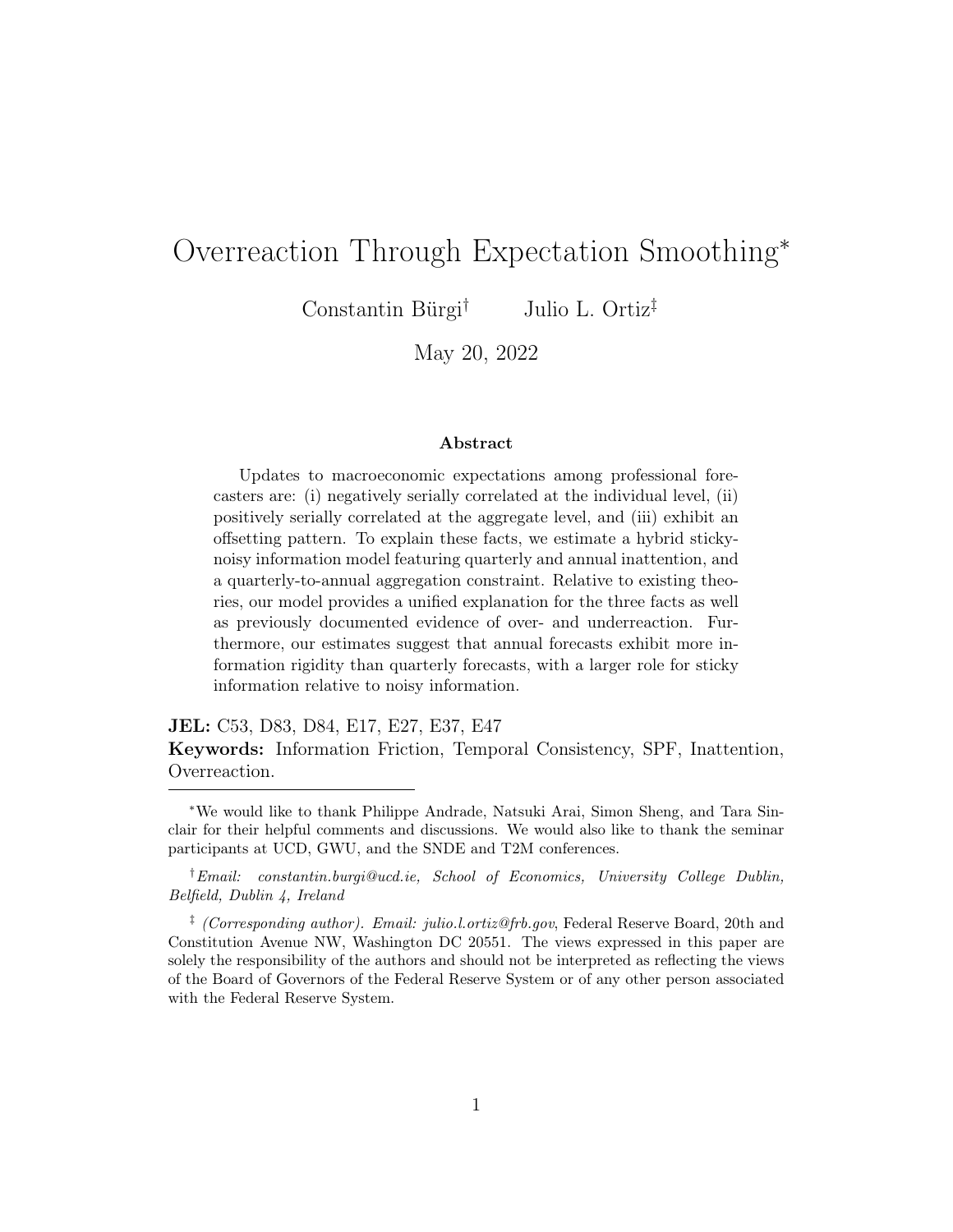<span id="page-7-0"></span>

|                   | $h=0$                |                  | $h=1$                 |                      | $h=2$                  |                       |
|-------------------|----------------------|------------------|-----------------------|----------------------|------------------------|-----------------------|
|                   | Revision             | Error            | Revision              | Error                | Revision               | Error                 |
| Previous revision | $0.368**$<br>(0.150) |                  | $0.462***$<br>(0.118) |                      | $-0.085***$<br>(0.026) |                       |
| Revision          |                      | 0.136<br>(0.121) |                       | $0.724**$<br>(0.299) |                        | $1.093***$<br>(0.294) |
| Observations      | 150                  | 151              | 150                   | 150                  | 150                    | 150                   |

Table 2: Underreaction in Consensus Forecasts

Note: The table reports time series regression results from SPF forecasts of real GDP growth akin to [\(1\)](#page-5-2) and [\(2\)](#page-6-0). Each set of columns refers to a different horizon, from zero steps ahead (current quarter) to two steps ahead. Newey-West standard errors are reported in parentheses. \*\*\* denotes 1% significance, \*\* denotes 5% significance, and \* denotes 10% significance.

### 2.2 Aggregate Underreactions

Whereas individual forecasters appear to overreact, consensus predictions exhibit underadjustments. This inertia at the aggregate level has been of interest to the literature studying information rigidities. Table [2](#page-7-0) reports the results based on time series analogs of [\(1\)](#page-5-2) and [\(2\)](#page-6-0), where, instead of specifying individual forecasts, we focus on consensus forecasts.

The estimates in Table [2](#page-7-0) provide some evidence of underadjustments at the aggregate-level. For instance based on a simple noisy information model [\(Coibion and Gorodnichenko,](#page-35-0) [2015\)](#page-35-0), the estimated errors-on-revisions coefficient at the one-quarter ahead horizon implies that forecasters place a weight of  $\frac{0.724}{1+0.724} \approx 0.42$  on their prior when updating their prediction. These estimated underreactions are consistent with [Coibion and Gorodnichenko](#page-35-8) [\(2012\)](#page-35-8), [Coibion and Gorodnichenko](#page-35-0) [\(2015\)](#page-35-0), [Bürgi](#page-34-2) [\(2016\)](#page-34-2), and [Bordalo et al.](#page-34-0) [\(2020\)](#page-34-0).

### 2.3 O setting Revisions

Having reported the presence of over- and underreactions in the survey data, we turn to providing motivating evidence for our mechanism. If forecasters have a tendency to smooth their annual predictions, then multi-horizon revi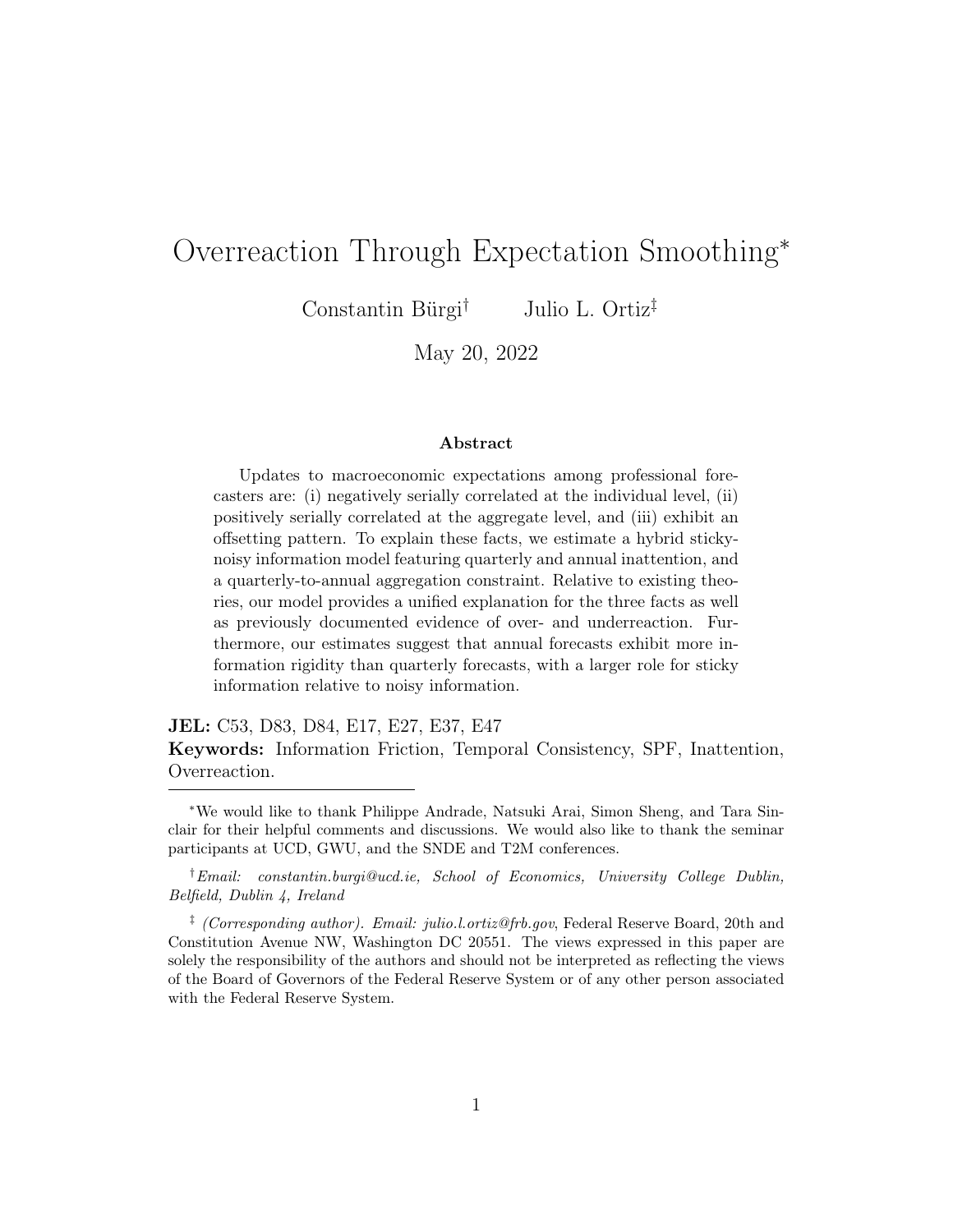sions should exhibit an offsetting pattern. For instance, if a forecaster receives positive news today, then she will wish to revise her forecast upward. However, if she is inattentive to her annual forecast, then she will have to revise upward subject to a quarterly-to-annual adding up constraint. In order for her newly issued quarterly predictions to reflect her unchanged annual outlook, the upward revision today must be offset by a downward revision elsewhere along her predicted path.

Before proceeding, we briefly reason through an alternative source of revision offsetting as well as an alternative approach to checking for annual inattention in the data.

First, aside from annual smoothing, offsetting revisions can arise if there are transitory shocks to the level of the macroeconomic variable. For instance, a large natural disaster in one period could lead forecasters to project a growth reversal in the following period. These transitory level shocks typically imply adjacent offsetting which is not required for annual smoothing. As a result, adjacent offsetting could be due to either annual smoothing or to transitory level shocks, while non-adjacent offsetting is much more likely due to annual smoothing. In our results, we document evidence of non-adjacent offsetting.

Moreover, an alternative way to check for annual smoothing in the data would be to run [Bordalo et al.](#page-34-0) [\(2020\)](#page-34-0) regressions with annual forecasts and to compare them with the quarterly estimates. This approach is potentially problematic because the current year horizon changes with every survey and reduces the sample substantially. For this reason, we provide evidence of offsetting revisions, devise a model in which annual smoothing is the mechanism through which offsetting revisions arise, and demonstrate that such a model can better fit the data than a model without annual smoothing.<sup>[11](#page-8-0)</sup>

We now provide evidence of offsetting revisions in real GDP forecasts across horizons as well as within the calendar year.<sup>[12](#page-8-1)</sup> First, we show that an upward

<span id="page-8-0"></span><sup>&</sup>lt;sup>11</sup>Nevertheless, Appendix A estimates current year errors-on-revisions regressions which we find to be consistent with annual smoothing.

<span id="page-8-1"></span><sup>12</sup>Appendix A provides additional evidence of revision offsetting based on exogenous statistical data revisions.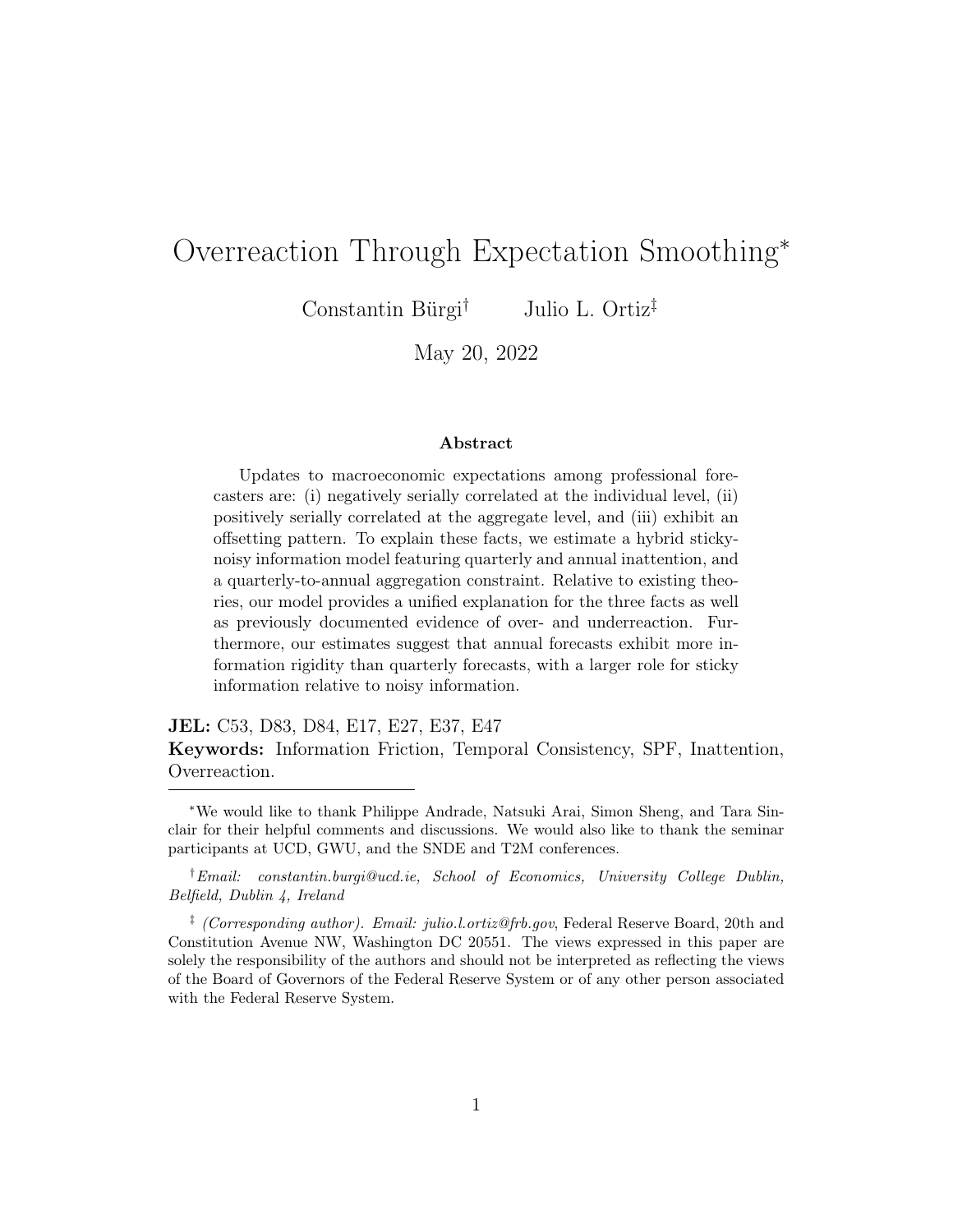<span id="page-9-1"></span>

|                            | Three quarter ahead revision |
|----------------------------|------------------------------|
| Two quarter ahead revision | $0.153***$                   |
|                            | (0.048)                      |
| One quarter ahead revision | 0.048                        |
|                            | $(0.058)$<br>-0.044*         |
| Current quarter revision   |                              |
|                            | (0.024)                      |
| Fixed effects              | Time                         |
| Observations               | 4,191                        |

Table 3: Offsetting Revisions By Horizon

Note: The table reports panel regression results from SPF forecasts based on regression [\(3\)](#page-9-0). [Driscoll and Kraay](#page-35-7) [\(1998\)](#page-35-7) standard errors are reported in parentheses. \*\*\* denotes 1% significance, \*\* denotes  $5\%$  significance, and \* denotes  $10\%$  significance.

revision in the current quarter forecast predicts a contemporaneous downward revision to the three-quarter ahead forecast. Second, focusing on a specific calendar year, we show that an upward revision to the start-of-year forecast predicts a downward revision to the end-of-year forecast.

We begin by regressing the three-quarter ahead revision devised at time  $t$ on the current-quarter revision, controlling for the one- and two-quarter ahead revisions and time fixed effects:

<span id="page-9-0"></span>
$$
F_{it}(x_{t+3}) - F_{it-1}(x_{t+3}) = \delta_t + \sum_{k=0}^{2} \alpha_k \left[ F_{it}(x_{t+k}) - F_{it-1}(x_{t+k}) \right] + \nu_{it}.
$$
 (3)

The results are reported in Table [3.](#page-9-1) Based on the regression results, a one percentage point increase in the two quarter ahead revision predicts a 15-basis point increase in the three quarter ahead revision. However, a one percentage point increase in the current quarter revision predicts a 4-basis point decrease in the three quarter ahead revision. Put another way, a one standard deviation increase in the current quarter revision predicts a 6% downward revision three quarters ahead.

Next, we consider calendar year revisions in order to motivate the annual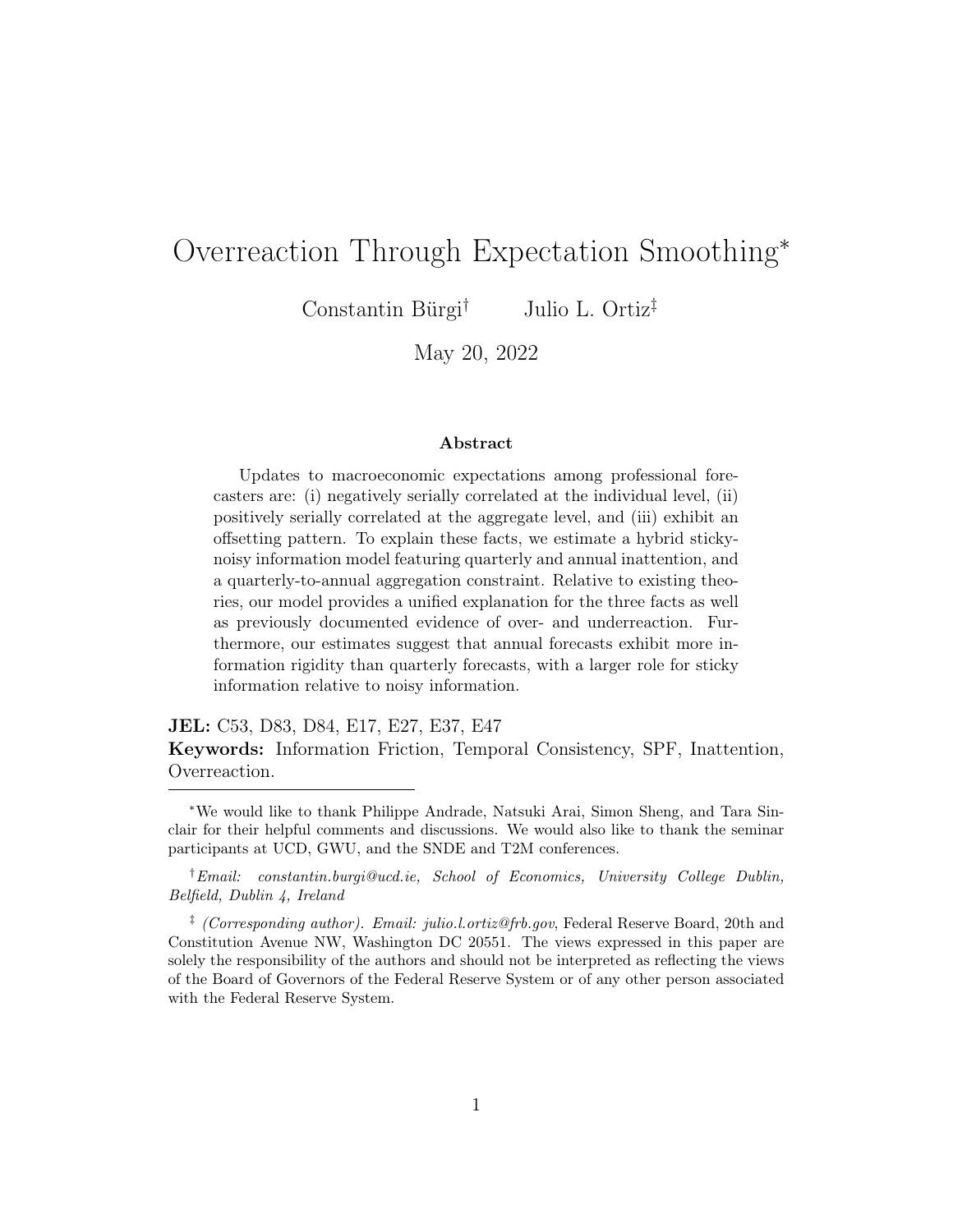|                         | Fourth quarter revision |
|-------------------------|-------------------------|
| Third quarter revision  | $0.222***$              |
|                         | (0.043)                 |
| Second quarter revision | 0.053                   |
|                         | $(0.064)$<br>-0.163**   |
| First quarter revision  |                         |
|                         | (0.076)                 |
| Fixed effects           | Time                    |
| Observations            | 4261                    |

<span id="page-10-1"></span>Table 4: Offsetting Revisions Within Calendar Year

Note: The table reports panel regression results from SPF forecasts based on regression [\(4\)](#page-10-0). [Driscoll and Kraay](#page-35-7) [\(1998\)](#page-35-7) standard errors are reported in parentheses. \*\*\* denotes 1% significance,  $**$  denotes 5% significance, and  $*$  denotes 10% significance.

smoothing assumption that we make in the next section. We run the following regression:

<span id="page-10-0"></span>
$$
F_{it}(x_{Q4}) - F_{it-1}(x_{Q4}) = \delta_t + \sum_{k \in \{Q1, Q2, Q3\}} \alpha_k \left[ F_{it}(x_k) - F_{it-1}(x_k) \right] + \omega_{it}.
$$
 (4)

The difference between [\(4\)](#page-10-0) and [\(3\)](#page-9-0) is that the former focuses on a fixed event. In the first quarter of the year, the Q4 revision is  $F_{it}(x_{t+3})-F_{it-1}(x_{t+3})$ . In the second quarter of the year, the Q4 revision is  $F_{it}(x_{t+2}) - F_{it-1}(x_{t+2}),$ and so on. The first, second, and third quarter revisions are constructed in a similar way. Importantly, as the calendar year progresses, values of real GDP are realized and forecast revisions become forecast errors. For instance, the Q1 revision in the first quarter is  $F_{it}(x_t) - F_{it-1}(x_t)$ , but when we enter into the second quarter of the year, Q1 real GDP is known and the forecaster "brings in" this news so that the Q1 revision becomes the lagged current quarter error:  $x_{t-1} - F_{it-1}(x_{t-1}).$ 

Table [4](#page-10-1) reports the regression results. The estimates once again imply that forecasters offset their revisions. In particular, a one percentage point increase in the first quarter revision implies a 16-basis point downward revision to the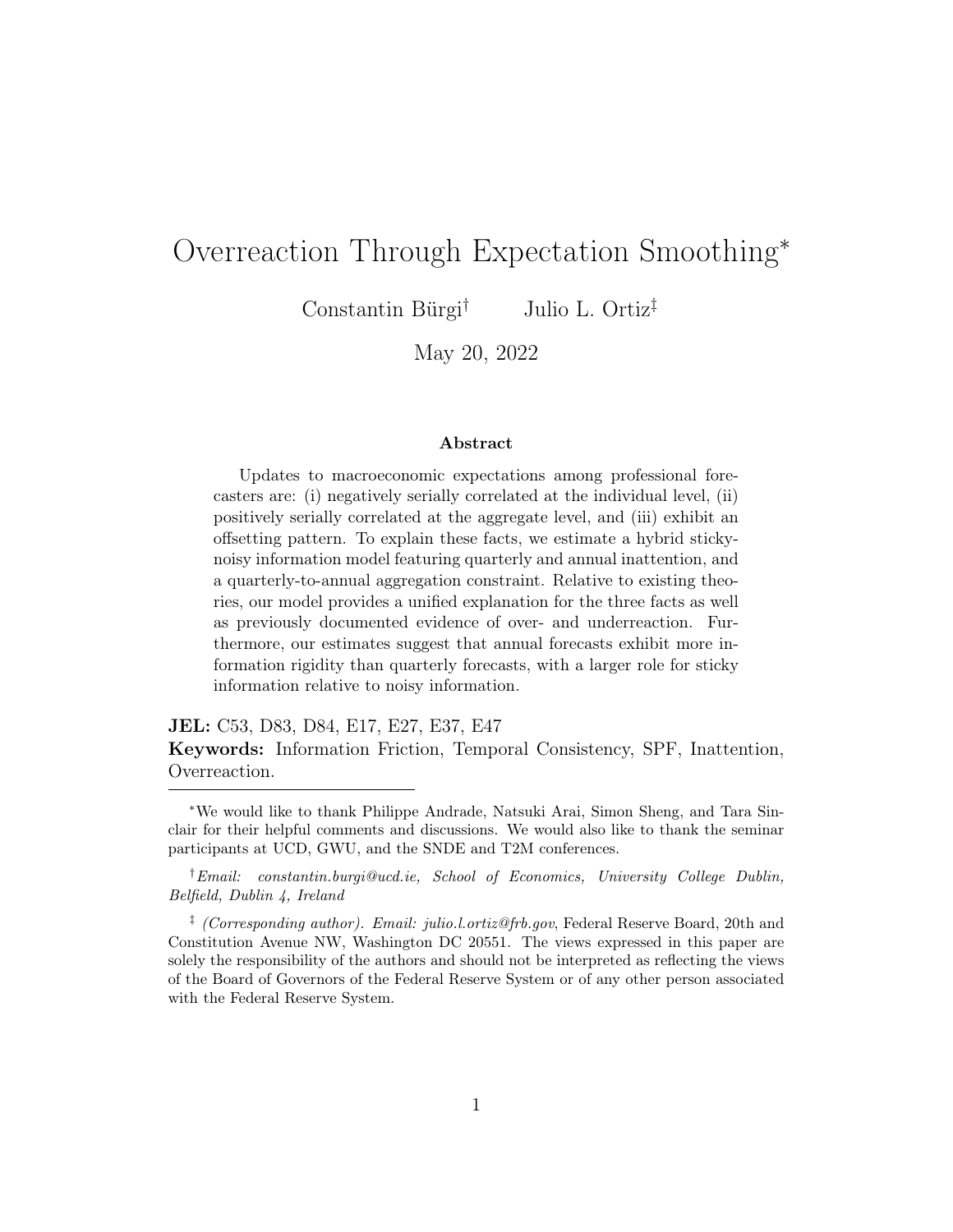fourth quarter forecast. In other words, a one standard deviation increase in the first quarter revision predicts a 13% decrease in the fourth quarter revision.

The empirical results indicate that current-quarter revisions covary negatively with future revisions across non-adjacent periods. In standard rational expectations models, forecasters optimally revise their predicted trajectories, with the magnitude of the revision over longer horizons regulated by the persistence of the driving process. Under traditional AR(1) dynamics, therefore, revisions would not exhibit an offsetting pattern. An exception would be an AR(1) model with transitory level shocks, as previously discussed. However, such a model would imply adjacent offsetting which is not borne out by the data, as indicated in Table [3](#page-9-1) and Table [4.](#page-10-1)

Taken together, professional forecasts exhibit overreactions and inertia. Furthermore, forecasters offset near-term revisions over their longer-term trajectories. We argue that the latter finding can explain some of the observed overreactions in the data, and explicitly model offsetting revisions in the next section.

# 3 A Model of O setting Revisions

We begin by detailing our hybrid sticky-noisy information model. The model is in the spirit of [Andrade and Le Bihan](#page-34-3) [\(2013\)](#page-34-3) and features quarterly and annual forecasts, each subject to a distinct updating probability. Derivations of our results can be found in Appendix B. After outlining the model, we discuss how overreactions arise through annual smoothing and temporal consistency. Finally, we analyze a series of comparative statics in order to examine the ways in which the regression coefficients estimated in the previous section depend on the model parameters.

### 3.1 Model Setup

The model is populated by professional forecasters. Forecasters issue predictions about an exogenous macroeconomic variable, which in part reflects the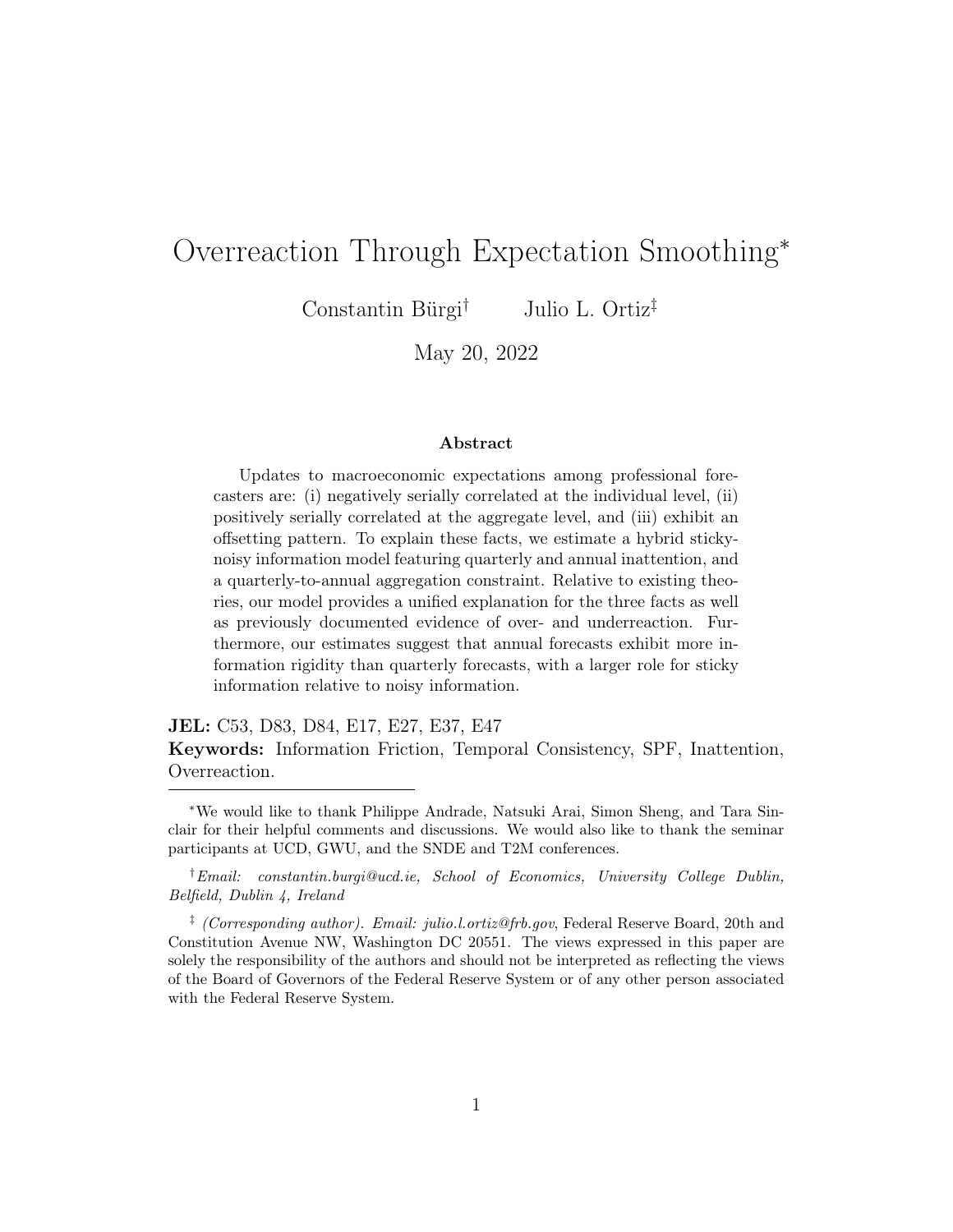latent state of the economy, subject to the realization of noisy signals. Forecasters issue both quarterly and annual forecasts which they update at different rates, subject to an adding up constraint that requires quarterly forecasts to aggregate up to the annual forecast in every period.

More formally, forecasters predict a macroeconomic variable  $x_t$ , which is defined as a function of two components:

$$
x_t = s_t + e_t, \quad e_t \sim N(0, \sigma_e^2).
$$

The underlying state of the economy,  $s_t$ , follows an AR(1) process:<sup>[13](#page-12-0)</sup>

$$
s_t = (1 - \rho)\mu + \rho s_{t-1} + w_t, \quad w_t \sim N(0, \sigma_w^2),
$$

with unconditional mean  $\mu$ , persistence  $\rho$ , and variance  $\frac{\sigma_w^2}{1-\rho^2}$ . The state of the economy is unobserved to forecasters and to the econometrician. The transitory component,  $e_t$ , is normally distributed and centered at zero with variance  $\sigma_e^2$ .

Forecasters are interested in predicting the quarterly and annual realizations of the macroeconomic variable,  $x_t$ . Forecaster i's quarterly k-step ahead forecast devised at time t is  $\hat{x}_{t+k|t}^i$ . Her annual forecast devised at time t is 1  $\frac{1}{4}\sum_{h=0}^{3} \hat{x}_{t+h|t}^{i}$ .

When updating their predictions, forecasters observe the previous realization of the macroeconomic variable,  $x_{t-1}$ , as well as a contemporaneous private signal:

$$
y_t^i = s_t + v_t^i, \quad v_t^i \stackrel{\text{i.i.d.}}{\sim} N(0, \sigma_v^2).
$$

In this linear Gaussian set up, an optimal forecast (consistent with the conditional expectation) would be obtained by employing the Kalman filter. However, forecasters cannot flexibly update their forecasts every period. Instead, in a given period, a forecaster is only able to revise her quarterly prediction with probability  $q$ , and annual outlook with probability  $p$ .

<span id="page-12-0"></span><sup>&</sup>lt;sup>13</sup>In Appendix D we explore a richer driving process under which offsetting revisions would arise, with little effect on our results.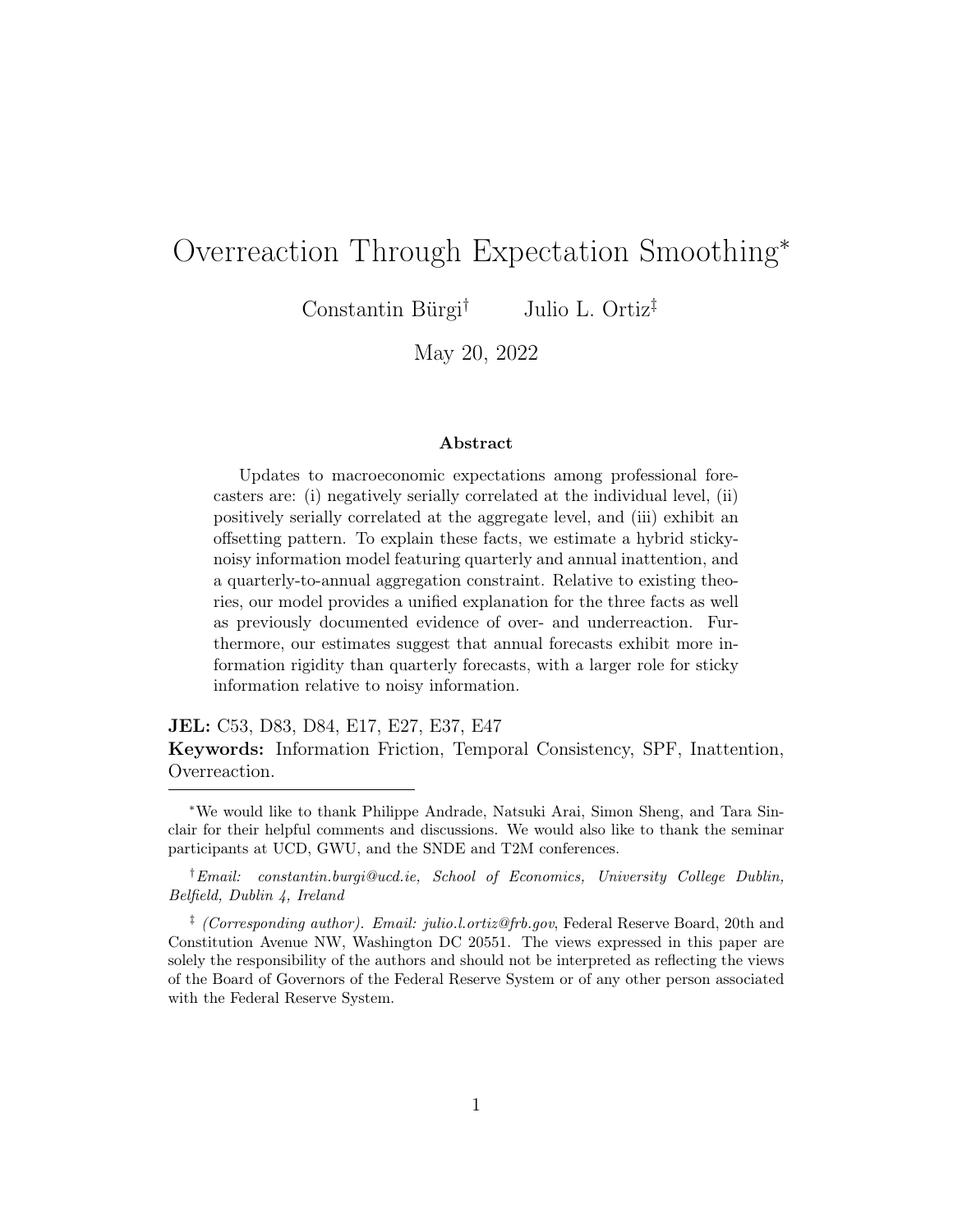Infrequent annual updating  $(p < 1)$  can be motivated by institutional, reputational, or economic considerations. Anecdotally, forecasting institutions avoid revising their annual figures in each month or quarter, opting instead to implement model revisions a couple of times per year. At the same time, infrequent annual updating can reflect the value of sticking to a particular "story" to narrate to clients rather than revising in potentially different directions each period. Finally, a probability  $p < 1$  can be attributed to time or resource constraints associated with undertaking more frequent model revisions. For our purposes, all of these explanations are embedded in the probability  $p^{14}$  $p^{14}$  $p^{14}$ 

The Calvo-like probabilities, q and  $p$ , give rise to four distinct cases: **Case 1:** With probability  $(1-q)(1-p)$ , the forecaster does not update at all. **Case 2:** With probability  $q(1-p)$ , the forecaster updates the quarterly forecast, but not the annual. In this case, she updates the quarterly forecast based on the signals received and subject to an adding up constraint.

**Case 3:** With probability  $(1-q)p$ , the forecaster updates her annual forecast, but not the quarterly. We interpret this case as a scenario in which the forecaster simply "brings in" the latest macroeconomic release  $x_{t-1}$  and updates her annual prediction accordingly. Importantly, the forecaster does not touch the rest of the projected quarterly forecasts.<sup>[15](#page-13-1)</sup>

**Case 4:** With probability  $pq$ , the forecaster can update both types of forecasts based on the two signals received.

### 3.2 Quarterly Overreactions

From the perspective of the model, quarterly overreactions are due to Case 2 updating. As a result, the probability  $q(1-p)$  governs the signs and magnitudes of the coefficients reported in Table [1.](#page-6-1) For general forms of long-run smoothing,

<span id="page-13-0"></span><sup>&</sup>lt;sup>14</sup>After reporting our baseline results, we explore a potential driver of annual smoothing by re-estimating our model for different forecaster types based on their respective industries.

<span id="page-13-1"></span><sup>&</sup>lt;sup>15</sup>This scenario does not play an important role in our findings. The estimated baseline model in the next section implies that Case 3 occurs only 4% of the time. In addition, in unreported results, we find that a version of this model which assumes flexible quarterly updating,  $q = 1$ , delivers similar conclusions about overreaction, underreaction, and revision offsetting.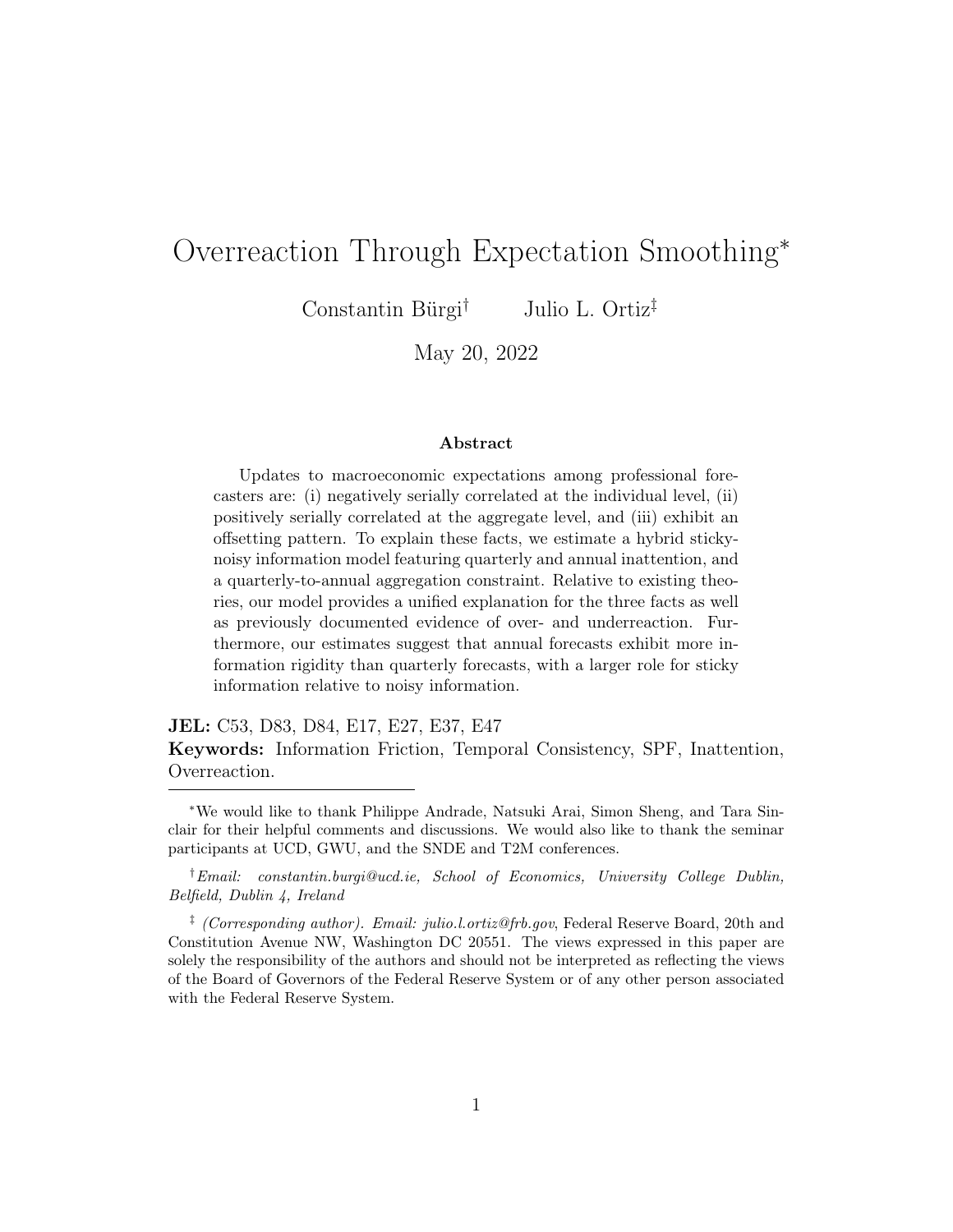the reported Case 2 prediction is:

<span id="page-14-0"></span>
$$
\widehat{x}_{t+k'|t+k}^i = \mathbb{E}_{it+k}(x_{t+k'}) + \frac{1}{H+1} \sum_{h=0}^H \left[ \mathbb{E}_{i,t+k-j}(x_{t+h}) - \mathbb{E}_{it+k}(x_{t+h}) \right],\tag{5}
$$

where  $\hat{x}_{t+k'|t+k}^i$  denotes forecaster *i*'s reported forecast in period  $t + k$  for some future period,  $t + k'$ . The subscript  $t + k - j$  refers to period in which the long-run forecast was last updated. Finally,  $H + 1$  refers to the length of the horizon over which forecasts are smoothed. The reported forecast is the sum of the optimal conditional expectation and a term capturing the gap between the path of the outdated forecast and what it should be based on the latest information.

Because our central focus is on quarterly and annual updating, we set the relevant horizon length to be  $H = 3$ . Note, however, that as  $H \to \infty$ , the second term in [\(5\)](#page-14-0) vanishes and the reported forecast converges to the conditional expectation. This is intuitive: as the horizon over which a forecaster smooths her predictions expands, the forecaster has more degrees of freedom along which to adjust the trajectory in order to preserve temporal consistency. As a result, she is more flexibly able to report a prediction that is consistent with the optimal forecast.

We can rearrange [\(5\)](#page-14-0) in order to more transparently characterize the source of overreactions:

$$
\widehat{x}_{t+k'|t+k}^i = \underbrace{\frac{3}{4} \mathbb{E}_{it+k}(x_{t+k'}) + \frac{1}{4} \mathbb{E}_{t+k-j}(x_{t+k'})}_{\text{Traditional smoothing motive}} + \underbrace{\frac{1}{4} \sum_{h \neq k'} \left[ \mathbb{E}_{it+k-j}(x_{t+h}) - \mathbb{E}_{t+k}(x_{t+h}) \right]}_{\text{Source of overreactions}}.
$$

The first two terms on the right-hand side of the above expression reflect averaging between current and past forecasts that arises in standard revision smoothing models. The last term is responsible for generating overreactions in our model. This sum reflects the differences in the conditional expectations between  $t+k$  and  $t+k-j$  for the other quarters that comprise the annual path. As current-year events unfold, this sum incorporates past forecast errors.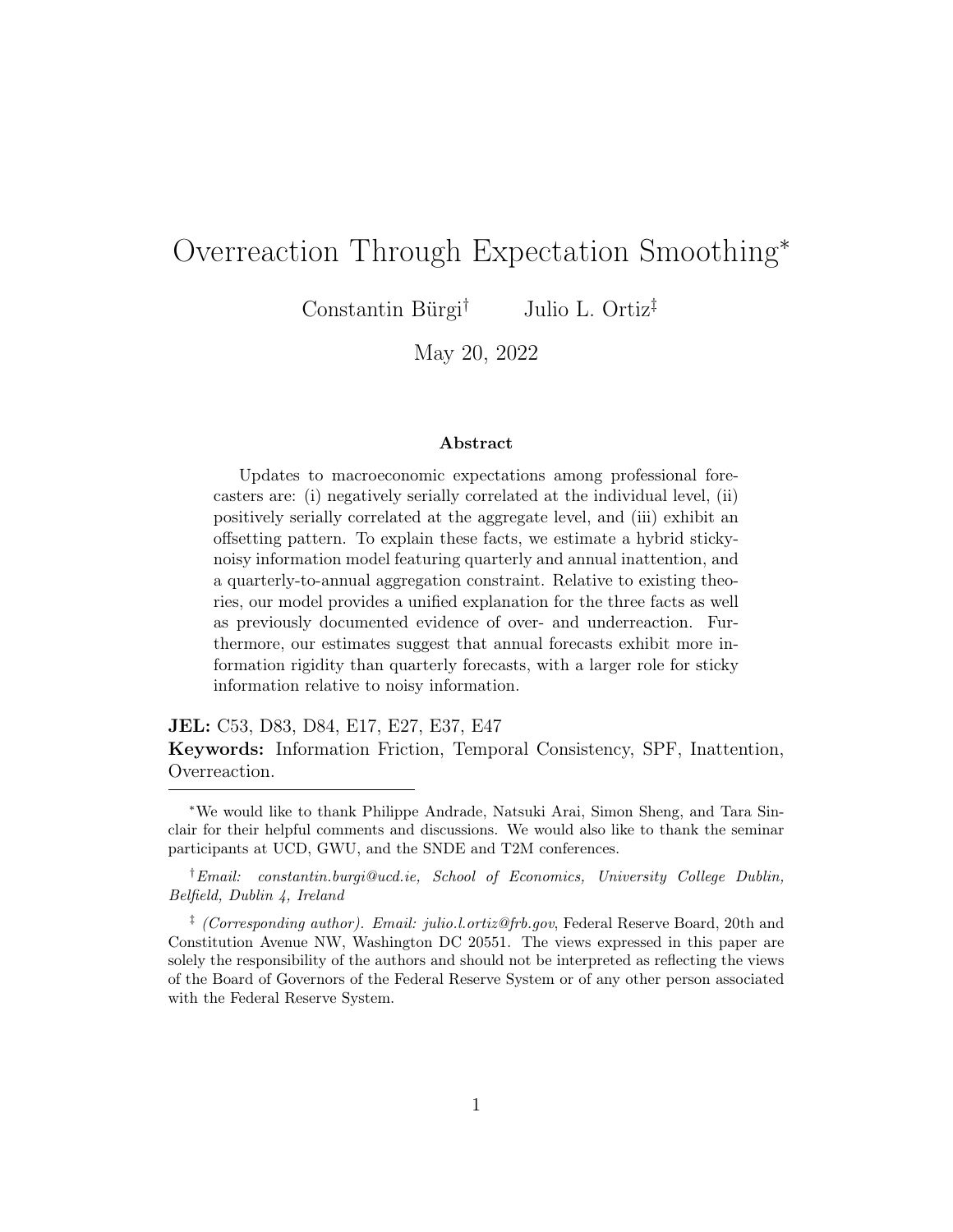To see this, note that [\(5\)](#page-14-0) can be re-written as:

$$
\hat{x}_{t+k'|t+k}^{i} = \mathbb{E}_{it+k}(x_{t+k'}) + \frac{1}{4} \sum_{h=0}^{k-1} \left[ \mathbb{E}_{it+k-j}(x_{t+h}) - x_{t+h} \right] + \frac{1}{4} \sum_{h=k}^{3} \left[ \mathbb{E}_{it+k-j}(x_{t+h}) - \mathbb{E}_{it+k}(x_{t+h}) \right],
$$

where the middle term now reflects past forecast errors.

Overreactions arise because annual inattention and temporal consistency introduce past mistakes into the reported prediction. Suppose, for simplicity, that forecasters last updated their predictions in the previous period so that  $j = 1$ . Then, the above expression becomes:

$$
\hat{x}_{t+k'|t+k}^{i} = \mathbb{E}_{it+k}(x_{t+k'}) + \frac{1}{4} \left[ \mathbb{E}_{it+k-1}(x_{t+k-1}) - x_{t+k-1} \right] + \frac{1}{4} \sum_{h=k}^{3} \left[ \mathbb{E}_{it+k-j}(x_{t+h}) - \mathbb{E}_{it+k}(x_{t+h}) \right].
$$

Based on the second term, if  $x_{t+k-1}$  comes in higher than expected, then forecasters will tend to mark down their forecasts in order to preserve consistency. As a result, a positive rational expectations error today predicts a positive expost forecast error tomorrow. These erroneous revisions are later corrected as new and relevant information arrives in the next period, generating negatively autocorrelated revisions. The trade-off between accuracy and consistency is therefore responsible for producing overreactions in our model.

Figure [1](#page-16-0) highlights the key distinction between a model with annual smoothing and temporal consistency relative to a traditional model of imperfect information. The figure plots regression coefficients estimated from simulated data in the two models based on  $(3)$ . According to a standard imperfect information model, the three-quarter ahead forecast revision is positively related to the current-quarter revision. Furthermore, after controlling for the current-quarter revision, the one- and two-quarter ahead revisions hold no predictive power over the three-quarter ahead revision. Intuitively, in a model with Bayesian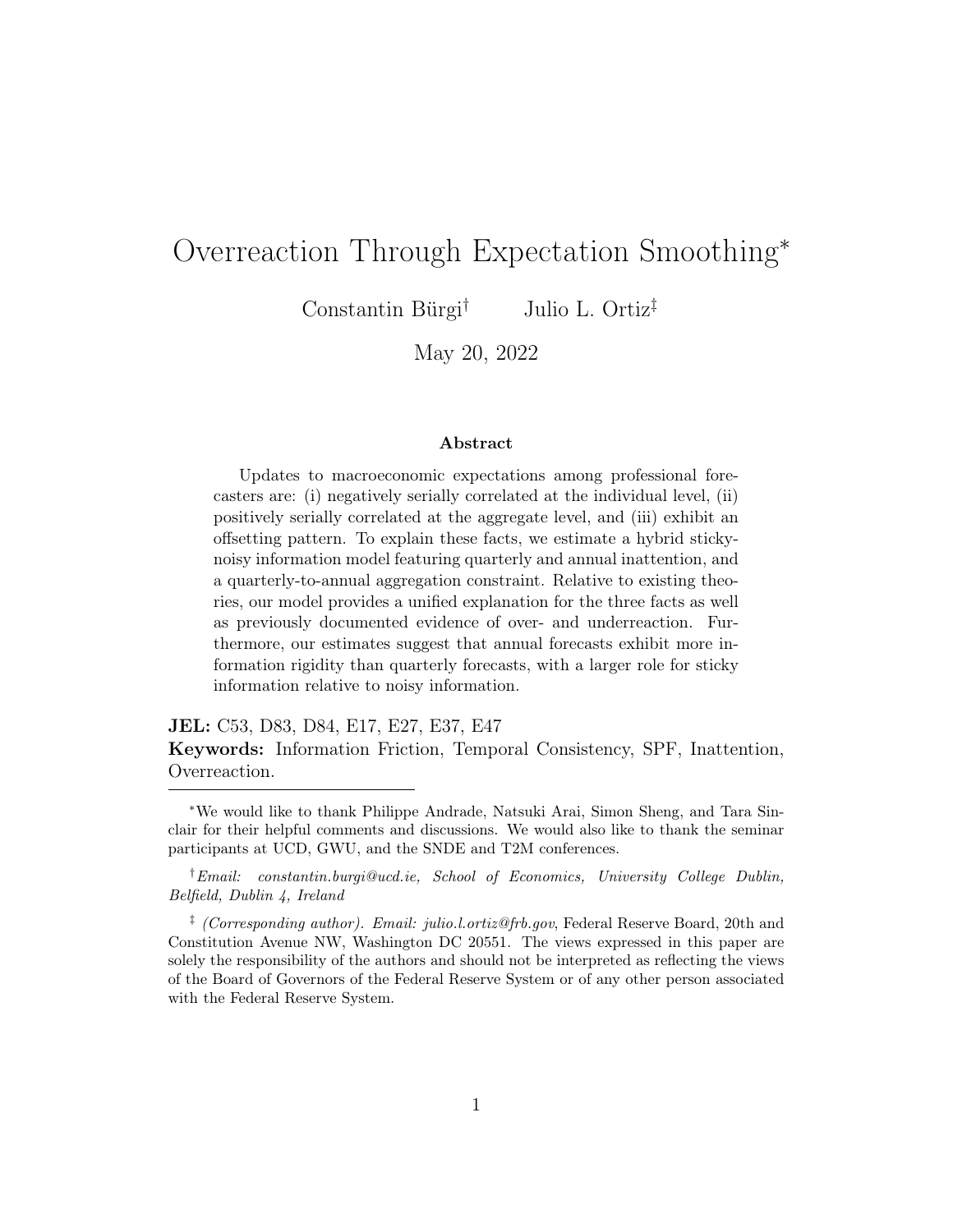

<span id="page-16-0"></span>Figure 1: Offsetting Revisions with and without Annual Smoothing

Note: The figure plots the estimated coefficients from simulated regressions based on [\(3\)](#page-9-0). The red line denotes the model with annual smoothing and the blue line denotes a model without annual smoothing.

updating, the k-quarter ahead revision is equal to the current-quarter revision, scaled by the persistence of the driving process, raised to a power. In fact, in the absence of annual smoothing, the offsetting revisions regression suffers a collinearity problem as two of the regressors are linear combinations of the third.

On the other hand, with annual smoothing, the model is able to generate a negative relation between the three-quarter ahead revision and the currentquarter revision, and a positive relation between the three-quarter ahead revision and the two-quarter ahead revision. This offsetting pattern will be responsible for producing quarterly overreactions in our model.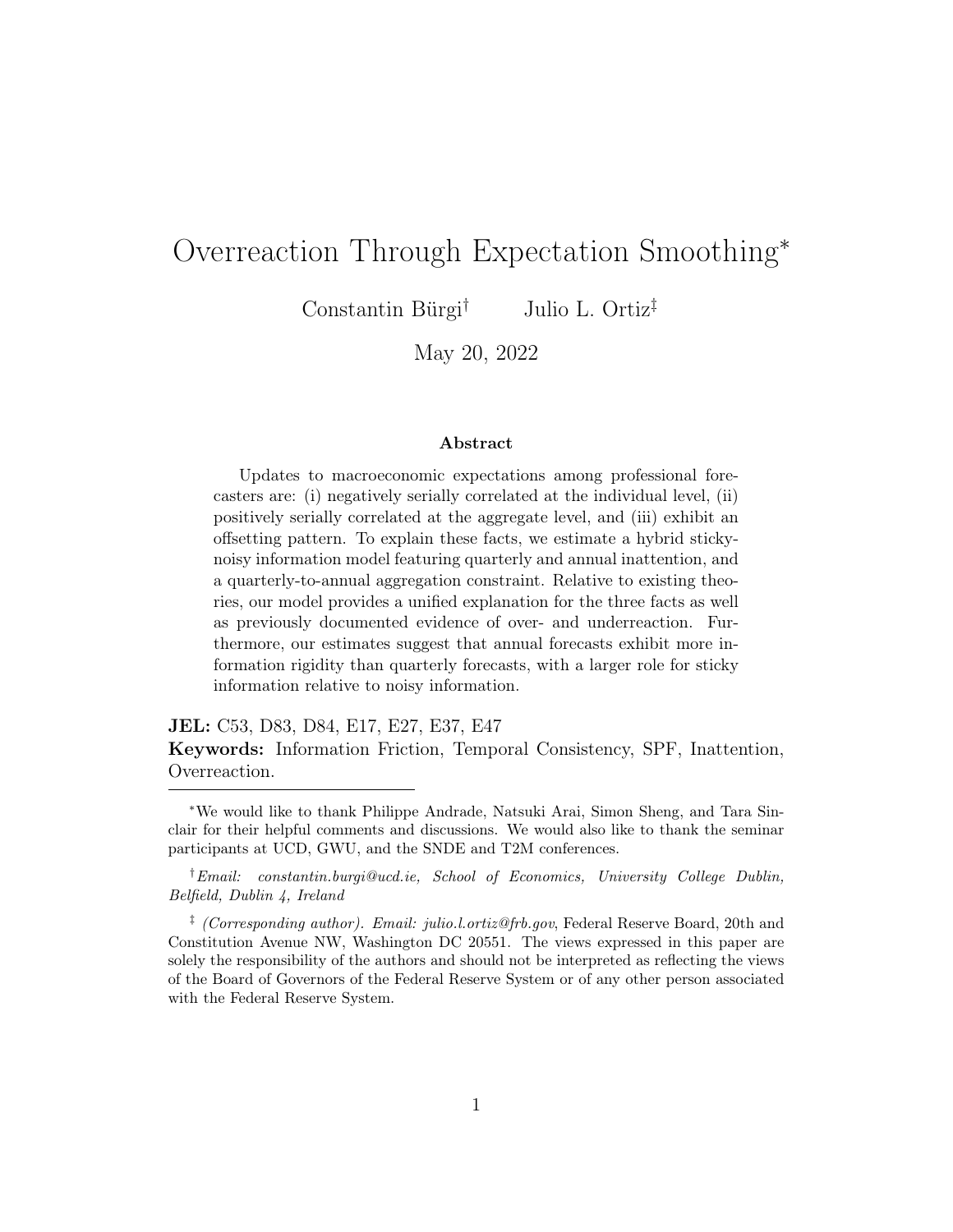<span id="page-17-0"></span>



Note: The figure plots comparative statics of one-quarter ahead revision autocorrelation to each model parameter. The black line (left axis) plots the individual pooled autocorrelation of revisions while the dashed red line (right axis) plots the consensus-level autocorrelation coefficient.

### 3.3 Analyzing the Model

The model features rich dynamics across horizon, frequency, and level of aggregation. As a result, the coefficients studied in Section 2 are complex functions of the underlying model parameters. To provide intuition from the model, we therefore rely on simulated comparative statics.

We focus on the autocorrelation of revisions, though we note that the same qualitative findings arise when simulating the errors-on-revisions coefficient. Figure [2](#page-17-0) plots revision autocorrelation coefficients across a range of different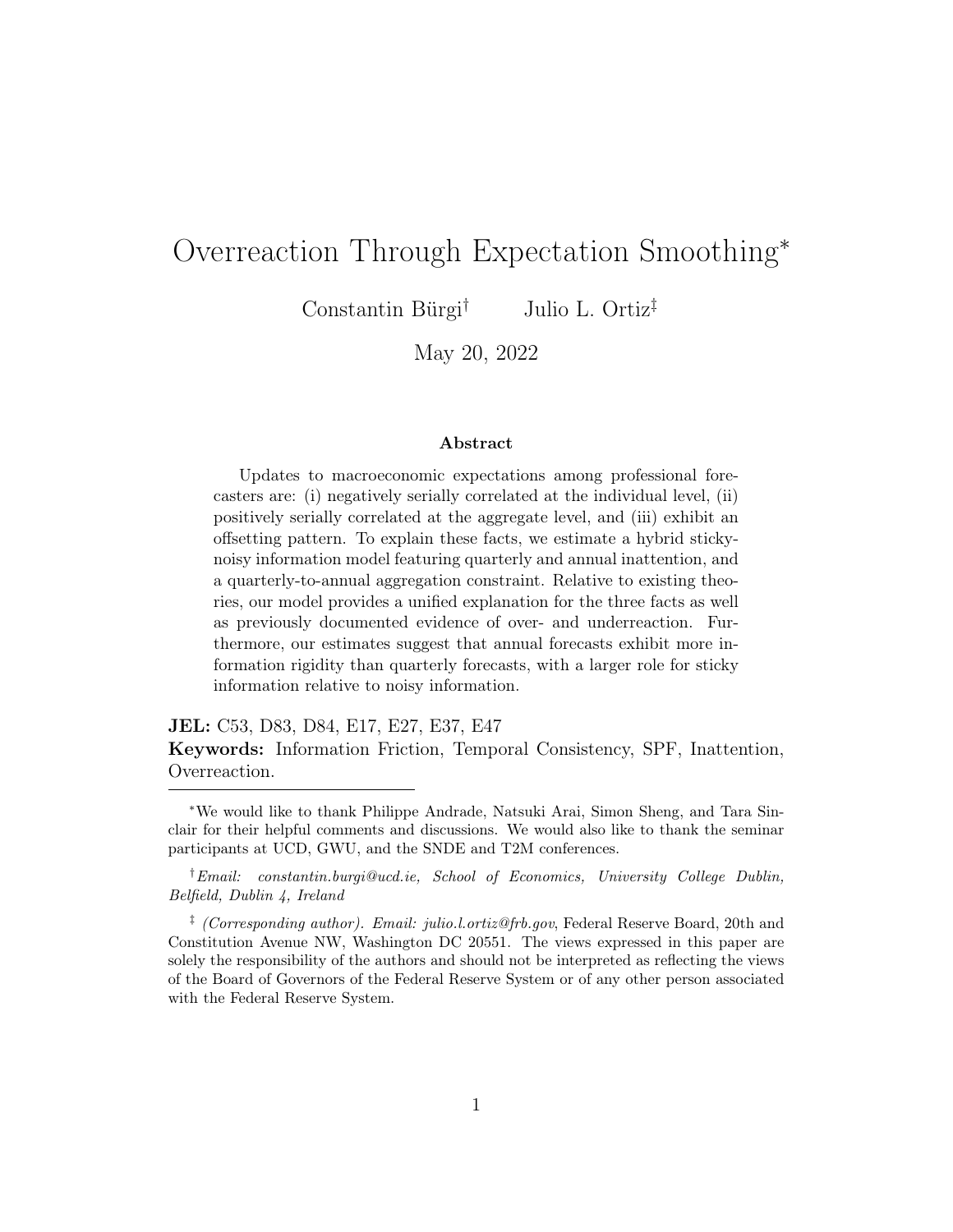parameter values collectively governing the state and signals. For each panel, the left axis plots the individual-level coefficient while the right axis plots the consensus-level coefficient.

Panel 1 displays results for the persistence of the state. As the underlying process approaches a unit root, we find that the scope for overreactions declines. This is consistent with [Bordalo et al.](#page-34-0) [\(2020\)](#page-34-0) and [Afrouzi et al.](#page-34-6) [\(2021\)](#page-34-6) who find that overreactions are decreasing in  $\rho$ . From the lens of our model, a more persistent target variable will reduce the magnitude of the forecast errors thereby reducing the scope for past forecast errors to influence current predictions through the consistency constraint. Furthermore, the aggregate autocorrelation of revisions rises as the state becomes more persistent. At the consensus-level, a more persistent driving process generates more sluggish aggregate beliefs in an imperfect information environment.

Panel 2 reports the results for the state volatility,  $\sigma_w$ . Here, we find that the scope for overreactions is decreasing in  $\sigma_w$ . Consistent with the intuition discussed for Panel 1, the rate of learning is increasing in the variance of the latent state. As information becomes more precise, there is less scope of overreactions. We also find that the autocorrelation coefficient increases at the aggregate level as the volatility of the state increases.[16](#page-18-0)

On the other hand, Panels 3 and 4 show that the forecaster-level coefficients are decreasing in public and private noise. This is because, at the individual level, additional noise raises the variance of the forecast error and reduces the rate of learning. As a result, annual forecast smoothing promotes overadjustments. At the aggregate level, however, the autocorrelation of revisions depends on the type of noise. In particular, the aggregate autocorrelation coef-ficient falls as common noise becomes more pervasive.<sup>[17](#page-18-1)</sup> Private noise, however,

<span id="page-18-0"></span><sup>16</sup>We uncover similar results when simulating the consensus errors-on-revisions regression coefficient. Our interpretation is therefore different from [Coibion and Gorodnichenko](#page-35-0) [\(2015\)](#page-35-0) which finds that a larger coefficient at the consensus-level is indicative of greater information frictions. Here, the opposite is the case since the Kalman gain is increasing in the volatility of the state.

<span id="page-18-1"></span> $17$ This is consistent with the discussion in [Coibion and Gorodnichenko](#page-35-0) [\(2015\)](#page-35-0) on the bias in the OLS errors-on-revisions coefficient under a common noise assumption.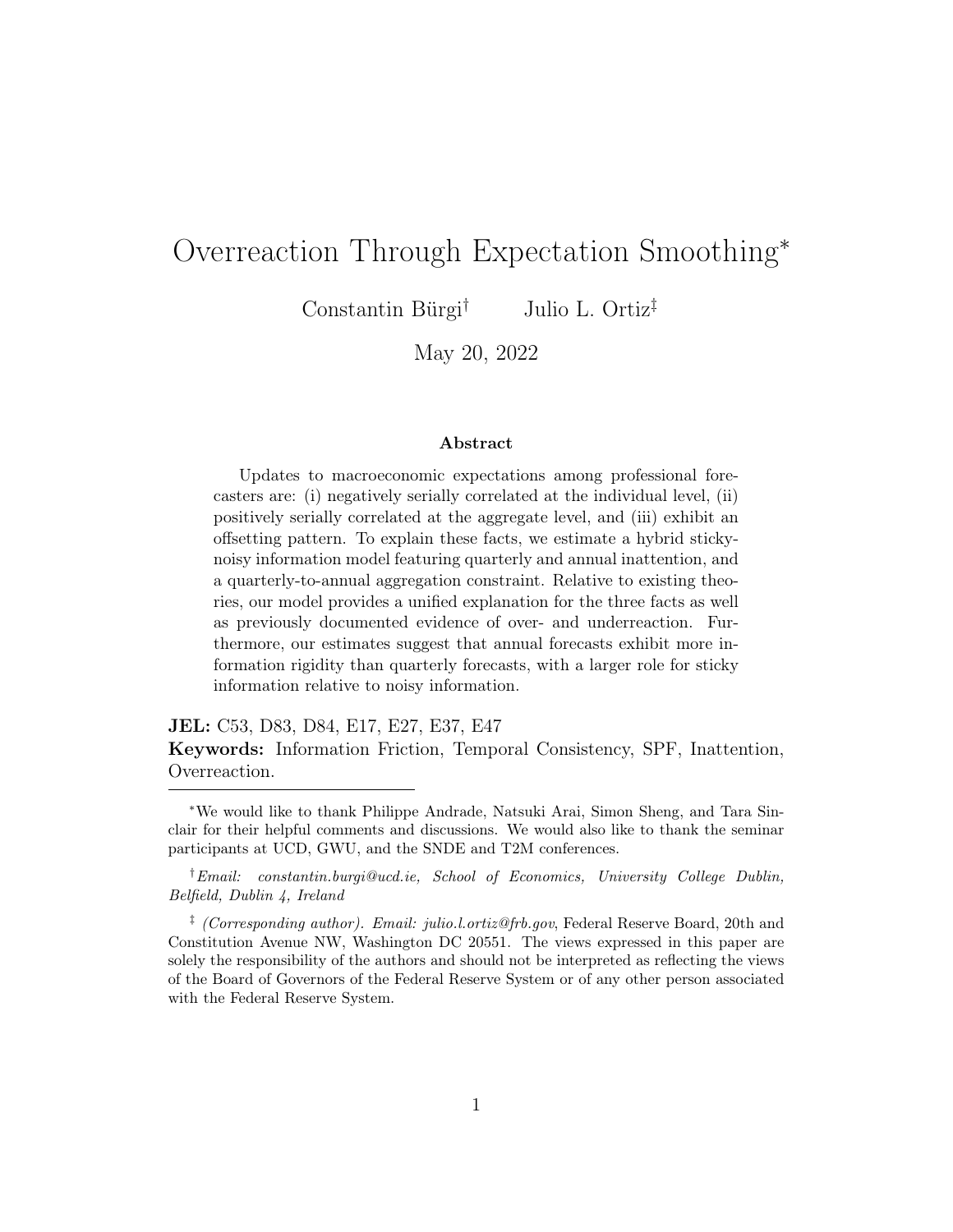#### <span id="page-19-0"></span>Figure 3: Revision Autocorrelation and Updating Probabilities



Note: The figure plots the simulated revision autocorrelation coefficients as a function of the probability of Case 2 updating. The left axis plots the individual-level coefficient while the right axis plots the aggregate coefficient.

washes out in the cross-section, so the aggregate autocorrelation coefficient actually rises with elevated levels of  $\sigma_v$ . The standard noisy information logic applies here: higher private noise variance reduces the signal-to-noise ratio and the Kalman gains thereby generating inertia in expectation formation.

### 3.4 Updating Probabilities

Sticky information is an important feature of our model. To assess the role that infrequent annual updating plays in driving observed overreactions, we focus on the frequency of Case 2 updating.

Figure [3](#page-19-0) illustrates how individual overadjustments depend on the quarterly and annual updating probabilities. On the left axis, the figure plots simulated estimates of the autocorrelation of individual forecast revisions. The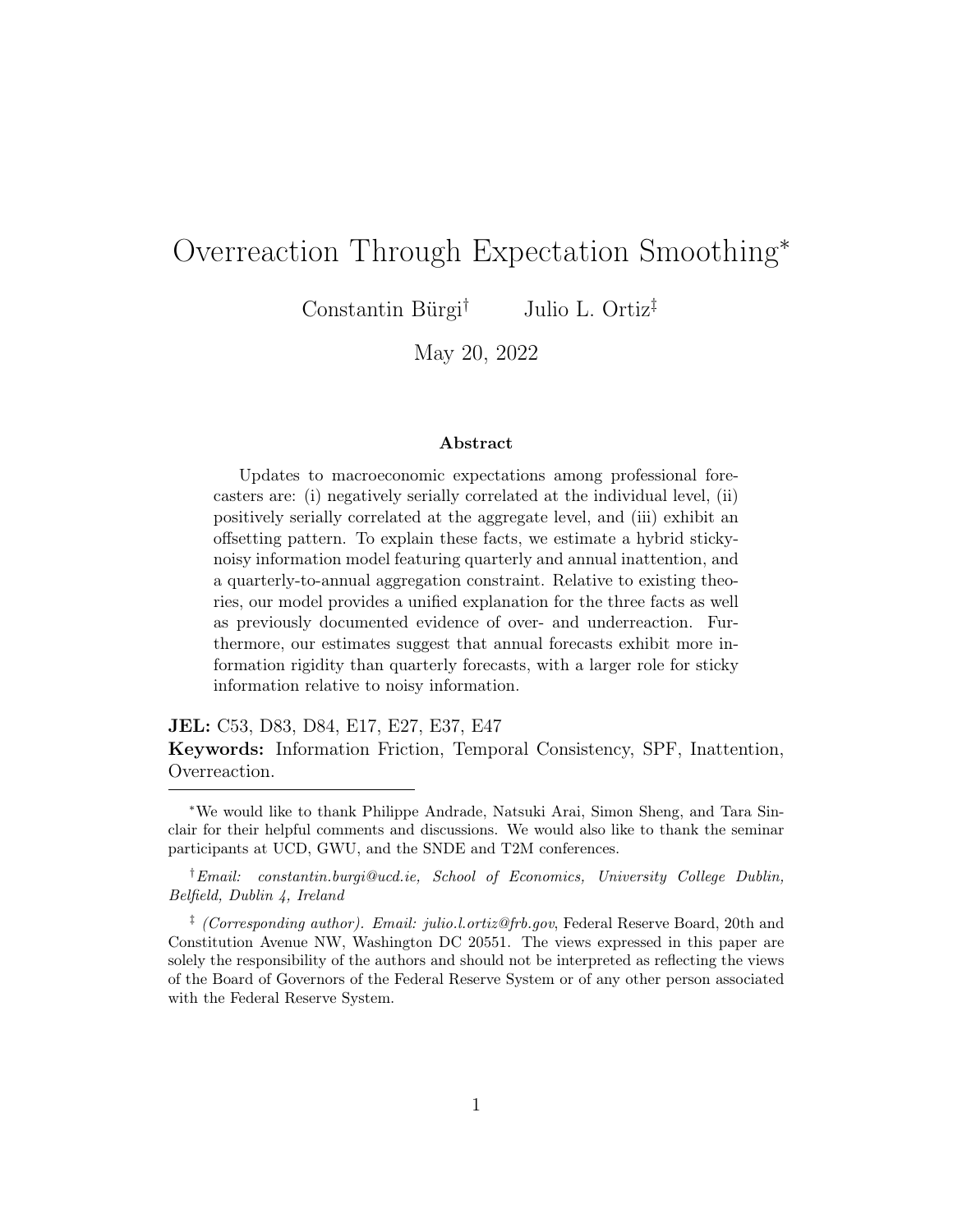right axis plots the aggregate revision autocorrelation coefficient. Finally, the horizontal axis plots the probability of Case 2 updating.

Focusing first on the individual autocorrelation coefficient, we see that as the probability of Case 2 updating rises, forecasters' quarterly predictions overreact more strongly. The sharper overreaction occurs because forecasters increasingly find themselves in a scenario in which they wish to update based on news they receive, but cannot adjust their annual outlooks. In this case, forecasters respond to news, but offset their sequence of revisions so as to preserve temporal consistency. The excessive revising that occurs along the annual path is responsible for generating overreactions. Turning to the right axis, we note that the simulated aggregate autocorrelation coefficient is also decreasing in the probability of Case 2 updating. As more forecasters engage in Case 2 updating, the amount of inertia in quarterly expectations diminishes.

## 4 Model Estimation

Having analyzed the model's ability to reproduce over- and underreactions, we next turn to estimating the model with micro data from the SPF. For our baseline results, we fit the model to real GDP growth forecasts. Of the seven parameters, we first fix the unconditional mean,  $\mu = 2.4$ , consistent with the sample mean of real-time real GDP growth over this period.

We estimate the remaining six parameters via a minimum distance estimation approach. The parameters to be estimated are  $\theta = (\rho \ \sigma_w \ \sigma_e \ \sigma_v \ q \ p)'$ . These parameters are chosen to match eight data moments: the covariance matrix of current-quarter and current-year forecasts, the covariance matrix of current-quarter forecast revisions and last quarter's forecast error, and the mean squared errors associated with current quarter predictions and current year predictions.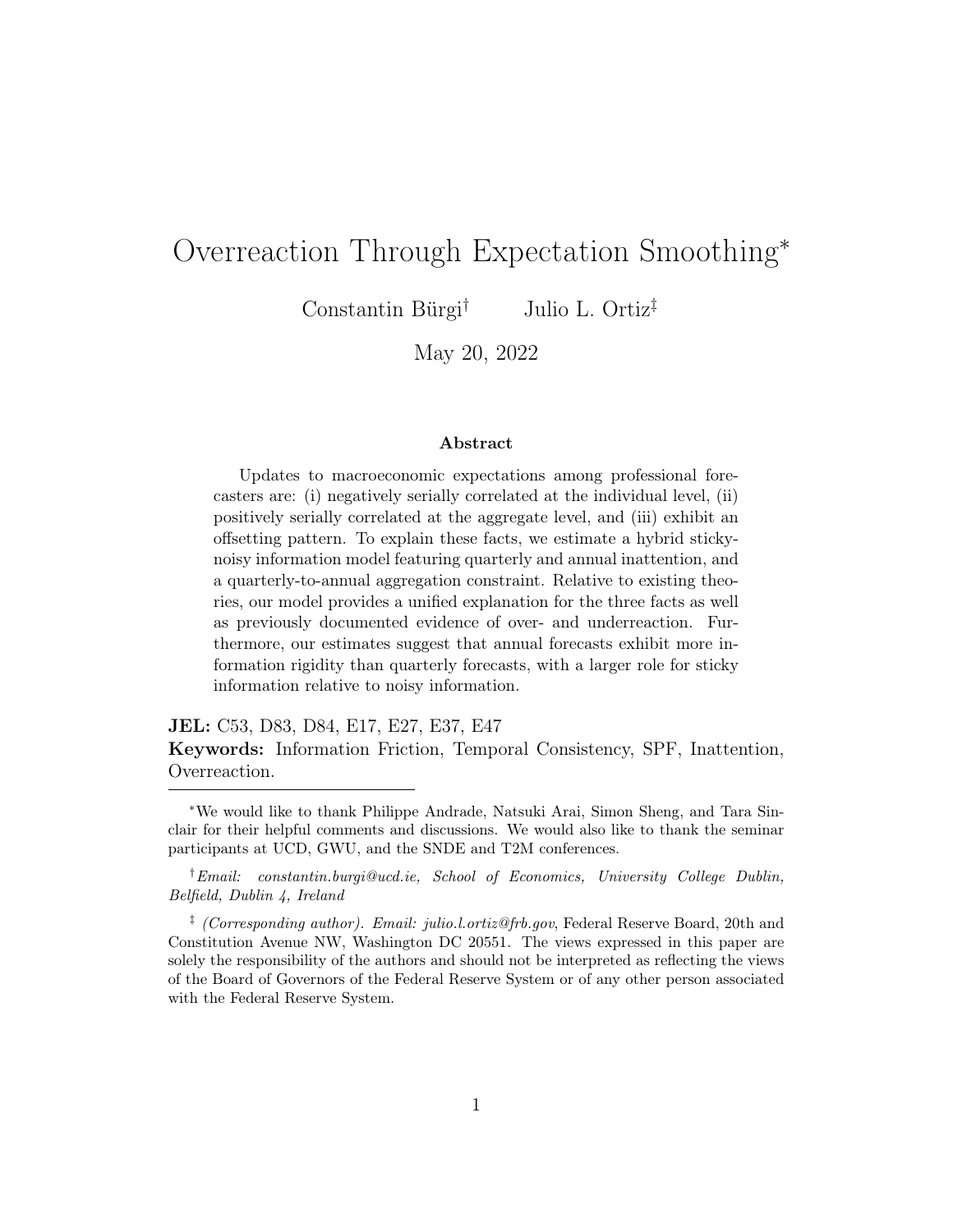#### 4.1 Identification

As with any other estimation approach, a discussion of identification is imperative. Here, there is a joint mapping between parameters and moments, however, some moments are especially important for identifying certain parameters. Figure [C4](#page-48-0) illustrates some important comparative statics that lend support to the choice of target moments.

The underlying persistence of the latent state,  $\rho$ , is in part identified by the covariance between the current-quarter forecast and the current-year forecast. With a highly persistent data generating process, the covariance between current-quarter and current-year forecasts will be strongly positive. Moreover, the updating probabilities, q and  $p$ , inform the relevant mean squared errors.

The dispersion parameters,  $\sigma_w$ ,  $\sigma_e$ , and  $\sigma_v$  require further discussion. Two of these parameters reflect noise variance  $(\sigma_e$  and  $\sigma_v)$  while the other  $(\sigma_w)$ reflects the variance of the latent state innovations. The distinction between noise and signal is crucial for the identification of these parameters.

First, the variance of the underlying state innovations,  $\sigma_w$ , is identified in part from the variance of the current-year forecast. Recall that the currentyear forecast is:  $\frac{1}{4} \sum_{h=0}^{3} \hat{x}_{t+h|t}^i$ . As the end of the year approaches, more and more realizations of  $x_t$  within the year figure into the optimal current-year projection, replacing the filtered forecasts that are subject to noise. For this reason, an increase in  $\sigma_w$  raises the variance of the current-year forecast.

Moreover, elevated levels of public signal noise,  $\sigma_e$ , contribute to a larger forecast error variance. The link between common noise and the variance of errors is intuitive since the transitory component,  $e_t$ , is linear in the macroeconomic variable being predicted.

Lastly, private noise variance,  $\sigma_v$ , informs the covariance between revisions and lagged errors. Based on the model, the filtered current-quarter forecast revision is:

$$
x_{t|t}^i - x_{t|t-1}^i = \kappa_1(y_t^i - x_{t|t-1}^i) + \kappa_2(x_{t-1} - x_{t-1|t-1}^i).
$$

where  $\kappa_1$  and  $\kappa_2$  denote the Kalman gains. An increase in  $\sigma_v$  reduces the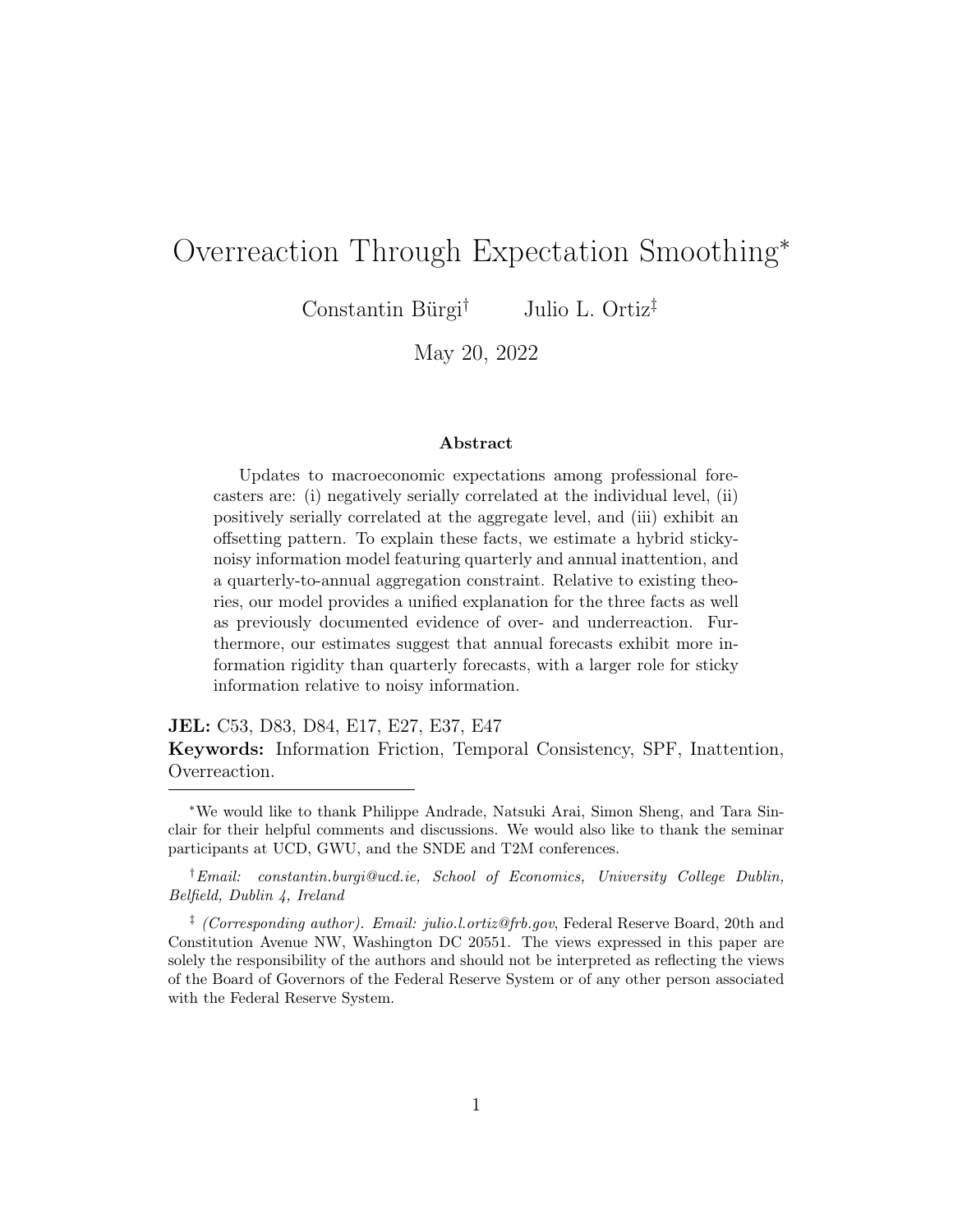Kalman gain weight placed on the private signal,  $\kappa_1$ . As  $\sigma_v$  rises, fluctuations in the current-quarter revision are increasingly driven by lagged forecast errors, thereby strengthening the covariance between the revision and the lagged error. In other words, with less informative private signals, forecasters trust  $y_t^i$  less and instead base more of their revisions on the news gleaned from yesterday's error.[18](#page-22-0)

### 4.2 Estimation Results

The parameters estimated via the minimum distance approach are precisely estimated and are reported in Panel A of Table [5.](#page-23-0) The underlying persistence of the latent state is estimated to be 0.46. In addition, the dispersion in state innovations is 1.92 while the dispersions of public and private noise are 1.07 and 1.13, respectively. These estimates imply a signal-to-noise ratio of about  $\sigma_w$  $\frac{\sigma_w}{\sigma_e + \sigma_v} \approx 0.87$ . Furthermore, the probability of quarterly updating is about 0.94, indicating that forecasters update their quarterly predictions nearly every period. Lastly, the probability of annual updating is estimated to be 0.58, meaning that forecasters update their annual predictions slightly more than twice a year. This estimated probability is significantly below one, indicating that there is scope for the model to generate both over- and underadjustments. Our estimates imply that annual smoothing is a meaningful friction in the model. In the absence of infrequent annual updating, the root mean squared error for current-quarter predictions would fall by 10%.

The model is able to successfully replicate the targeted features of the data. Panel B of Table [5](#page-23-0) reports the model-implied moments and the empirical moments, scaled to correlations and standard deviations. The fourth column of Panel B reports t-statistics which indicate that the model moments are statistically indistinguishable from their empirical counterparts. A test of overidentifying restrictions delivers a p-value of 0.49, failing to reject the null hypothesis thereby lending additional support to the validity of the estimates.

<span id="page-22-0"></span><sup>&</sup>lt;sup>18</sup>Figure [C5](#page-49-0) in Appendix C helps assess the sources of identification by reporting the sensitivity of each of the six parameters to changes in a given moment, based on [Andrews](#page-34-7)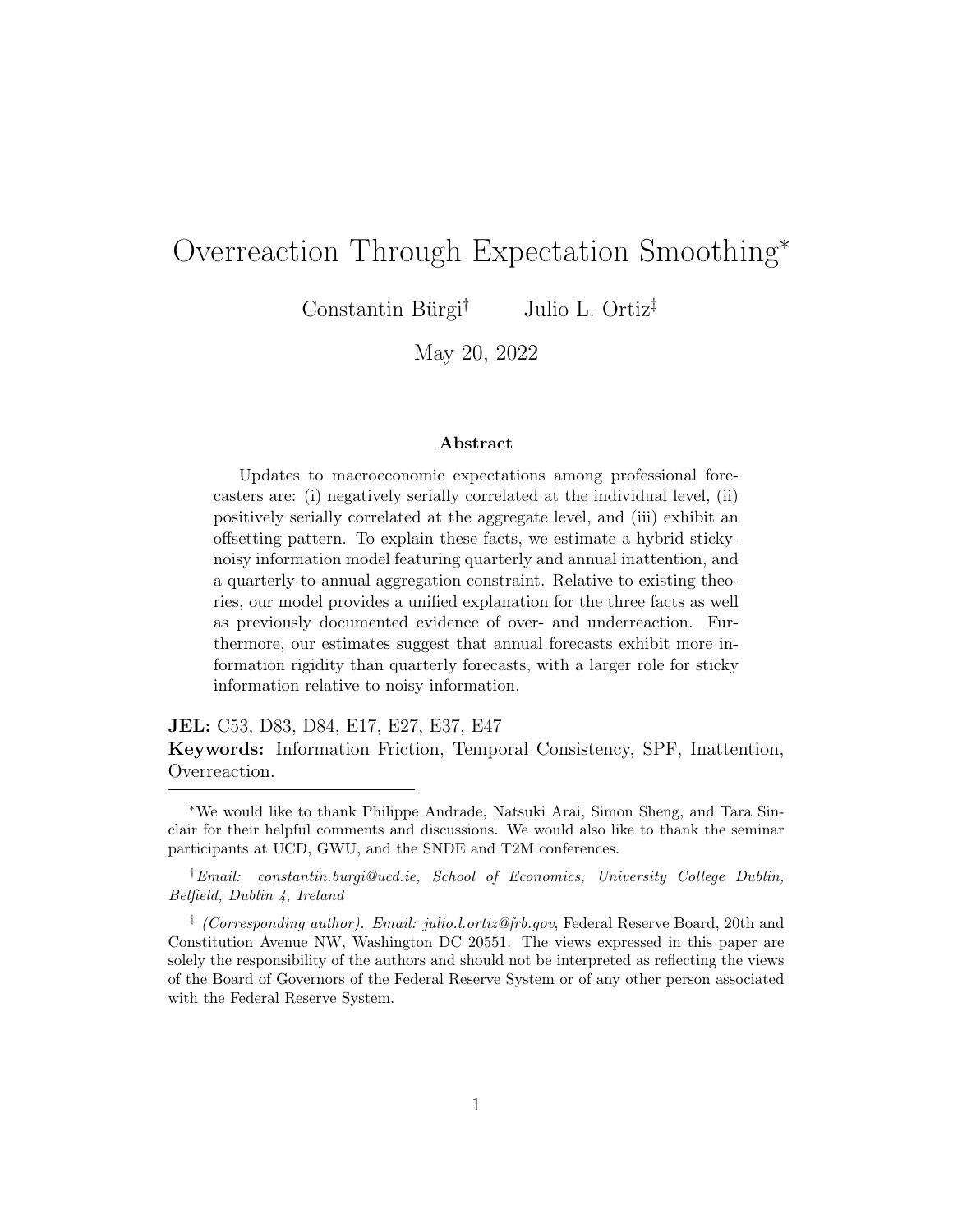<span id="page-23-0"></span>

| Panel A: Parameter Estimates                |                  |             |                |
|---------------------------------------------|------------------|-------------|----------------|
|                                             | Parameter        | Estimate    | Standard error |
| Persistence of latent state                 | $\rho$           | 0.460       | 0.040          |
| State innovation dispersion                 | $\sigma_w$       | 1.920       | 0.179          |
| Public signal noise                         | $\sigma_e$       | 1.072       | 0.276          |
| Private signal noise                        | $\sigma_v$       | 1.127       | 0.272          |
| Probability of quarterly update             | $\boldsymbol{q}$ | 0.938       | 0.081          |
| Probability of annual update                | $\boldsymbol{p}$ | 0.584       | 0.037          |
| Panel B: Moments                            |                  |             |                |
|                                             | Model moment     | Data moment | t-statistic    |
| Standard deviation of nowcast               |                  |             |                |
|                                             | 1.630            | 1.719       | $-0.873$       |
| Correlation of nowcast with annual forecast | 0.701            | 0.670       | $-0.512$       |
| Standard deviation of annual forecast       | 1.062            | 1.103       | $-0.714$       |
| Standard deviation of revision              | 1.512            | 1.615       | $-0.712$       |
| Correlation of revision with lagged error   | 0.174            | 0.143       | 0.228          |
| Standard deviation of lag error             | 1.633            | 1.720       | $-1.008$       |
| RMSE nowcast                                | 1.650            | 1.677       | $-0.555$       |

Table 5: Model Estimation Results

Note: Panel A reports the model parameters with point estimates reported in the third column and standard errors reported in the fourth column. Panel B reports the model vs. data moments with t-statistics reported in the fourth column.

# [5 Annual Smoothing and Overadjustments](#page-34-7)

[Having evaluated the estimated model and assessed its fit to the targeted](#page-34-7) [moments, we next turn to analyzing its ability to replicate the patterns of over](#page-34-7)[and underadjustments observed in the data. We then discuss two robustness](#page-34-7) [exercises and study a potential driver of annual inattention.](#page-34-7)

### 5.1 Simulated Regression Coe cients

[The model is able to successfully replicate the negative autocorrelation of](#page-34-7) [revisions observed in the data. Figure](#page-34-7) [4](#page-24-0) plots the autocorrelation of revisions [across horizons both in the data and in the model. The simulated model-based](#page-34-7) [estimates nearly always lie within the 95% confidence interval of the estimated](#page-34-7)

[et al.](#page-34-7) [\(2017\)](#page-34-7). These figures confirm the intuition laid out above.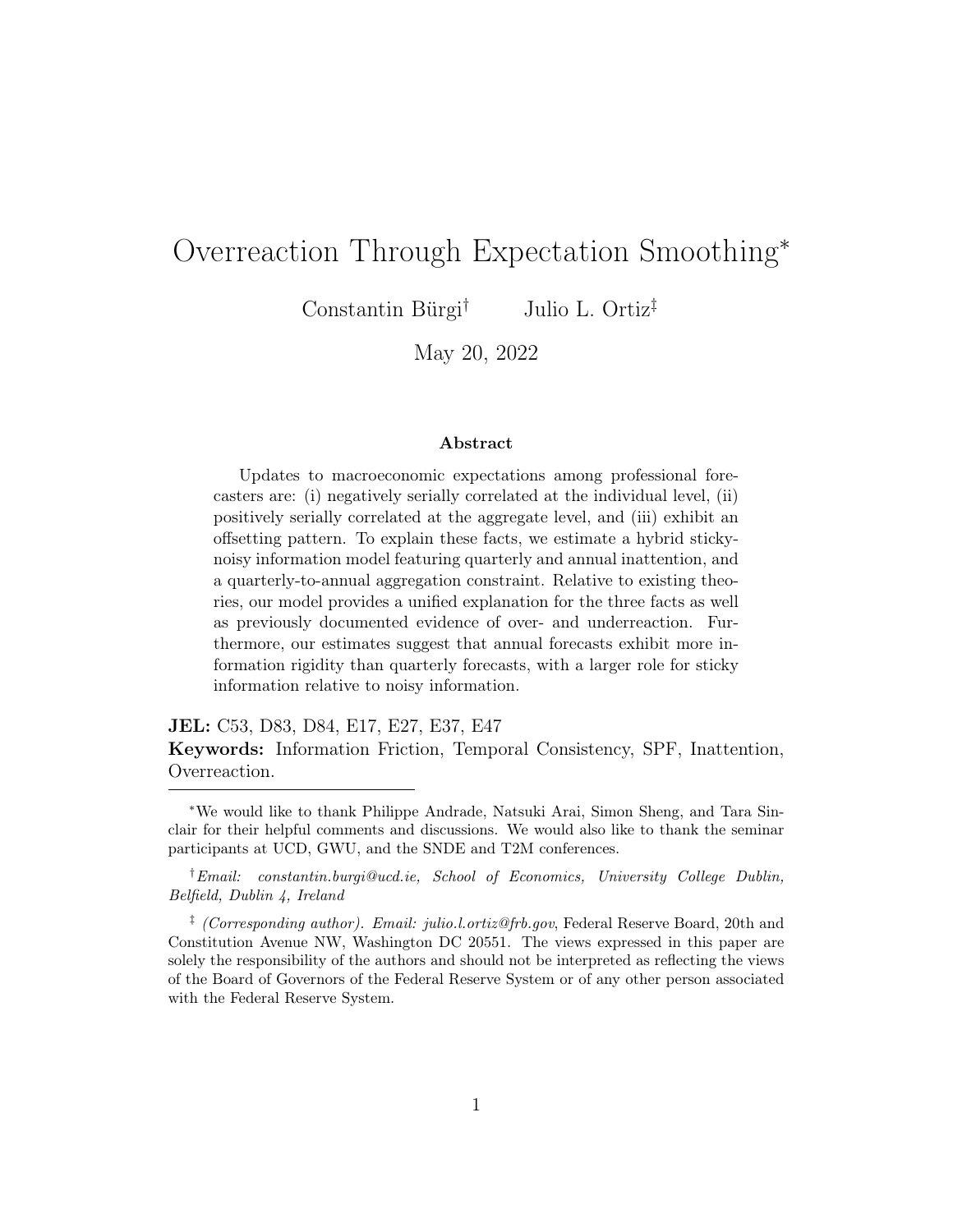<span id="page-24-0"></span>

Figure 4: Model Fit to Revision Autocorrelation

Note: The figure plots the empirical and model-implied autocorrelation of revisions. The top panel plots the individual autocorrelation coefficient, and the bottom panel plots the consensus-level autocorrelation coefficient. 95% confident intervals are displayed with each point estimate.

coefficients, both at the individual (top panel) and aggregate (bottom panel) levels.

Table [6](#page-25-0) reports ten additional non-targeted moments. Panel A reports individual-level regression coefficients of errors-on-revisions at the current quarter as well as one- and two-quarter ahead horizons (rows 1 to 3). The fourth row of the panel reports the estimated coefficient from a regression of the annual (Q4/Q4) forecast error on the realized outcome as in [Kohlhas and Walther](#page-35-2) [\(2021\)](#page-35-2). Across these four regressions, the model almost always predicts indi-vidual overreactions as in the top panel of Figure [4.](#page-24-0)<sup>[19](#page-24-1)</sup>

<span id="page-24-1"></span><sup>19</sup>The model does not generate a negative errors-on-revisions coefficient for current-quarter forecasts. This is because the model assumes that the news forecasters receive is about today. As a result, forecasters place more importance on minimizing current quarter errors, and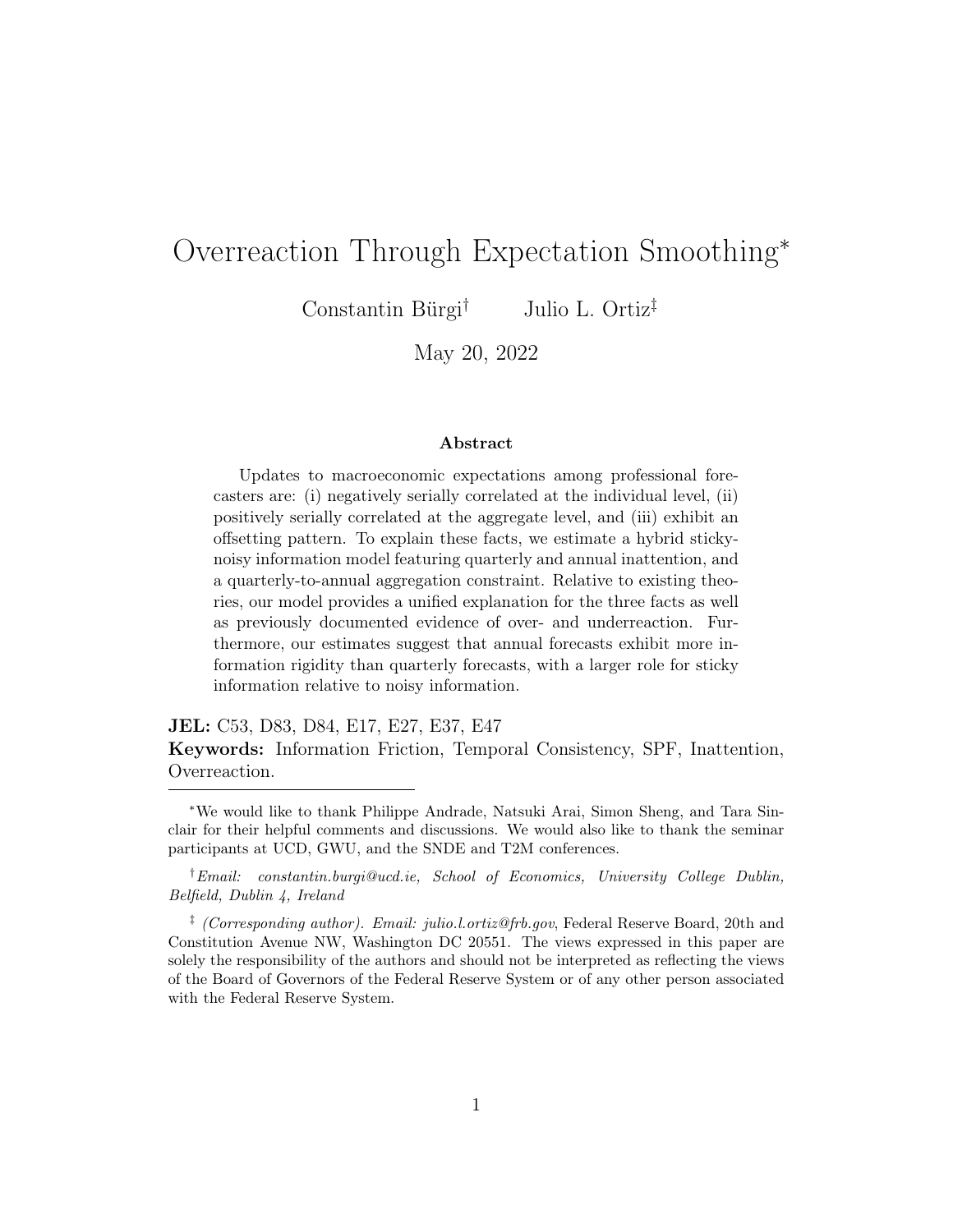<span id="page-25-0"></span>

| Panel A: Individual-Level    |          |         |          |         |
|------------------------------|----------|---------|----------|---------|
|                              |          | Model   |          | Data    |
| $\beta(FECQ, FRCQ)$          | 0.044    | (0.039) | $-0.269$ | (0.061) |
| $\beta(FE1Q, FR1Q)$          | $-0.182$ | (0.098) | $-0.156$ | (0.077) |
| $\beta(FE2Q, FR2Q)$          | $-0.564$ | (0.113) | $-0.355$ | (0.064) |
| $\beta$ (Annual FE, Outcome) | $-0.058$ | (0.094) | $-0.064$ | (0.023) |
| $\beta(FE1Q, FE1Q_{-1})$     | 0.197    | (0.061) | 0.190    | (0.063) |
| Panel B: Aggregate-Level     |          |         |          |         |
|                              | Model    |         |          | Data    |
| $\beta(FECQ, FRCQ)$          | 0.644    | (0.061) | 0.136    | (0.121) |
| $\beta(FE1Q, FR1Q)$          | 0.765    | (0.277) | 0.724    | (0.299) |
| $\beta(FE2Q, FR2Q)$          | 0.109    | (0.598) | 1.093    | (0.294) |
| $\beta$ (Annual FE, Outcome) | $-0.136$ | (0.216) | 0.149    | (0.095) |
| $\beta(FE1Q, FE1Q_{-1})$     | 0.188    | (0.125) | 0.286    | (0.080) |

Table 6: Additional Non-targeted Moments

Note: The table reports additional regression coefficients in the model as well in the data. Standard deviations and standard errors are reported in parentheses. 'FE' refers to forecast error, 'FR' refers to forecast revision, and 'CQ, 1Q, 2Q' refer to current quarter, one-quarter ahead, and two-quarters ahead, respectively.

The final row of Panel A displays estimates of forecast error persistence. We report this estimate to highlight our model's ability to reproduce another feature of the data: positively autocorrelated individual-level errors. In a rational setting in which forecasters are able to observe past realizations of the variable of interest, errors should not exhibit persistence.<sup>[20](#page-25-1)</sup> Our model is able to generate error persistence precisely because annual smoothing introduces lagged errors into reported forecasts. We find this to be a desirable feature of our model as it allows us to match this pattern in the data while making a

instead reshuffle their future forecasts, for which the signals are less informative, to maintain annual consistency. If instead signals were informative about future quarters rather than the current quarter, then the model would generate a negative errors-on-revisions coefficient for current-quarter forecasts.

<span id="page-25-1"></span> $20$ The literature often assumes that forecasters never observe the variable of interest, thereby preserving error persistence. Here, we assume that  $x_{t-1}$  is observable.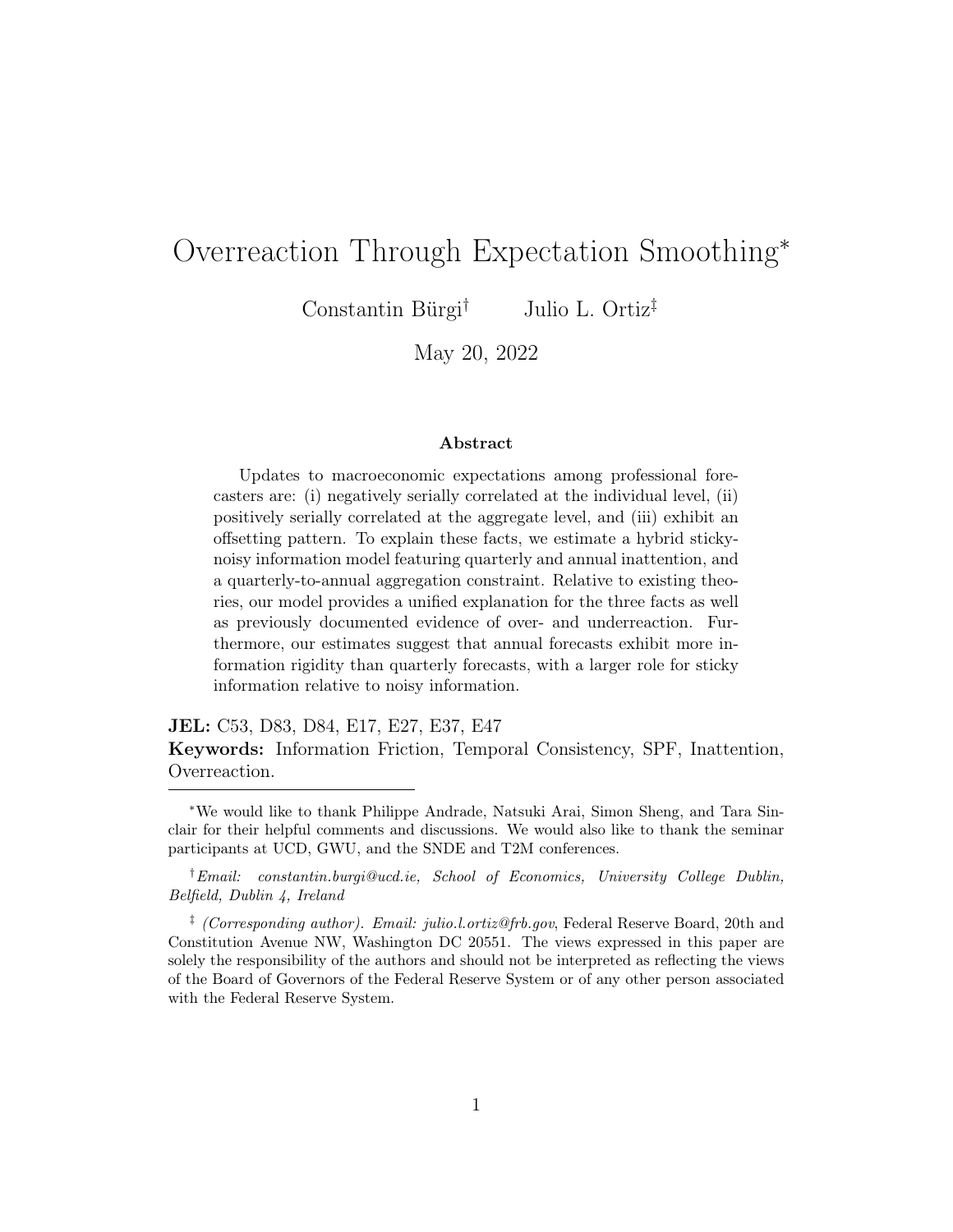more realistic assumption about the forecaster's information set.

Panel B of Table [6](#page-25-0) reports the aggregate analogs to the estimates in Panel A. The first three rows in particular, indicate that consensus forecasts exhibit inertia. Taken together, the results demonstrate that the model is successful in producing empirically relevant magnitudes of over- and underadjustments.

### 5.2 Incorporating Non-Rational Expectations

To better understand the quantitative importance of our mechanism as a driver of overadjustments, we augment our model with a behavioral friction in a supplementary exercise. We choose a leading theory of non-rational expectations, diagnostic expectations [\(Bordalo et al.,](#page-34-8) [2019;](#page-34-8) [Bianchi et al.,](#page-34-9) [2021;](#page-34-9) [Bordalo](#page-34-10) [et al.,](#page-34-10) [2021;](#page-34-10) [Chodorow-Reich et al.,](#page-35-9) [2021\)](#page-35-9), which draws from the representativeness heuristic [\(Tversky and Kahneman,](#page-36-7) [1974\)](#page-36-7). In particular, diagnostic forecasters place excess weight on new information such that their reported current-quarter prediction is:

$$
x_{t|t}^{i,\theta} = \mathbb{E}_{it}(x_t) + \theta \big[ \mathbb{E}_{it}(x_t) - \mathbb{E}_{it-1}(x_t) \big],
$$

where  $\theta$  is the degree of diagnosticity. When  $\theta = 0$ , the model collapses to a rational expectations model. On the other hand, in a world of diagnostic expectations,  $\theta > 0$ .

The objective of this exercise is to model two channels of overreaction: (i) our annual smoothing mechanism and (ii) diagnostic expectations, and to quantify the relative importance of our mechanism. To do so, we re-estimate the model with and without diagnostic expectations while targeting two additional moments: the contemporaneous covariance of errors and revisions, and the variance of contemporaneous errors. We add these moments to the estimation procedure in order to ensure that the model fits a well-known measure of overreactions, the coefficient of errors on revisions, as closely as possible. We estimate unconstrained (with  $\theta$ ) and constrained (without  $\theta$ ) versions of our model while targeting this expanded set of ten moments. The results are reported in Table [D5.](#page-52-0)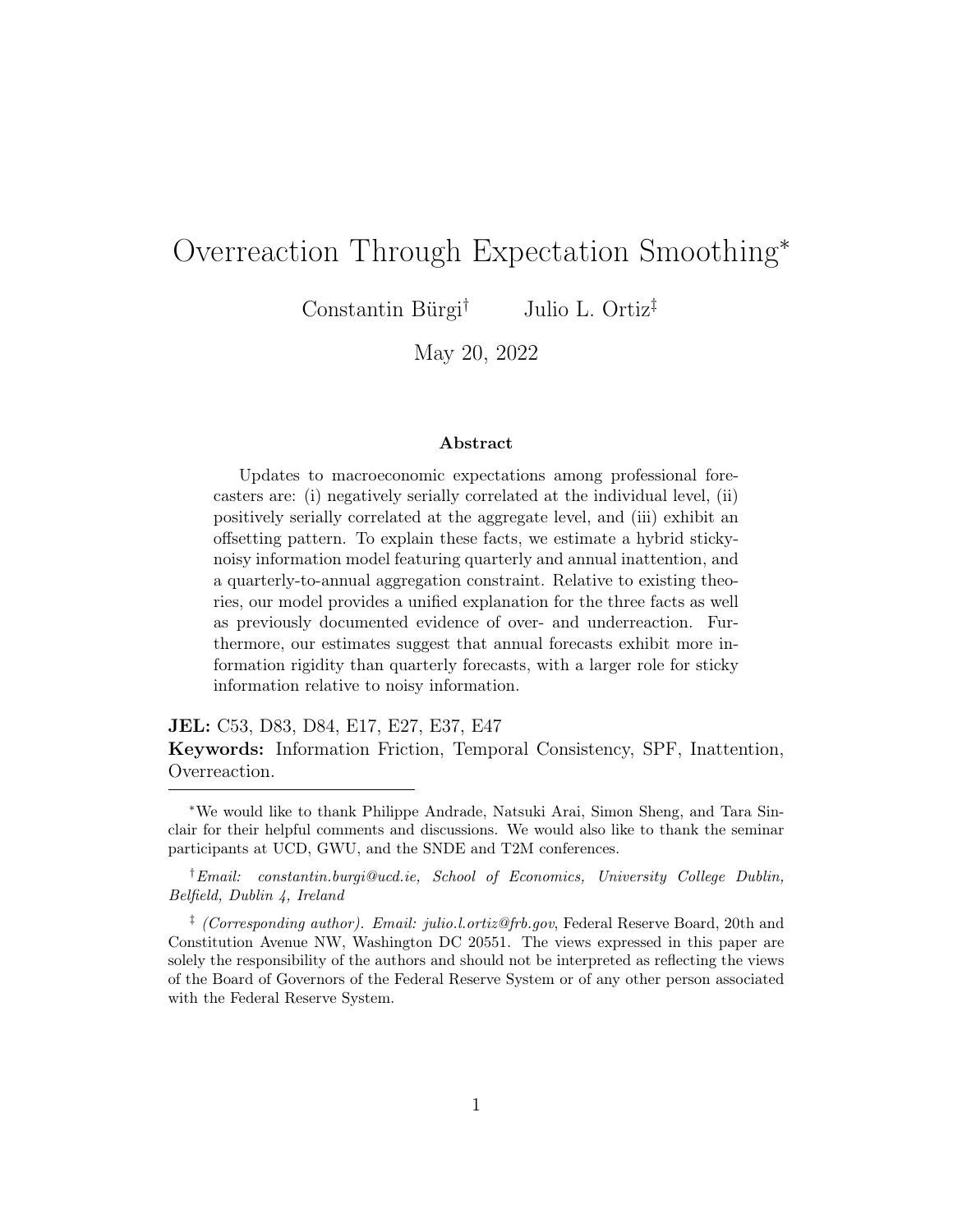#### <span id="page-27-0"></span>Figure 5: Annual Smoothing vs. Diagnostic Expectation Contributions



Note: The figure plots the contributions of annual smoothing and diagnostic expectations, in percent, to three measures of overreactions.

The constrained model, without diagnostic expectations, implies that the probability of Case 2 updating,  $q(1-p)$ , is about 0.41. In the unconstrained model, which features diagnostic expectations, this probability falls by roughly 35%. At the same time, our estimate of diagnosticity is 0.50 which is similar to though slightly lower than the estimate obtained in [Bordalo et al.](#page-34-0) [\(2020\)](#page-34-0) who use the same data and estimation approach. Overall, our results indicate that annual smoothing and temporal consistency can explain a meaningful amount of observed overreactions, even in the presence of a non-rational belief friction.

In a second exercise, we examine the importance of annual smoothing relative to diagnostic expectations by running three simulated regressions. Using our unconstrained parameter estimates, we first simulate a panel of forecasts and run an errors-on-revisions regression, a revision autocorrelation regression, and an errors-on-outcomes regression. We then fix  $\theta = 0$  and repeat this exer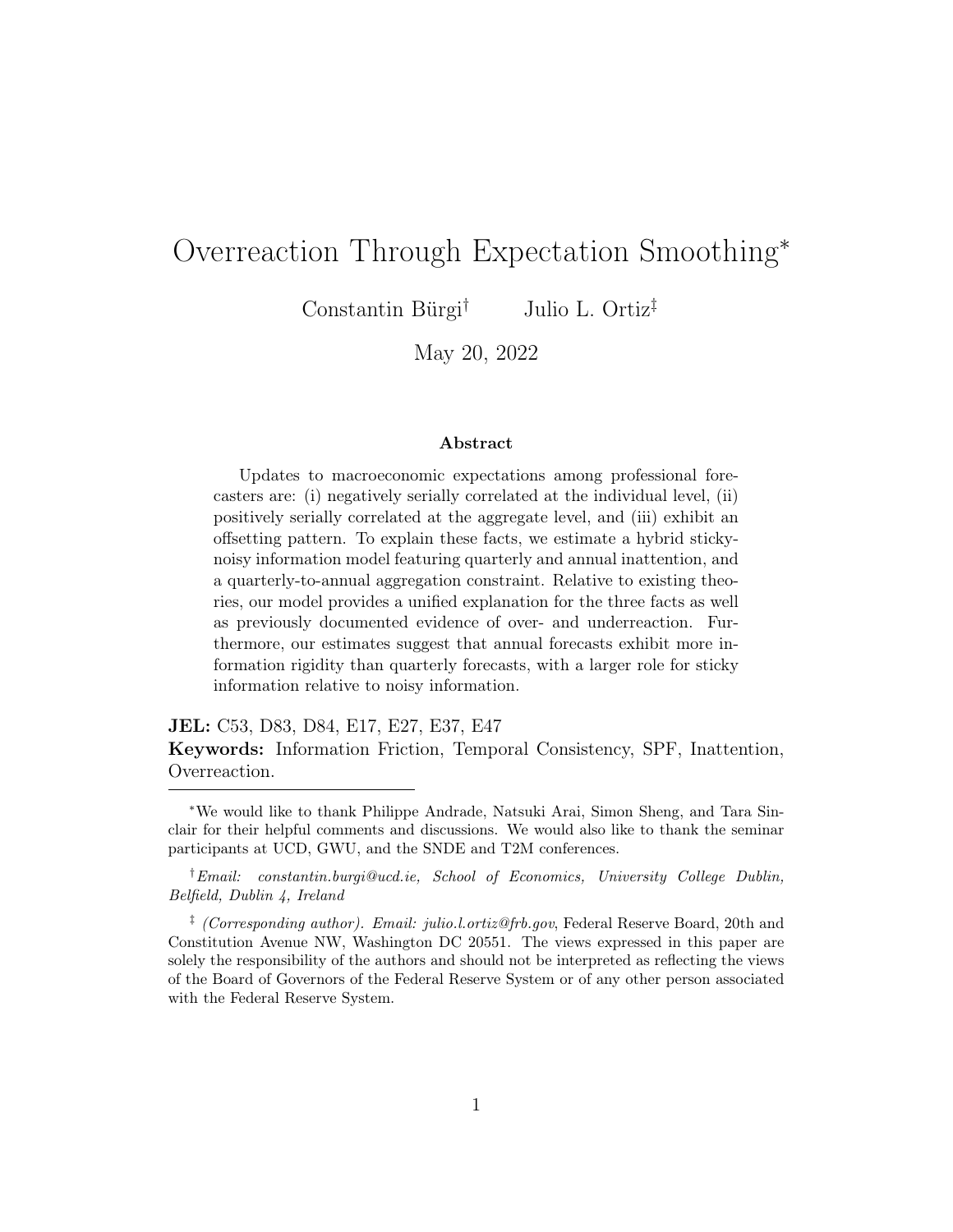cise. Figure [5](#page-27-0) displays three sets of stacked bars, each corresponding to one of the aforementioned regressions. The red bar denotes the contribution of our annual smoothing mechanism to the overall estimate of overadjustments in the unconstrained model, while the blue bar denotes the contribution of diagnostic expectations. Once again, we find that annual smoothing is a meaningful, and in this case dominant, driver of quarterly overreactions. While there are a number of other plausible sources of overadjustments, these results suggest that annual smoothing can be a quantitatively important driver of overreactions.

### 5.3 Annual Smoothing Across SPF Variables

We next estimate our baseline model for a range of macroeconomic variables covered in the SPF. Table [7](#page-29-0) reports empirical and simulated estimates of revision autocorrelation, our non-targeted moment of choice. In general, we find that our model is broadly successful in reproducing the negatively autocorrelated revisions observed in the data.

### 5.4 Examining Potential Sources of Annual Smoothing

Annual inattention can arise due to reputational considerations or time and resource constraints associated with frequent model updating. The reputational considerations hypothesis is unlikely to explain annual smoothing in the data since the SPF is an anonymous survey. We therefore proceed to examine the plausibility of resource constraints. To do so, we exploit the SPF classifications of different forecaster types.

In 1990, the SPF began collecting information on respondents' industries of employment. A respondent is labeled as either a financial service provider, a non-financial service provider, or neither. Financial service providers include asset managers, investment bankers, and insurance companies while non-financial forecasters include academics employed at universities, manu-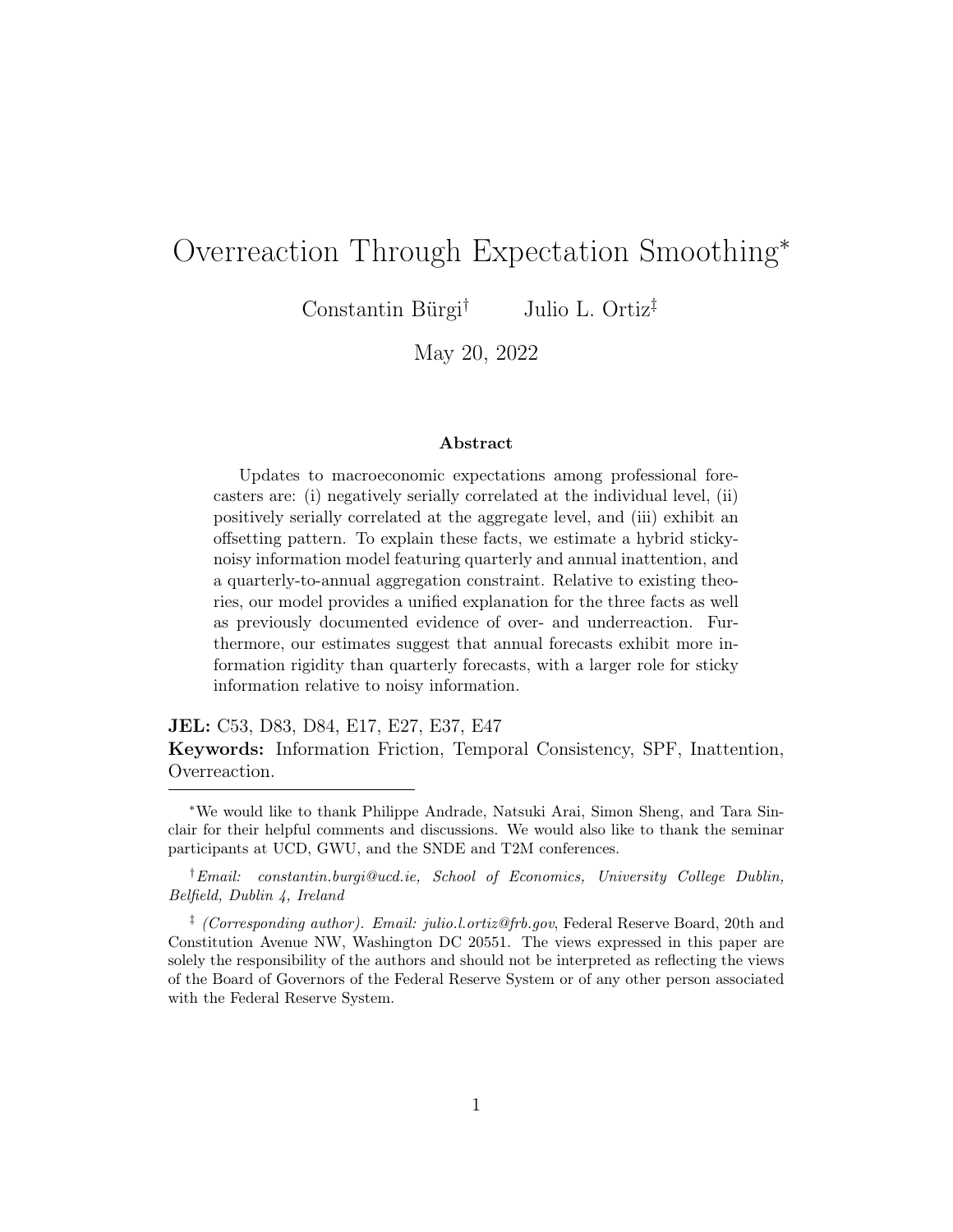<span id="page-29-0"></span>

|                                | Revision Autocorrelation |                 |  |
|--------------------------------|--------------------------|-----------------|--|
|                                | Model                    | Data.           |  |
| Real GDP                       | $-0285(0.029)$           | $-0.202(0.027)$ |  |
| Nominal GDP                    | $-0.250(0.027)$          | $-0.303(0.050)$ |  |
| Real consumer spending         | $-0.325(0.027)$          | $-0.281(0.047)$ |  |
| GDP deflator                   | $-0.261(0.031)$          | $-0.253(0.053)$ |  |
| Real residential investment    | $-0.178(0.027)$          | $-0.171(0.035)$ |  |
| Real nonresidential investment | $-0.155(0.027)$          | $-0.265(0.025)$ |  |
| Real federal spending          | $-0.203(0.030)$          | $-0.222(0.028)$ |  |
| Real state/local spending      | $-0.178(0.035)$          | $-0.203(0.041)$ |  |
| Industrial production          | $-0.209(0.025)$          | $-0.242(0.035)$ |  |
| <b>CPI</b>                     | $-0.447(0.019)$          | $-0.336(0.047)$ |  |
| Unemployment                   | $-0.010(0.038)$          | $-0.284(0.029)$ |  |
| Ten year bond                  | $-0.422(0.019)$          | $-0.280(0.028)$ |  |
| 3-month bill                   | $-0.229(0.045)$          | $-0.254(0.025)$ |  |
| Housing starts                 | $-0.010(0.035)$          | $-0.261(0.021)$ |  |

Table 7: Estimates Across SPF Variables

Note: The table reports one-quarter ahead revision autocorrelation coefficients in the model and the data for various macroeconomic variables covered in the SPF. Bold values are significantly negative at the 5% level.

facturers, and consulting firms.<sup>[21](#page-29-1)</sup> In general, a forecaster is able to switch across categories over time.

We hypothesize that annual smoothing is weaker among financial service providers. Inattention is plausibly costlier among these types of forecasters because client demands require them to operate with up-to-date information. On the other hand, non-financial service providers likely complete other tasks on a regular basis that do not require highly updated information on macroeconomic developments. To assess this hypothesis, we re-estimate the baseline model for financial and non-financial forecasters separately and find the strongest evidence of annual smoothing among non-financial service

<span id="page-29-1"></span> $21$ A full list is provided on page 33 of the SPF documentation: [https:](https://www.philadelphiafed.org/-/media/frbp/assets/surveys-and-data/survey-of-professional-forecasters/spf-documentation.pdf?la=en&hash=F2D73A2CE0C3EA90E71A363719588D205) [//www.philadelphiafed.org/-/media/frbp/assets/surveys-and-data/](https://www.philadelphiafed.org/-/media/frbp/assets/surveys-and-data/survey-of-professional-forecasters/spf-documentation.pdf?la=en&hash=F2D73A2CE0C3EA90E71A363719588D205) [survey-of-professional-forecasters/spf-documentation.pdf?la=en&hash=](https://www.philadelphiafed.org/-/media/frbp/assets/surveys-and-data/survey-of-professional-forecasters/spf-documentation.pdf?la=en&hash=F2D73A2CE0C3EA90E71A363719588D205) [F2D73A2CE0C3EA90E71A363719588D205](https://www.philadelphiafed.org/-/media/frbp/assets/surveys-and-data/survey-of-professional-forecasters/spf-documentation.pdf?la=en&hash=F2D73A2CE0C3EA90E71A363719588D205)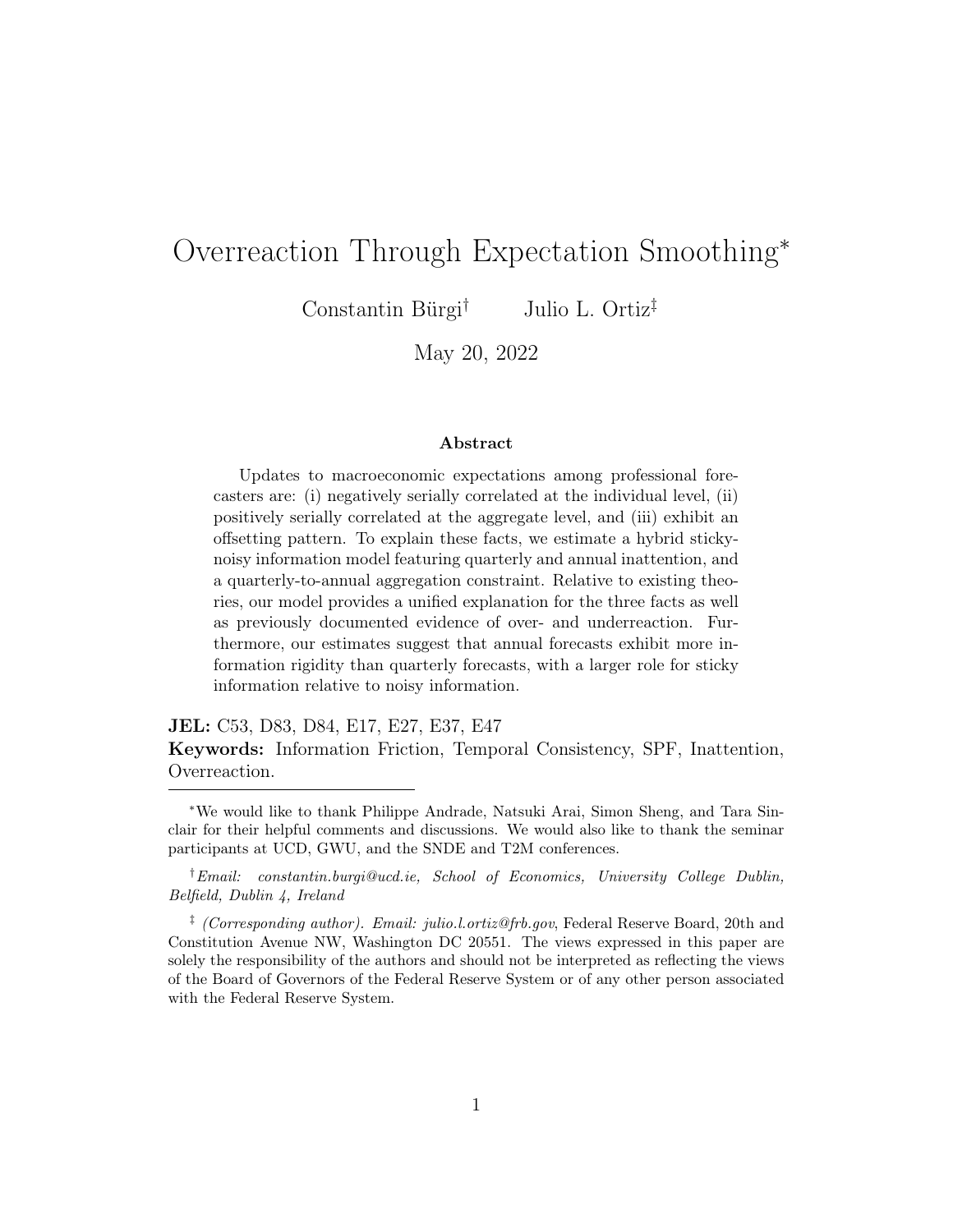

<span id="page-30-1"></span>Figure 6: Model Fit to Revision Autocorrelation, by Forecaster Type

Note: The figure plots the empirical and model-implied autocorrelation of revisions. The top two panels plot the individual autocorrelation coefficient, and the bottom two panels plot the consensus-level autocorrelation coefficient. The first column of panels refers to the financial industry forecaster subsample while the second column of panels refers to nonfinancial forecasters. 95% confident intervals are displayed with each point estimate.

providers.[22](#page-30-0)

Figure [6](#page-30-1) displays the non-targeted fit of the estimated models to the autocorrelation of revisions. Overall, our estimated models are able to match the autocorrelation of revisions across either type of forecaster, which are more strongly negative among non-financial forecasters. In addition, the estimated probability of Case 2 updating is higher among non-financial forecasters. These results favor a time or resource-based interpretation of annual inattention.

<span id="page-30-0"></span> $22$ The estimation results are reported in Table [D6.](#page-53-0)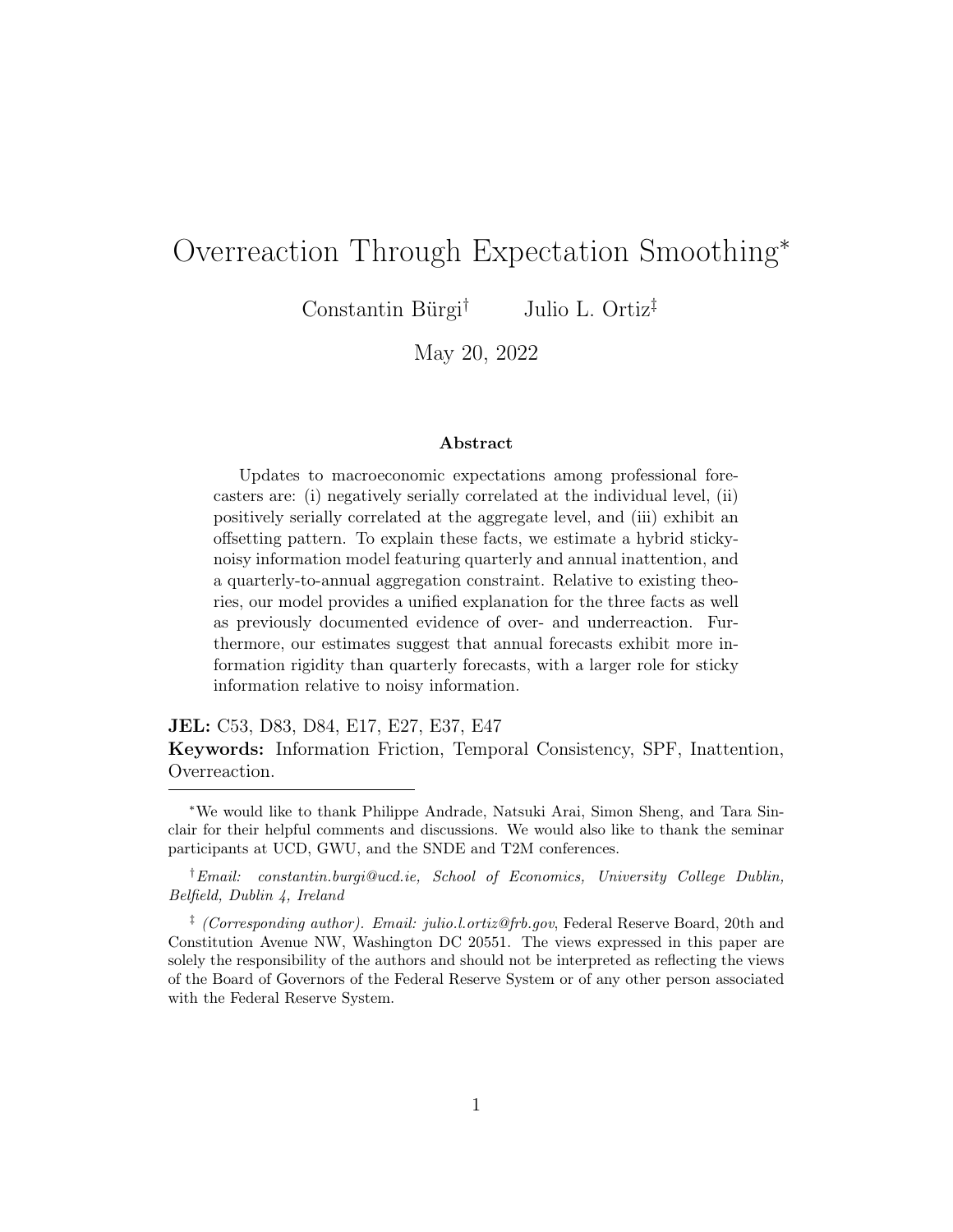# 6 Implications for Information Frictions

In addition to serving as a source of observed overadjustments, our model can also speak to the literature on information frictions. Since our model does not allow us to readily extract a coefficient of information rigidity from an OLS regression, we simulate the estimated model in order to retrieve the steady state Kalman gains and to quantify the size of information frictions.

### 6.1 Model-Implied Information Rigidities

Column 3 of Table [8](#page-32-0) reports measures of implied information rigidity for SPF forecasts of real GDP and inflation. Since our model is a hybrid sticky-noisy information model, we define the implied information friction to be:

<span id="page-31-1"></span>
$$
Implied friction = [1 - Pr(update)] + Pr(update) \times (1 - \kappa_1 - \kappa_2),
$$
 (6)

where Pr(update) denotes the probability of updating, which reflects the sticky information feature of the model. Based on our estimates in the previous sections, this probability varies across frequencies. Moreover, the role of noisy information in overall information frictions is understood through the coefficients  $\{\kappa_1, \kappa_2\}$  which denote the Kalman gains.<sup>[23](#page-31-0)</sup>

In traditional models of either sticky information or noisy information, the relevant information rigidity is governed by either the probability of updating or the Kalman gain(s). Here, the implied friction is a combination of these two objects. With some probability, forecasters do not update. In this case, they effectively place a weight of zero on new information. With some probability, forecasters do update, in which case they weigh new information based on the Kalman gains. Upon updating, the relevant information friction is one minus the sum of these optimal weights. Together, these terms capture the notion of an information friction in a hybrid sticky-noisy information model, which can interpreted as an expected weight placed on new information.

<span id="page-31-0"></span><sup>&</sup>lt;sup>23</sup>In particular,  $\kappa_1$  denotes the weight placed on the private contemporaneous signal and  $\kappa_2$  is the weight placed on the lagged realization of the macroeconomic variable.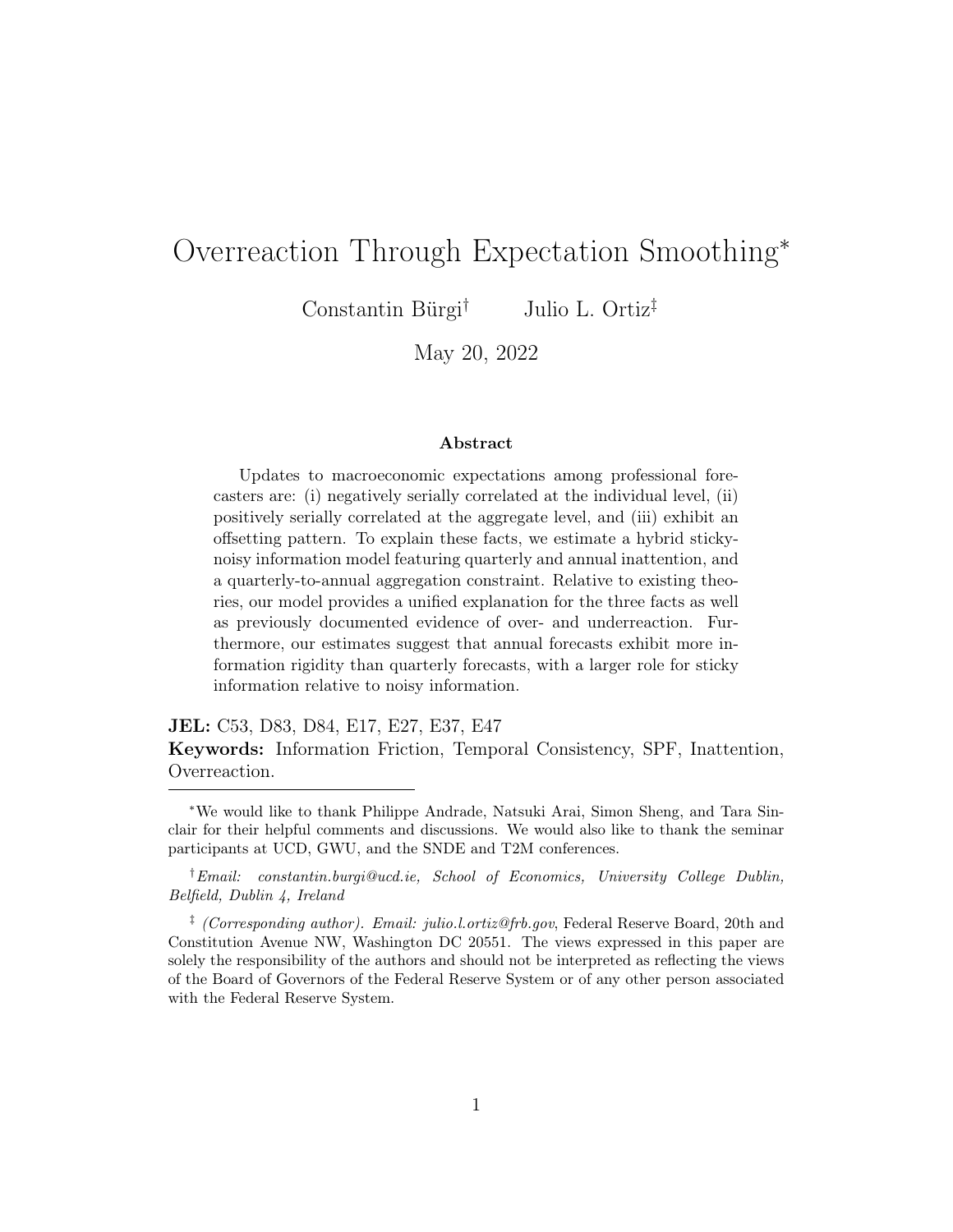<span id="page-32-0"></span>

|                    | Probability | Implied  | Sticky info  | Noisy info   |
|--------------------|-------------|----------|--------------|--------------|
|                    | of updating | friction | contribution | contribution |
| Panel A: Real GDP  |             |          |              |              |
| Quarterly          | 0.934       | 0.248    | $25.0\%$     | 75.0%        |
| Annual             | 0.584       | 0.532    | 78.2%        | 21.8%        |
| Panel B: Inflation |             |          |              |              |
| Quarterly          | 0.997       | 0.256    | $1.0\%$      | 99.0%        |
| Annual             | 0.571       | 0.574    | 74.7%        | 25.3%        |

Table 8: Information Frictions Across Models

Note: The table reports estimated updating probabilities, implied information frictions, and contributions of sticky and noisy information for real GDP and inflation at quarterly and annual frequencies. Implied information frictions are computed based on [\(6\)](#page-31-1) with model-implied Kalman gains  $\{0.749, 0.052\}$  and  $\{0.685, 0.061\}$  for real GDP and inflation, respectively. Contributions of sticky and noisy information are computed according to [\(7\)](#page-33-0).

In order to compare our implied information frictions to those in the literature, we also report model estimates using inflation forecasts based on the GDP deflator. At a quarterly frequency, we estimate information frictions to be about 0.26 while, for annual forecasts, we find that information frictions are higher, at 0.57. For reference, [Coibion and Gorodnichenko](#page-35-0) [\(2015\)](#page-35-0) estimate coefficients of information rigidity to be around 0.54 while [Ryngaert](#page-36-6) [\(2017\)](#page-36-6) estimates information frictions to be roughly 0.33. Importantly, whereas existing estimates imply a single information friction for all frequencies, our analysis indicates that there is a difference in information rigidities across quarterly and annual frequencies. We note that the average of our quarterly and annual information frictions hover around these previously documented estimates.

### 6.2 Contributions of Sticky and Noisy Information

The literature on survey expectations has documented evidence consistent with both sticky and noisy information. Our results indicate that the data favor a hybrid model featuring signal extraction and frequency-specific sticky information. In addition to providing estimates of information frictions based on both sticky and noisy information, our model can also quantify the relative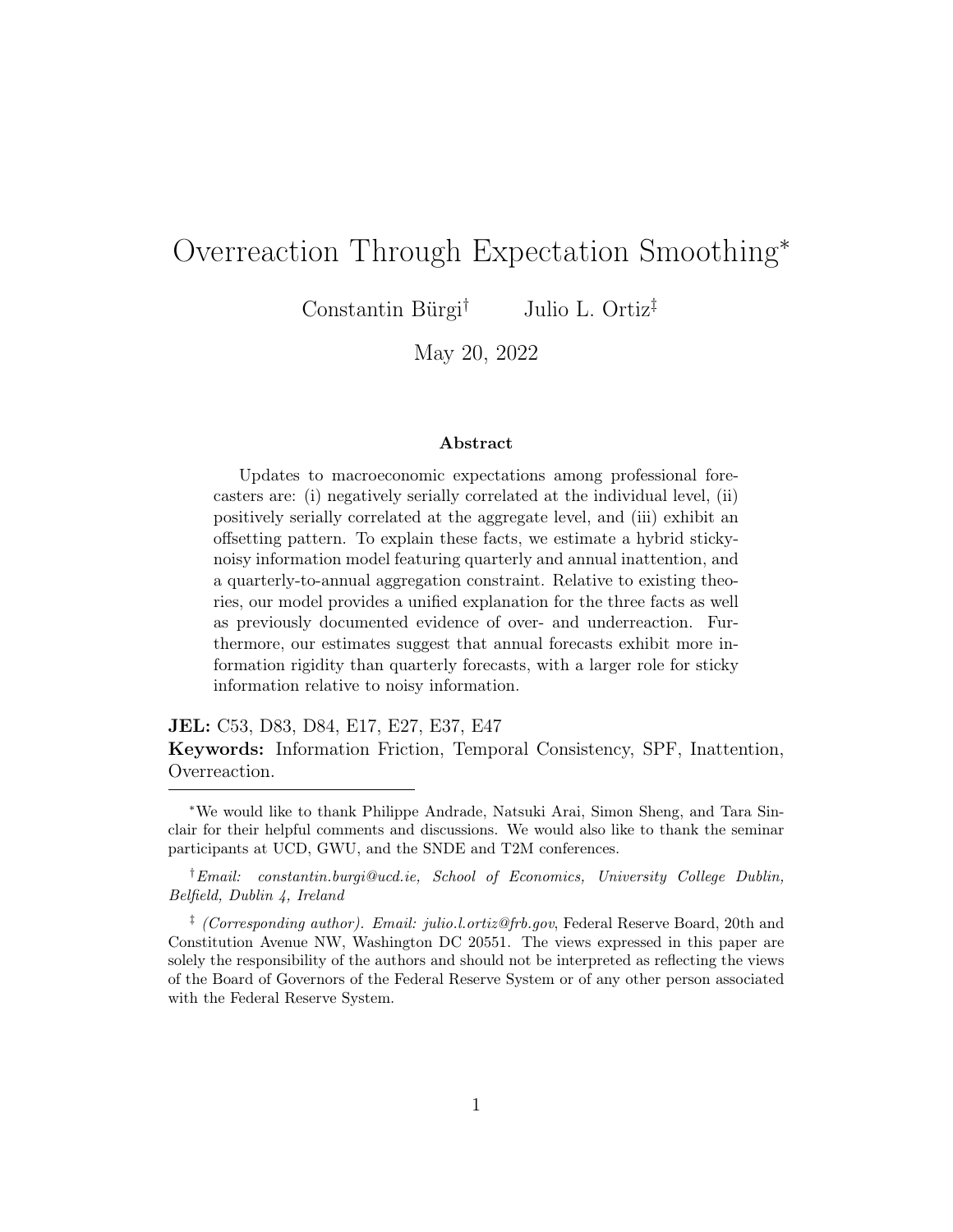importance of each of these channels. To do so, we normalize the implied information friction to equal one

<span id="page-33-0"></span>
$$
1 = \underbrace{\frac{1 - \Pr(\text{update})}{[1 - \Pr(\text{update})] + \Pr(\text{update}) \times (1 - \kappa_1 - \kappa_2)}}_{\text{Sticky info contribution}} + \underbrace{\frac{\Pr(\text{update}) \times (1 - \kappa_1 - \kappa_2)}{[1 - \Pr(\text{update})] + \Pr(\text{update}) \times (1 - \kappa_1 - \kappa_2)}}_{\text{Noisy info contribution}}.
$$
\n(7)

The first term in the above expression quantifies the role of sticky information in the overall measured information rigidity while the second term quantifies the importance of noisy information. The final two columns of Table [8](#page-32-0) report the contributions of each form of imperfect information to the implied friction reported in column 3. The results from this accounting exercise suggest that noisy information is the primary contributor to estimated information frictions among quarterly forecasts, while sticky information becomes substantially more important at the annual frequency.

## 7 Conclusion

We show that professional forecasters exhibit over- and underadjustments, and they offset their updates. Motivated by these facts, we build a hybrid sticky-noisy information model with quarterly and annual forecasts. From the lens of our model, overreactions arise because of annual smoothing and temporal consistency. When faced with new information, forecasters offset their current updates further along their annual trajectories. The trade-off between minimizing errors and satisfying consistency can explain a meaningful amount of overreactions to real GDP as well as other variables.

Our results also imply that information frictions vary by frequency, and attribute most of the annual friction to stickiness and the quarterly friction to noisiness. Future research might be able to provide a deeper microfoundation for annual smoothing, be it rational or behavioral. For policymakers, the result that quarterly predictions are updated almost every quarter and are partly contaminated by overadjustments due to annual smoothing, implies that they should focus on managing more stable medium- and long-term expectations.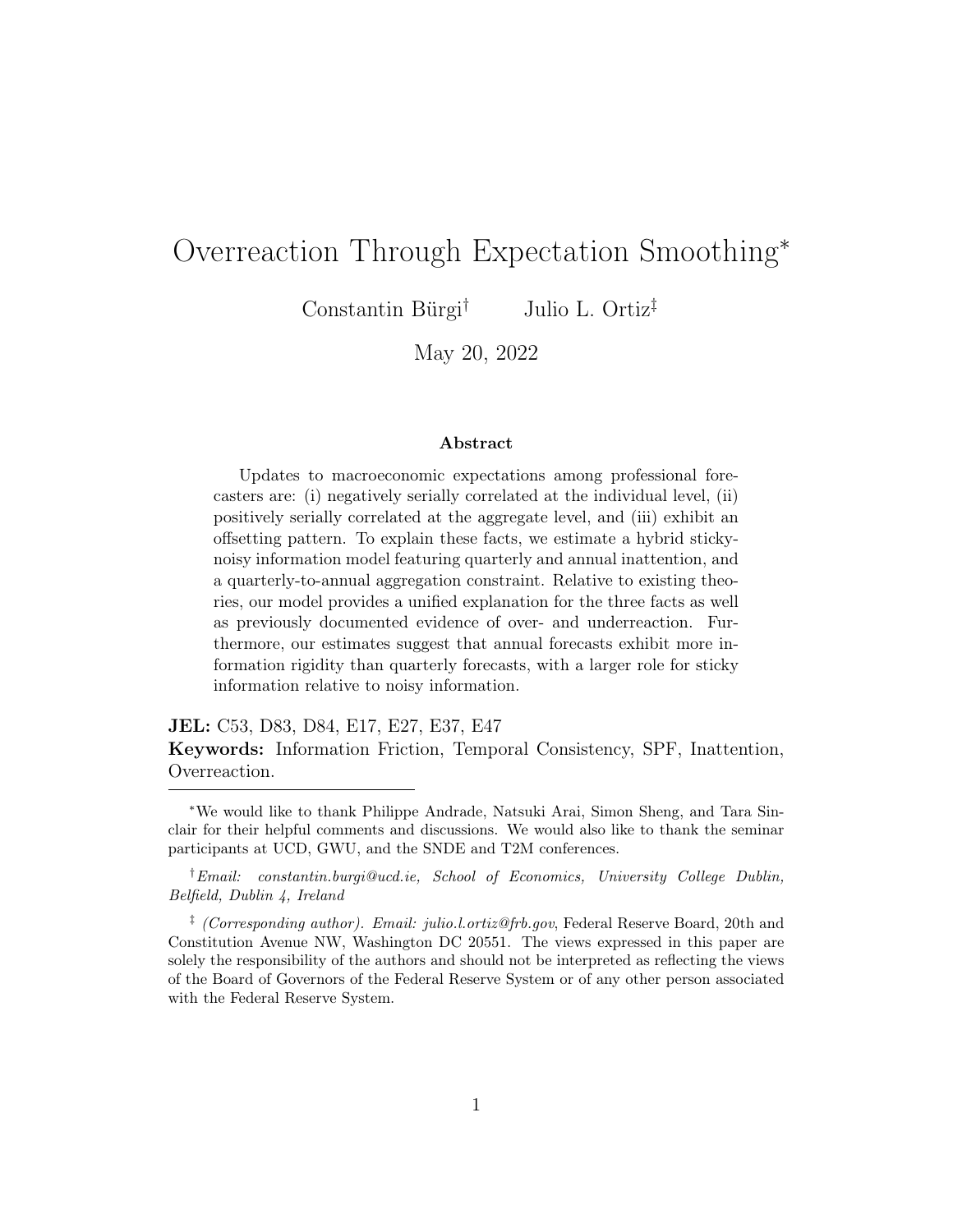# References

- <span id="page-34-6"></span>Afrouzi, H., Kwon, S., Landier, A., Ma, Y., and Thesmar, D. (2021). Overreaction in Expectations: Evidence and Theory. Working Paper.
- <span id="page-34-3"></span>Andrade, P. and Le Bihan, H. (2013). Inattentive Professional Forecasters. Journal of Monetary Economics, 60:967–982.
- <span id="page-34-7"></span>Andrews, I., Gentzkow, M., and Shapiro, J. M. (2017). Measuring the Sensitivity of Parameter Estimates to Estimation Moments. The Quarterly Journal of Economics, 132:1553–1592.
- <span id="page-34-5"></span>Azeredo da Silvera, R., Sung, Y., and Woodford, M. (2020). Optimally Imprecise Memory and Biased Forecasts. NBER Working Paper 28075.
- <span id="page-34-4"></span>Baker, S. R., McElroy, T. S., and Sheng, X. S. (2020). Expectation formation following large, unexpected shocks. Review of Economics and Statistics, 102(2):287–303.
- <span id="page-34-9"></span>Bianchi, F., Ilut, C., and Saijo, H. (2021). Diagnostic Business Cycles. NBER Working Paper 28604.
- <span id="page-34-0"></span>Bordalo, P., Gennaioli, N., Ma, Y., and Shleifer, A. (2020). Overreaction in Macroeconomic Expectations. American Economic Review, 110:2748–2782.
- <span id="page-34-8"></span>Bordalo, P., Gennaioli, N., Porta, R. L., and Shleifer, A. (2019). Diagnostic expectations and stock returns. The Journal of Finance, 74(6):2839–2874.
- <span id="page-34-10"></span>Bordalo, P., Gennaioli, N., Schleifer, A., and Terry, S. (2021). Real Credit Cycles. NBER Working Paper 28416.
- <span id="page-34-1"></span>Broer, T. and Kohlhas, A. (2019). Forecaster (Mis-)Behavior. Working Paper.
- <span id="page-34-2"></span>Bürgi, C. R. S. (2016). What Do We Lose When We Average Expectations? Working Papers 2016-013, The George Washington University, Department of Economics, H. O. Stekler Research Program on Forecasting.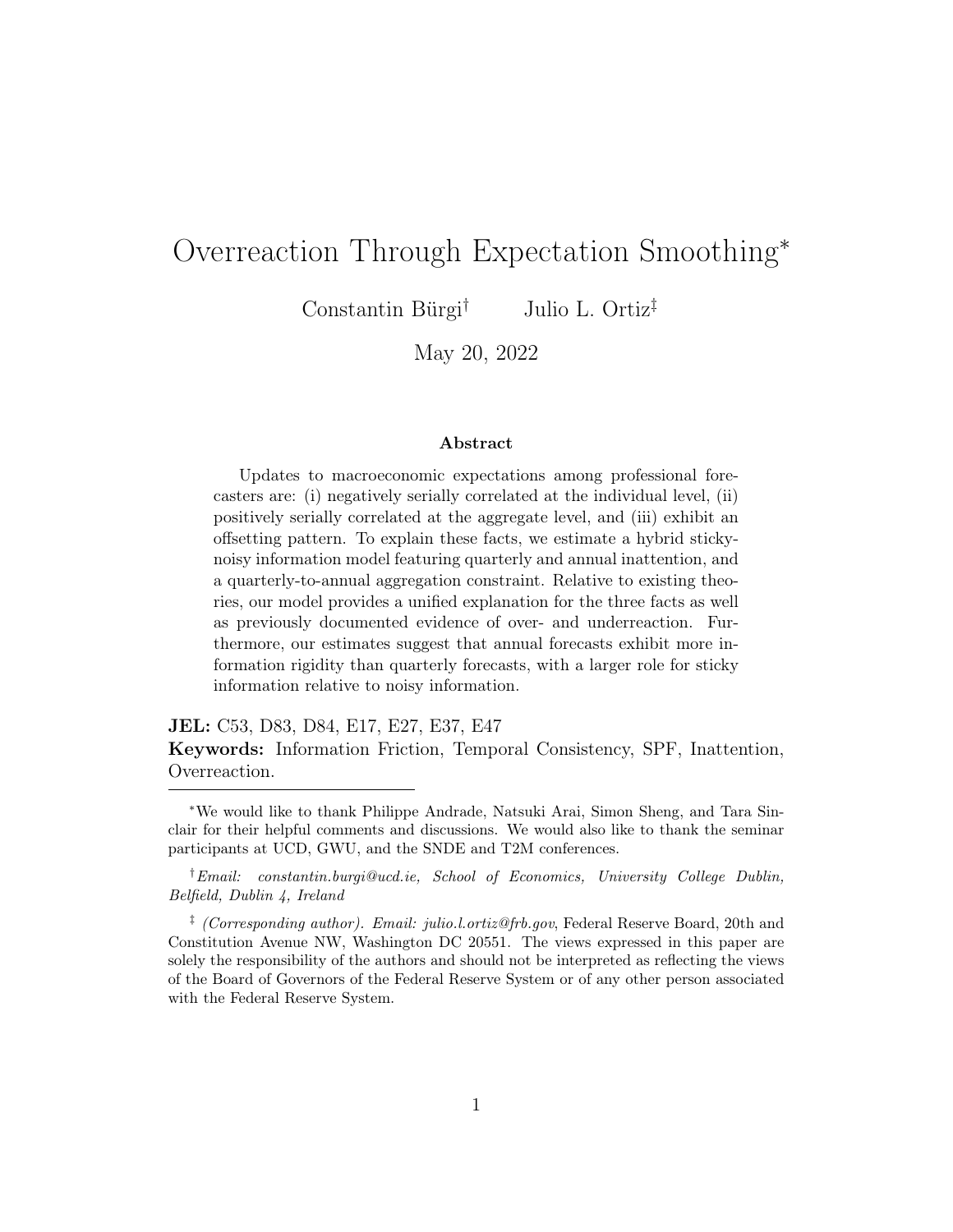- <span id="page-35-4"></span>Bürgi, C. R. S. (2017). Bias, rationality and asymmetric loss functions. Economics Letters, 154:113–116.
- <span id="page-35-9"></span>Chodorow-Reich, G., Guren, A. M., and McQuade, T. J. (2021). The 2000s Housing Cycle with 2020 Hindsight: A Neo-Kindlebergerian View. NBER Working Paper 29140.
- <span id="page-35-8"></span>Coibion, O. and Gorodnichenko, Y. (2012). What Can Survey Forecasts Tell Us About Information Rigidities? Journal of Political Economy, 120:116– 159.
- <span id="page-35-0"></span>Coibion, O. and Gorodnichenko, Y. (2015). Information rigidity and the expectations formation process: A simple framework and new facts. American Economic Review, 109:465–490.
- <span id="page-35-5"></span>Daniel, K., Hirshleifer, D., and Subrahmanyam, A. (1998). Investor Psychology and Security Market Under- and Overreactions. Journal of Finance, 53:1839–1885.
- <span id="page-35-1"></span>Dovern, J., Fritsche, U., Loungani, P., and Tamirisa, N. (2015). Information Rigidities: Comparing Average and Individual Forecasts for a Large International Panel. International Journal of Forecasting, 31:144–154.
- <span id="page-35-7"></span>Driscoll, J. C. and Kraay, A. C. (1998). Consistent Covariance Matrix Estimation with Spatially Dependent Panel Data. The Review of Economics and Statistics, 80:549–560.
- <span id="page-35-3"></span>Ehrbeck, T. and Waldmann, R. (1996). Why Are Professional Forecasters Biased? Agency Versus Behavioral Explanations. The Quarterly Journal of Economics,  $111(1):21-40$ .
- <span id="page-35-6"></span>Farmer, L., Nakamura, E., and Steinsson, J. (2022). Learning About the Long Run. NBER Working Paper 29495.
- <span id="page-35-2"></span>Kohlhas, A. N. and Walther, A. (2021). Asymmetric Attention. American Economic Review, 111:2879–2925.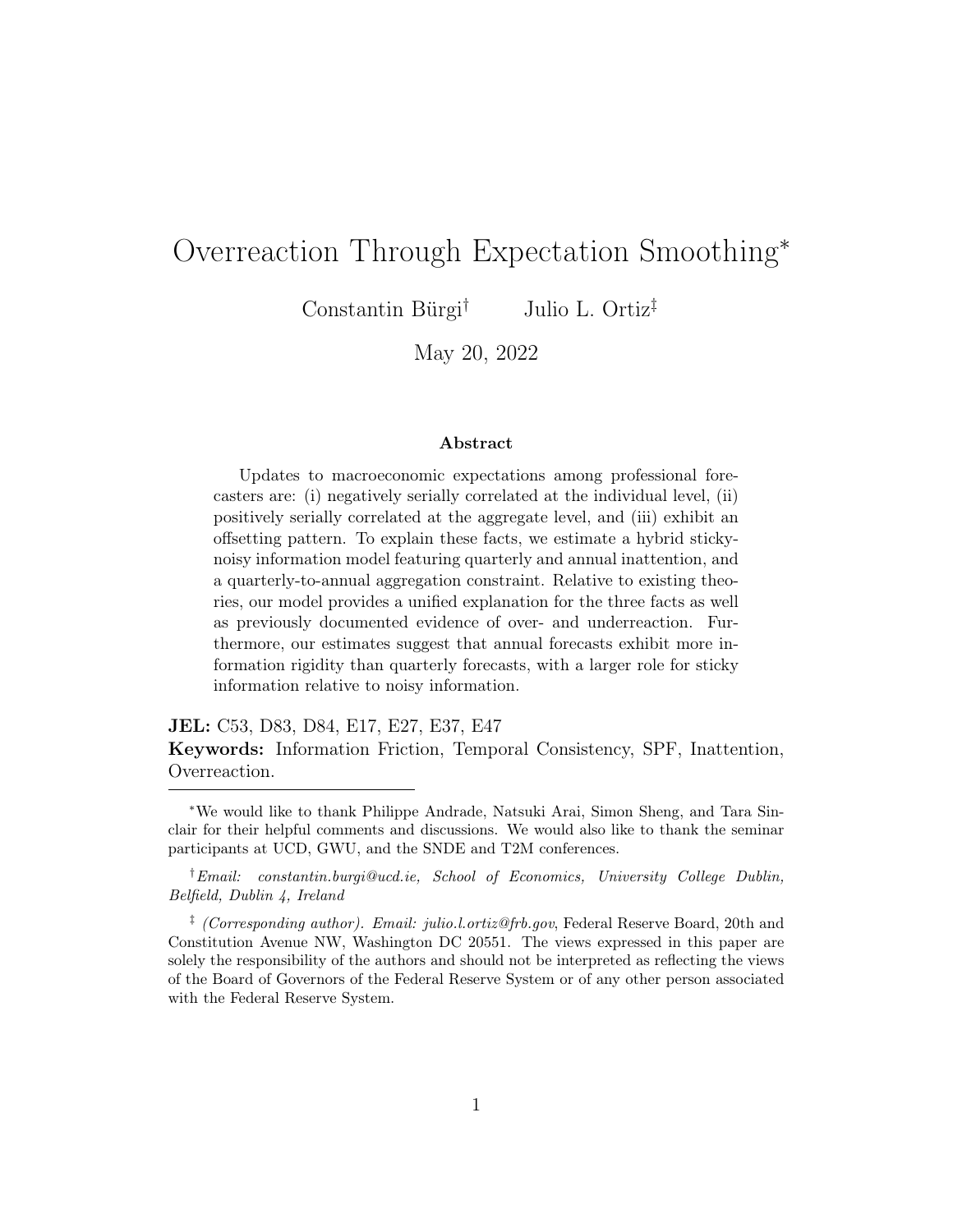- <span id="page-36-4"></span>Kucinskas, S. and Peters, F. (2021). Measuring Under- and Overreaction in Expectation Formation. Working Paper.
- <span id="page-36-2"></span>Mankiw, G. and Reis, R. (2002). Sticky Information Versus Sticky Prices: A Proposal to Replace the New Keynesian Phillips Curve. Quarterly Journal of Economics, 117:1295–1328.
- <span id="page-36-3"></span>Nordhaus, W. D. (1987). Forecasting Efficiency: Concepts and Applications. The Review of Economics and Statistics, 69:667–674.
- <span id="page-36-6"></span>Ryngaert, J. (2017). What Do (and Don't) Forecasters Know About U.S. Inflation? Working Paper.
- <span id="page-36-5"></span>Scotese, C. A. (1994). Forecast Smoothing and the Optimal Under-utilization of Information at the Federal Reserve. Journal of Macroeconomics, 16:653– 670.
- <span id="page-36-1"></span>Sims, C. (2003). The Implications of Rational Inattention. Journal of Monetary Economics, 50:665–690.
- <span id="page-36-7"></span>Tversky, A. and Kahneman, D. (1974). Judgment under Uncertainty: Heuristics and Biases. Science, 185:1124–1131.
- <span id="page-36-0"></span>Woodford, M. (2001). Imperfect Common Knowledge and the Effects of Monetary Policy. Knowledge, Information, and Expectations in Modern Macroeconomics: In Honor of Edmund Phelps.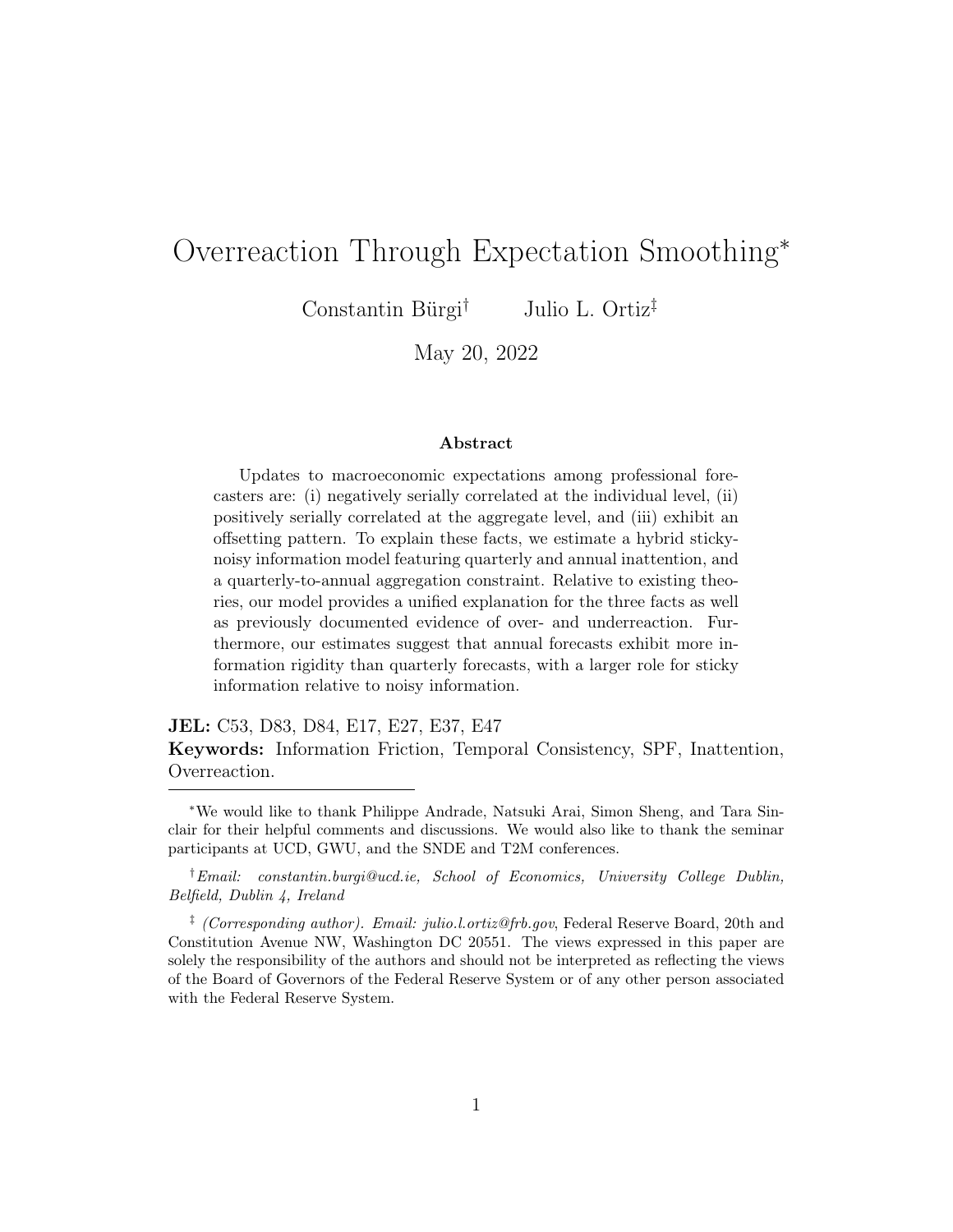# Appendix A Empirics

This section describes in further detail the data used for the empirical and model estimation sections of the main text. For our baseline model results, we focus on forecasts of real GDP growth.

### A.1 Quarterly-to-Annual Consistency in SPF Forecasts

We provide descriptive, anecdotal, and empirical evidence to confirm that SPF forecasts satisfy quarterly-to-annual consistency. First, the SPF documentation (chapter 3) details how the monthly and quarterly observations are linked to the annual, and states that procedures are in place to ensure that participants adhere to these formulas. A forecaster who does not follow the specified formulas is contacted and a discussion about non-adherence ensues. Second, we gathered anecdotal evidence by speaking to several survey participants, all of whom verified the quarterly-to-annual consistency requirement. Third, we directly show that consistency is present in the data by computing implied current-year forecasts, based on the quarterly predictions, and comparing them with the current-year forecast actually issued by the respondent. In the first quarter of the calendar year, the current-year forecast should coincide with the average forecasted levels of the current-, one-, two-, and three-quarter forecasts. In the second quarter of the calendar year, the current-year forecast should coincide with the average forecasted levels of the previous-, current-, one-, and two-quarter forecasts, and so on.[24](#page-37-0)

We construct implied current-year forecasts accordingly and compare them to the reported current-year forecasts, finding a 0.9999 correlation between the two as indicated by Figure [A1.](#page-38-0)

<span id="page-37-0"></span><sup>24</sup>As noted in footnote 6 of the SPF documentation, the previous quarter forecast is history which is observable to the forecaster and is nearly never revised.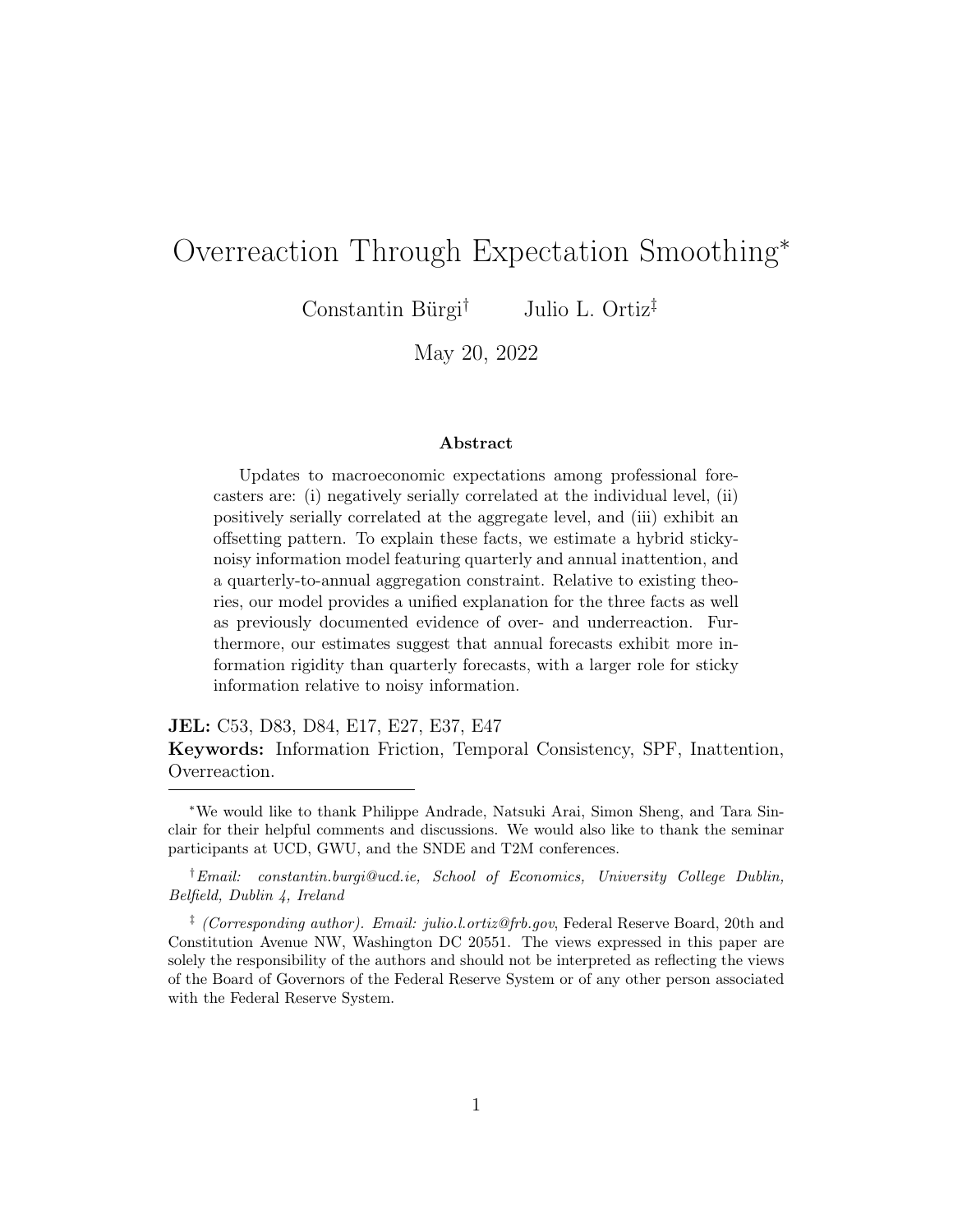<span id="page-38-0"></span>



Note: The figure displays a binned scatter plot of report current-year forecasts against implied current-year forecasts for SPF real GDP forecasts. The implied current-year forecast is computed as described in the text.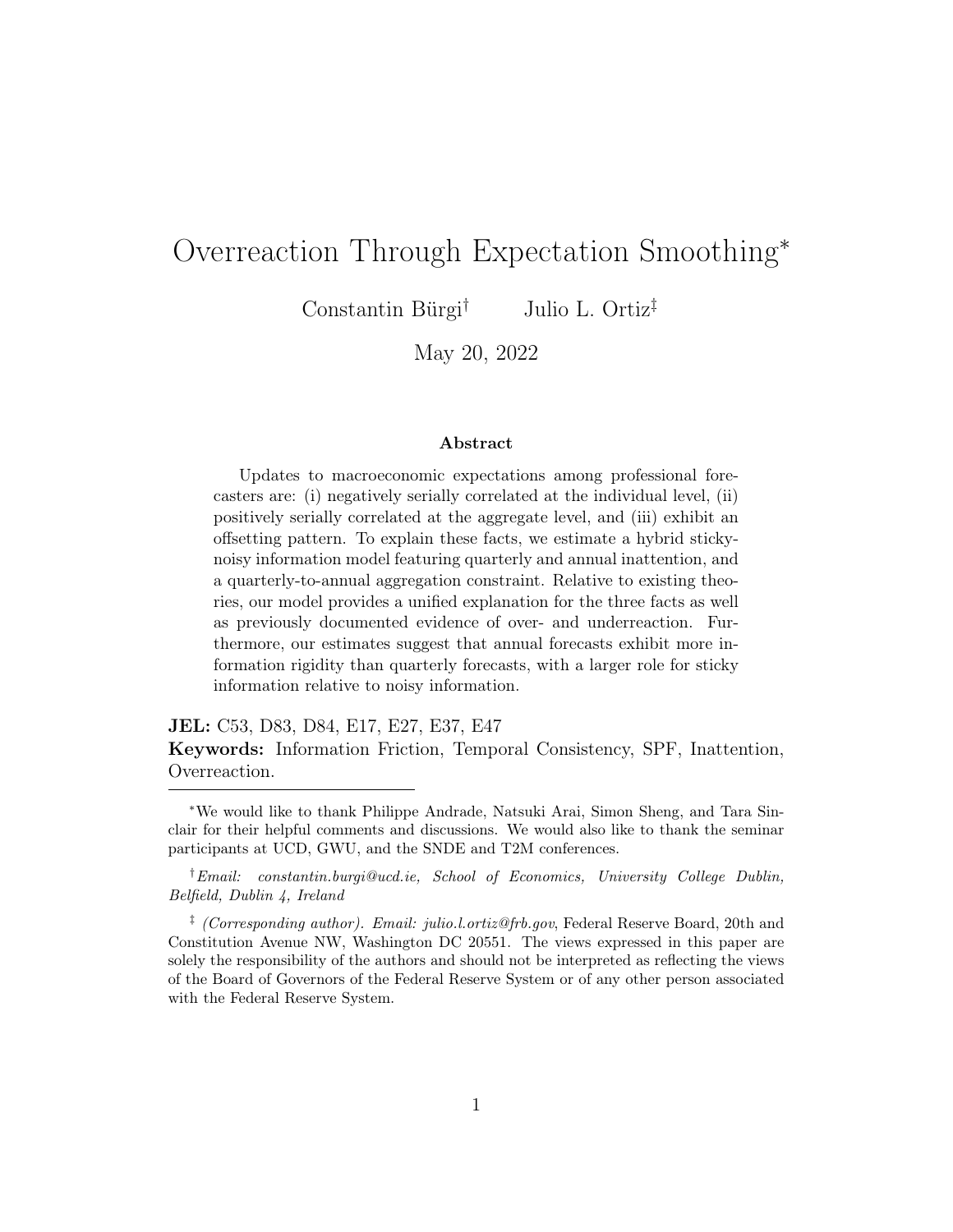## A.2 Summary Statistics

We use data from the SPF spanning 1981Q3-2019Q4. Table [A1](#page-39-0) report summary statistics of real GDP forecasts, errors, and revisions across horizons, as well as real-time outcomes and data revisions.

<span id="page-39-0"></span>

|                    | Mean     | Median   | Std. deviation | 25\%     | 75%   |
|--------------------|----------|----------|----------------|----------|-------|
| Forecasts          |          |          |                |          |       |
| Current quarter    | 2.280    | 2.500    | 1.966          | 1.687    | 3.256 |
| One quarter ahead  | 2.581    | 2.635    | 1.585          | 2.014    | 3.296 |
| Two quarters ahead | 2.750    | 2.727    | 1.503          | 2.155    | 3.359 |
| Current year       | 2.354    | 2.482    | 1.625          | 1.780    | 3.285 |
| Forecast errors    |          |          |                |          |       |
| Current quarter    | 0.097    | 0.021    | 1.822          | $-1.038$ | 1.111 |
| One quarter ahead  | $-0.231$ | $-0.211$ | 2.233          | $-1.427$ | 0.909 |
| Two quarters ahead | $-0.595$ | $-0.291$ | 3.927          | $-1.542$ | 0.926 |
| Forecast revisions |          |          |                |          |       |
| Current quarter    | $-0.258$ | $-0.107$ | 1.743          | $-0.828$ | 0.471 |
| One quarter ahead  | $-0.144$ | $-0.033$ | 1.518          | $-0.503$ | 0.302 |
| Two quarters ahead | $-0.100$ | $-0.015$ | 1.325          | $-0.424$ | 0.266 |
| Real GDP           |          |          |                |          |       |
| Real-time outcomes | 2.373    | 2.458    | 2.251          | 1.373    | 3.521 |
| Data revisions     | $-0.001$ | $-0.034$ | 0.529          | $-0.272$ | 0.312 |

Table A1: SPF Real GDP Summary Statistics

Note: The table reports summary statistics for the relevant variables utilized in the main text. The sample is constructed from SPF real GDP growth forecast data. The unbalanced panel spans 1981Q3-2019Q4 and consists of 251 unique forecasters.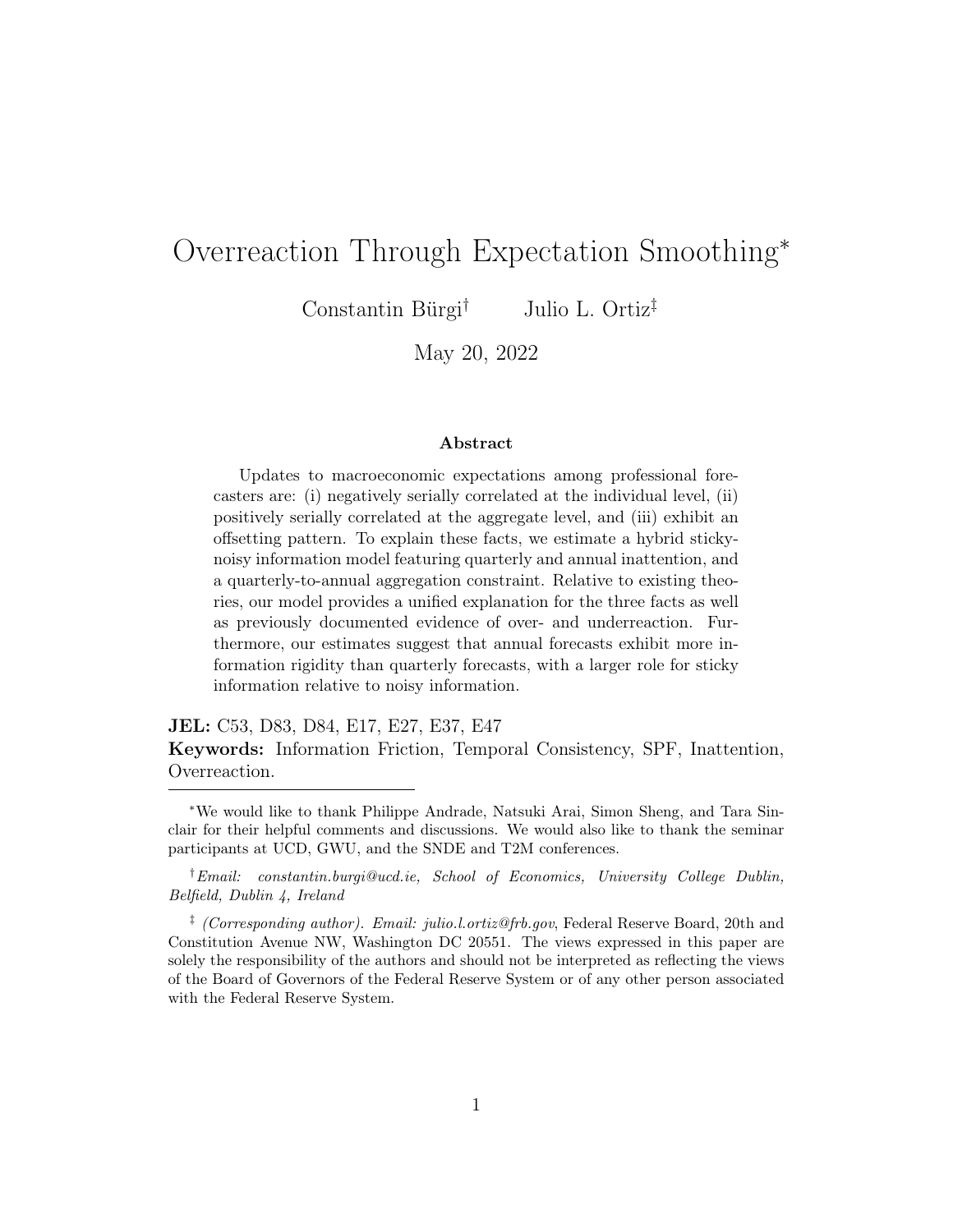### A.3 Errors on Outcomes

<span id="page-40-0"></span>In addition to the regression results presented Section 2, [Kohlhas and Walther](#page-35-2) [\(2021\)](#page-35-2) provide an additional measure of overreaction based on regressing expost forecast errors on outcomes. Table [A2](#page-40-0) reports the results from this regression based on our sample.

|                  | Annual error Annual error |             |
|------------------|---------------------------|-------------|
| Realized outcome | $-0.023$                  | $-0.064***$ |
|                  | (0.021)                   | (0.023)     |
| Fixed effects    | None                      | Forecaster  |
| Observations     | 3,402                     | 3,384       |

Table A2: Overreaction to Realized Output

### A.4 Annual Errors on Annual Revisions

Based on our theory of annual smoothing, overreactions should be less apparent at the annual frequency. We explore this further by studying annual error predictability at the forecaster-level. We regress current year forecast errors on current year forecast revisions in the second quarter of the year. We focus on the second quarter so that forecasters issue their current-year forecasts roughly halfway through the year, similar to the quarterly forecasts which are surveyed halfway through the quarter.

Table [A3](#page-41-0) reports the regression results which provide no statistically significant evidence of overreaction. Furthermore, the point estimates are closer to zero than most of the quarterly point estimates. Taken together, this is consistent with the notion under annual smoothing, quarterly forecasts should exhibit stronger overreactions than annual forecasts.

Note: The table reports panel regression results from SPF forecasts of real GDP based on the regression of errors on realized output in [Kohlhas and Walther](#page-35-2) [\(2021\)](#page-35-2). \*\*\* denotes  $1\%$ significance, \*\* denotes 5% significance, and \* denotes 10% significance.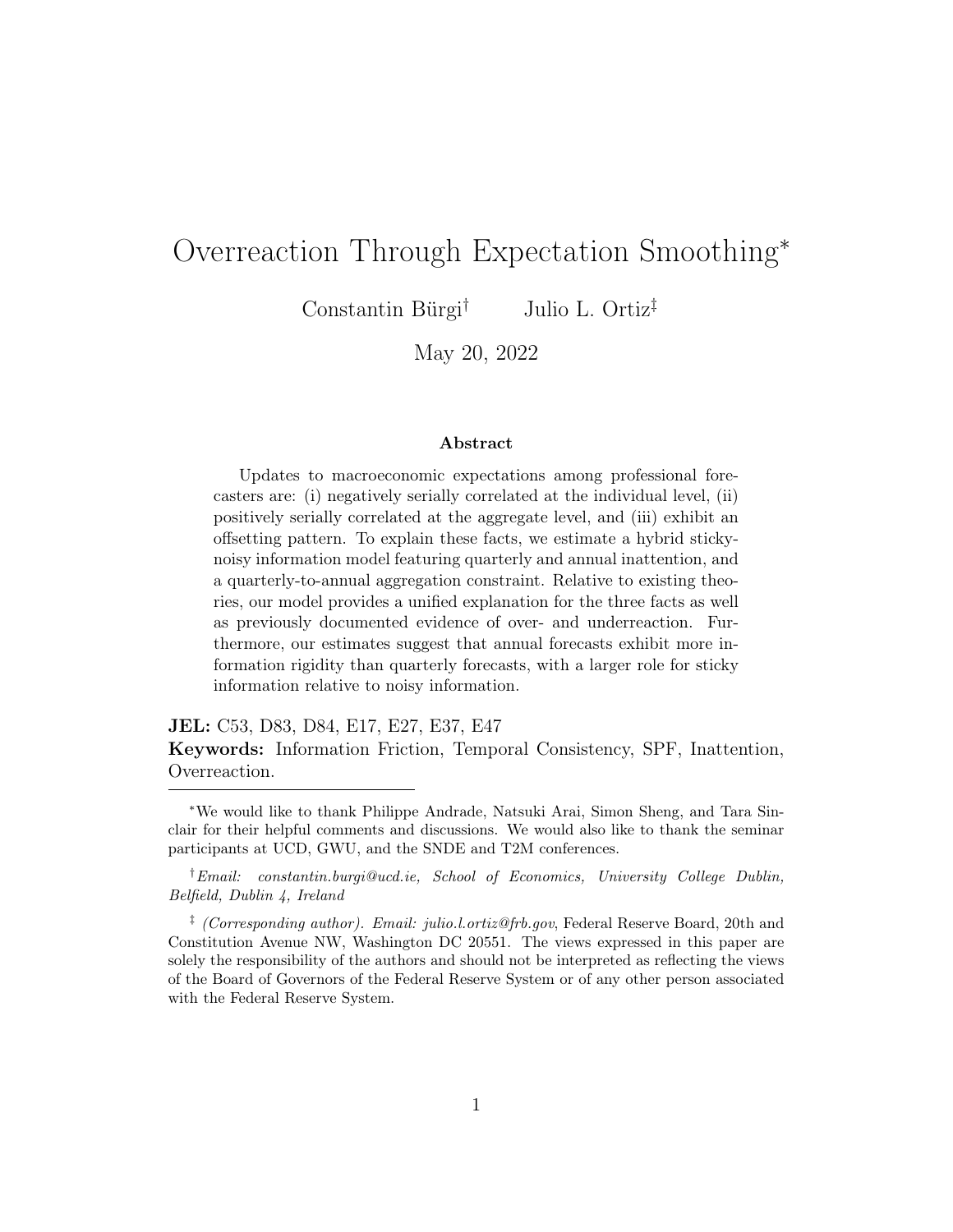<span id="page-41-0"></span>

|                       |          | Current year error Current year error |
|-----------------------|----------|---------------------------------------|
| Current year revision | $-0.099$ | $-0.180$                              |
|                       | (0.118)  | (0.137)                               |
| Fixed effects         | None     | Forecaster                            |
| Observations          | 714      | 666                                   |

Table A3: Error Predictability at the Annual Frequency

Note: The table reports panel regression results from SPF forecasts of real GDP based on the regression of errors on revisions [Coibion and Gorodnichenko](#page-35-0) [\(2015\)](#page-35-0); [Bordalo et al.](#page-34-0) [\(2020\)](#page-34-0) at an annual frequency. \*\*\* denotes 1% significance, \*\* denotes 5% significance, and \* denotes 10% significance.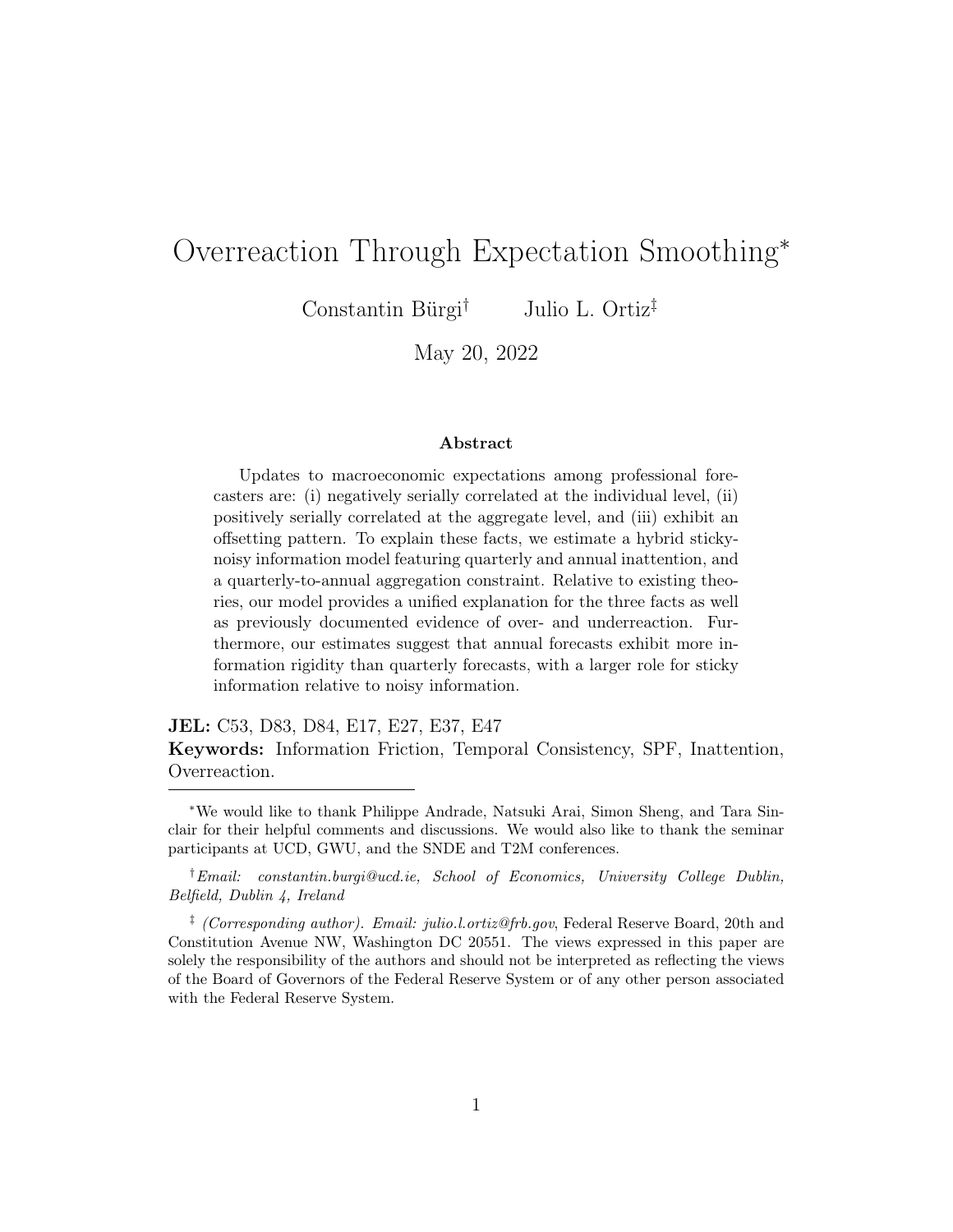### A.5 O setting Based on Macroeconomic Surprises

To lend further support to the offsetting revisions discussed in Section 2, we dig deeper by examining exogenous surprises. In particular, we analyze the response of real GDP revisions to a surprise in real GDP, proxied by statistical data revisions. Macroeconomic variables are subject to frequent data revisions that are made by statistical agencies.<sup>[25](#page-42-0)</sup>

We construct a series of real GDP data revisions by computing the difference across vintages:  $d_t = x_t^{\text{new}} - x_t^{\text{old}}$ . Figure [A2](#page-42-1) plots the time series of measured real GDP data revisions.

<span id="page-42-1"></span>



<span id="page-42-0"></span><sup>25</sup>We focus on data revision "shocks" because they represent exogenous changes in the target variable which typically do not require widespread model revisions. On the other hand, if revisions are state dependent, then other more fundamental shocks would likely mask the presence of offsetting.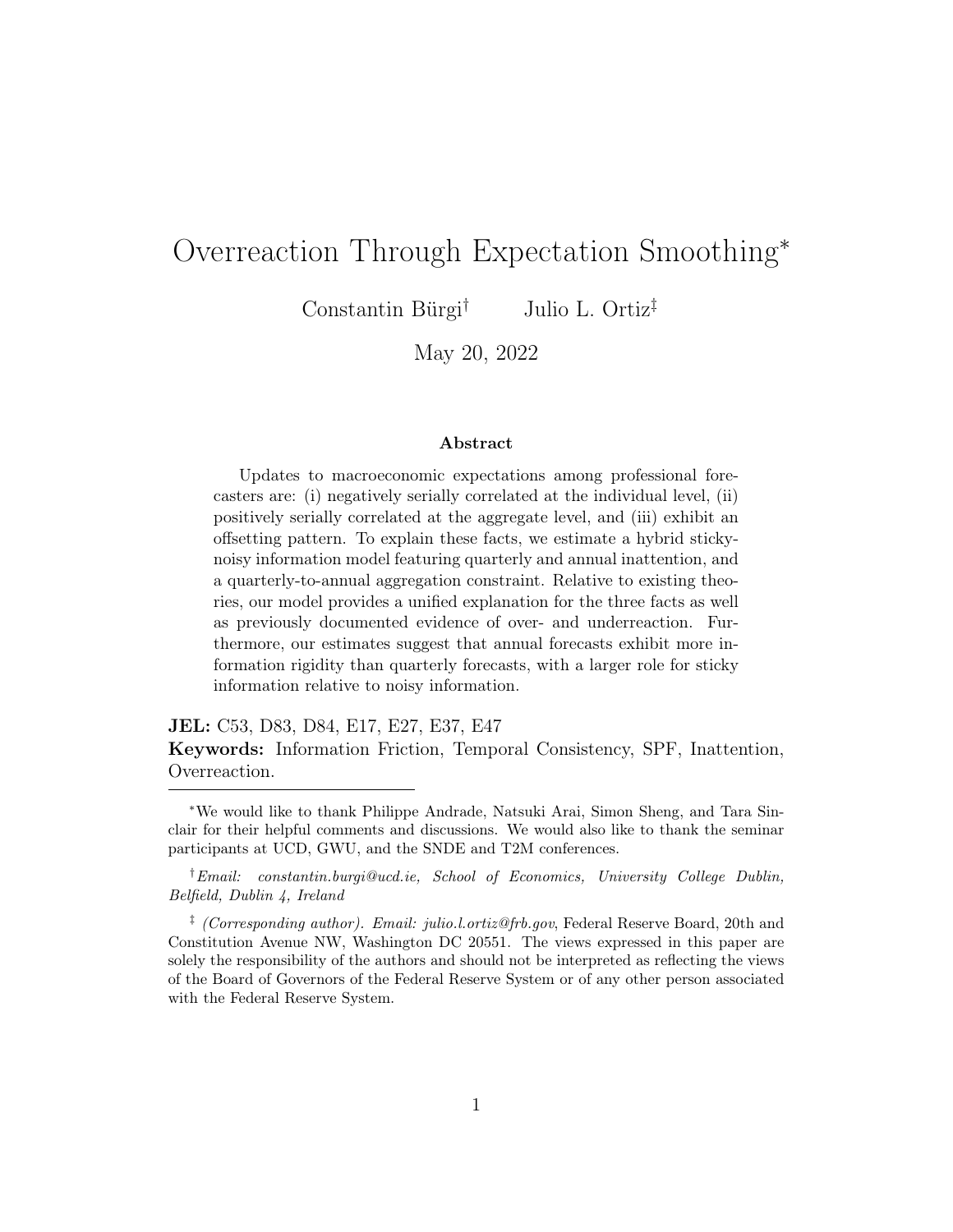#### Figure A3: Effect of Data Revisions on Forecast Revisions

<span id="page-43-1"></span>

Note: The figure reports 95% confidence estimates of the  $\alpha_1$  coefficient in regression [\(8\)](#page-43-0) across four horizons. [Driscoll and Kraay](#page-35-7) [\(1998\)](#page-35-7) standard errors are specified in the regressions.

For each horizon, we regress forecast revisions devised at time t on realized data revisions observed at time t:

<span id="page-43-0"></span>
$$
F_{it}(x_{t+h}) - F_{it-1}(x_{t+h}) = \alpha d_t + \varepsilon_{it}.
$$
\n
$$
(8)
$$

Figure [A3](#page-43-1) plots the point estimates across horizons, with 95% confidence intervals. The estimates indicate that an upward revision to real GDP induces forecasters to revise their current-quarter predictions upward and concurrently revise their three-quarter ahead predictions downward. This figure accords with the estimates reported in Table [3,](#page-9-1) and indicates that forecast revisions exhibit an offsetting behavior consistent with long-horizon smoothing.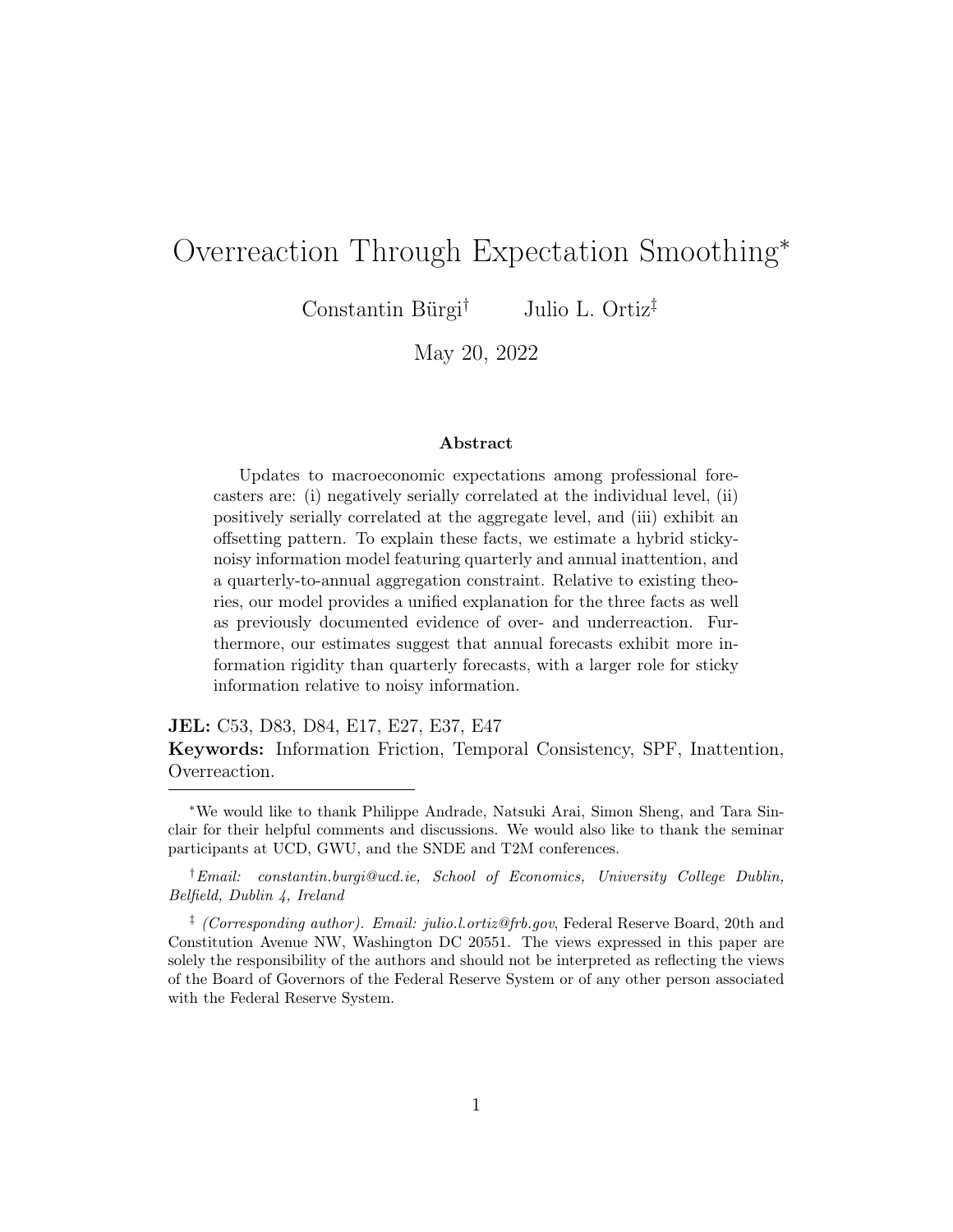# Appendix B Model

Suppose that in each period, professional forecasters devise predictions across a number of horizons, H. Forecasters in the model wish to minimize the sum of their mean square errors:

<span id="page-44-0"></span>
$$
\min_{\{\hat{x}_{t+h|t|t+k}^i\}} \sum_{h=0}^H (x_{t+h} - \hat{x}_{t+h|t+k}^i)^2,
$$
\n(9)

where  $\hat{x}_{t+h|t+k}^i$  denote forecaster i's predictions about  $x_t$  h-steps into the future, based on information at time  $t + k$ .

When forecasters are able to freely update quarterly and annual forecasts, they report

$$
\hat{x}_{t+k'|t+k}^i = \mathbb{E}_{it+k}(x_{t+k'}) \ \forall k' \in [0, H], \text{ and } \frac{1}{H+1} \sum_{h=0}^H \hat{x}_{t+h|t+k}^i
$$

as their quarterly and annual forecasts, respectively.

If the forecaster is able to update her short-run predictions but not her longrun predictions, then she must solve the optimization problem above subject to the requirement that the updated quarterly forecasts coincide with the outdated annual forecast:

<span id="page-44-1"></span>
$$
\frac{1}{H+1} \sum_{h=0}^{H} \widehat{x}_{t+h|t+k}^{i} = \frac{1}{H+1} \sum_{h=0}^{H} \widehat{x}_{t+h|t+k-j}^{i},
$$
\n(10)

where  $j$  denotes the period in which the annual forecast was last updated. In this case, the forecaster solves  $(9)$  subject to  $(10)$ .

The Lagrangian is

$$
\mathcal{L} = \sum_{h=0}^{H} (x_{t+h} - \hat{x}_{t+h|t+k}^i)^2 - \lambda \left( \frac{1}{H+1} \sum_{h=0}^{H} \hat{x}_{t+h|t+k}^i - \frac{1}{H+1} \sum_{h=0}^{H} \hat{x}_{t+h|t+k-j}^i \right)
$$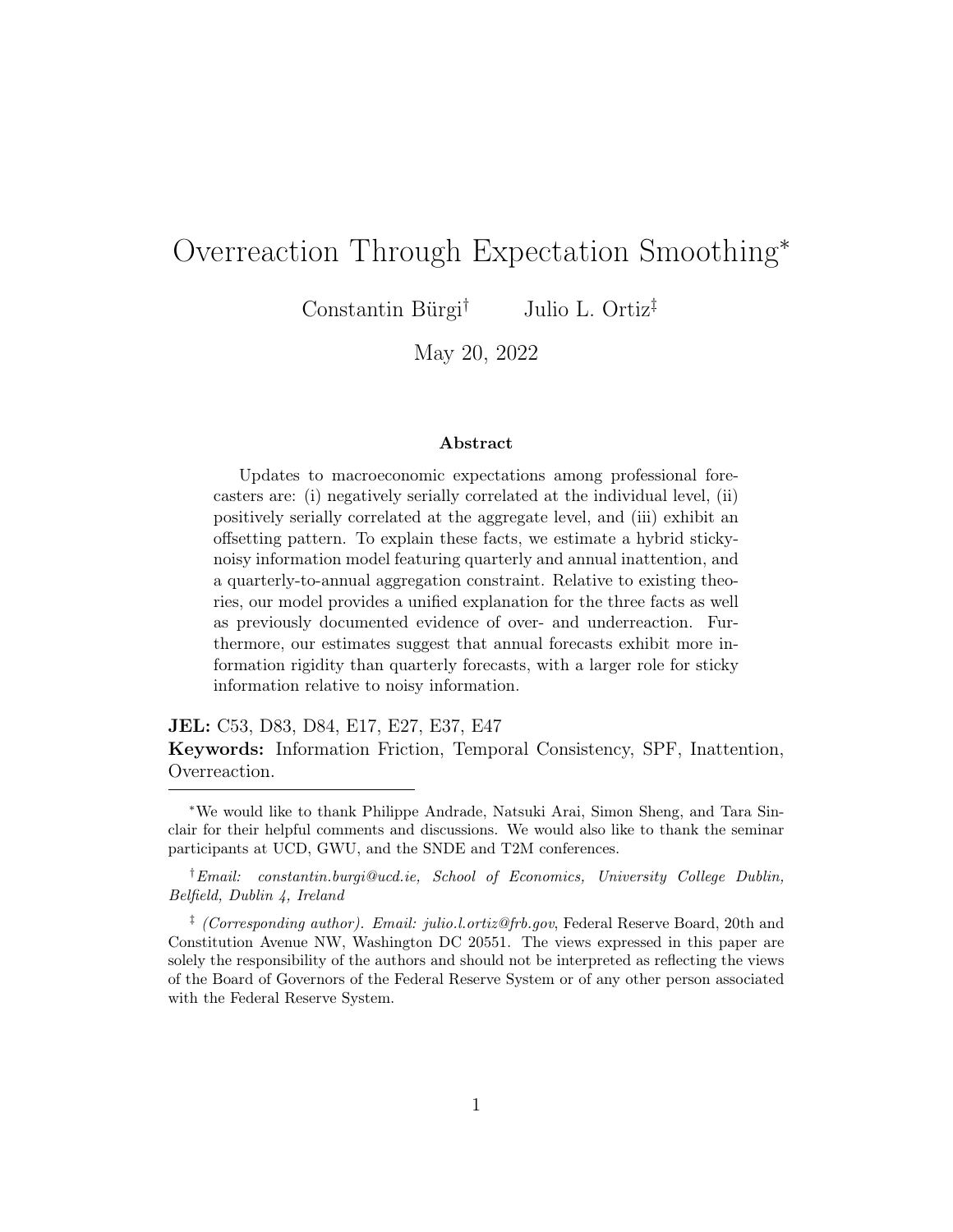The first order condition with respect to the reported forecast  $\hat{x}_{t+k'|t+k}^i$  implies

$$
\hat{x}_{t+k'|t+k}^{i} = \mathbb{E}_{it+k}(x_{t+k'}) + \frac{\lambda}{2(H+1)}.
$$
\n(11)

Combining the FOC with the definition of the constraint delivers:

$$
\frac{1}{H+1} \sum_{h=0}^{H} \widehat{x}_{t+h|t+k-j}^i = \frac{1}{H+1} \sum_{h=0}^{H} \left[ \mathbb{E}_{it+h}(x_{t+k'}) + \frac{\lambda}{2(H+1)} \right].
$$

Rearranging, we obtain:

$$
\lambda = 2(H+1) \left[ \frac{1}{H+1} \sum_{h=0}^{H} \hat{x}_{t+h|t+k-j}^{i} - \frac{1}{H+1} \sum_{h=0}^{H} \mathbb{E}_{it+k}(x_{t+k'}) \right]
$$

Substituting this expression for the Lagrange multiplier into the FOC for the reported forecast, we recover an intuitive expression:

$$
\widehat{x}_{t+k'|t+k}^i = \mathbb{E}_{it+k}(x_{t+k'}) + \left[\frac{1}{H+1} \sum_{h=0}^H \widehat{x}_{t+k'|t+k-j}^i - \frac{1}{H+1} \sum_{h=0}^H \mathbb{E}_{it+k}(x_{t+k'})\right]
$$

or, equivalently,[26](#page-45-0)

$$
\widehat{x}_{t+k'|t+k}^i = \mathbb{E}_{it+k}(x_{t+k'}) + \frac{1}{H+1} \sum_{h=0}^H \left[ \mathbb{E}_{it+k-j}(x_{t+k'}) - \mathbb{E}_{it+k}(x_{t+k'}) \right]. \tag{12}
$$

<span id="page-45-0"></span> $^{26}\mathrm{This}$  follows from the fact that whenever the forecaster constructed her outdated annual, she did so optimally, based on the conditional expectation as of date  $t + k - j$ .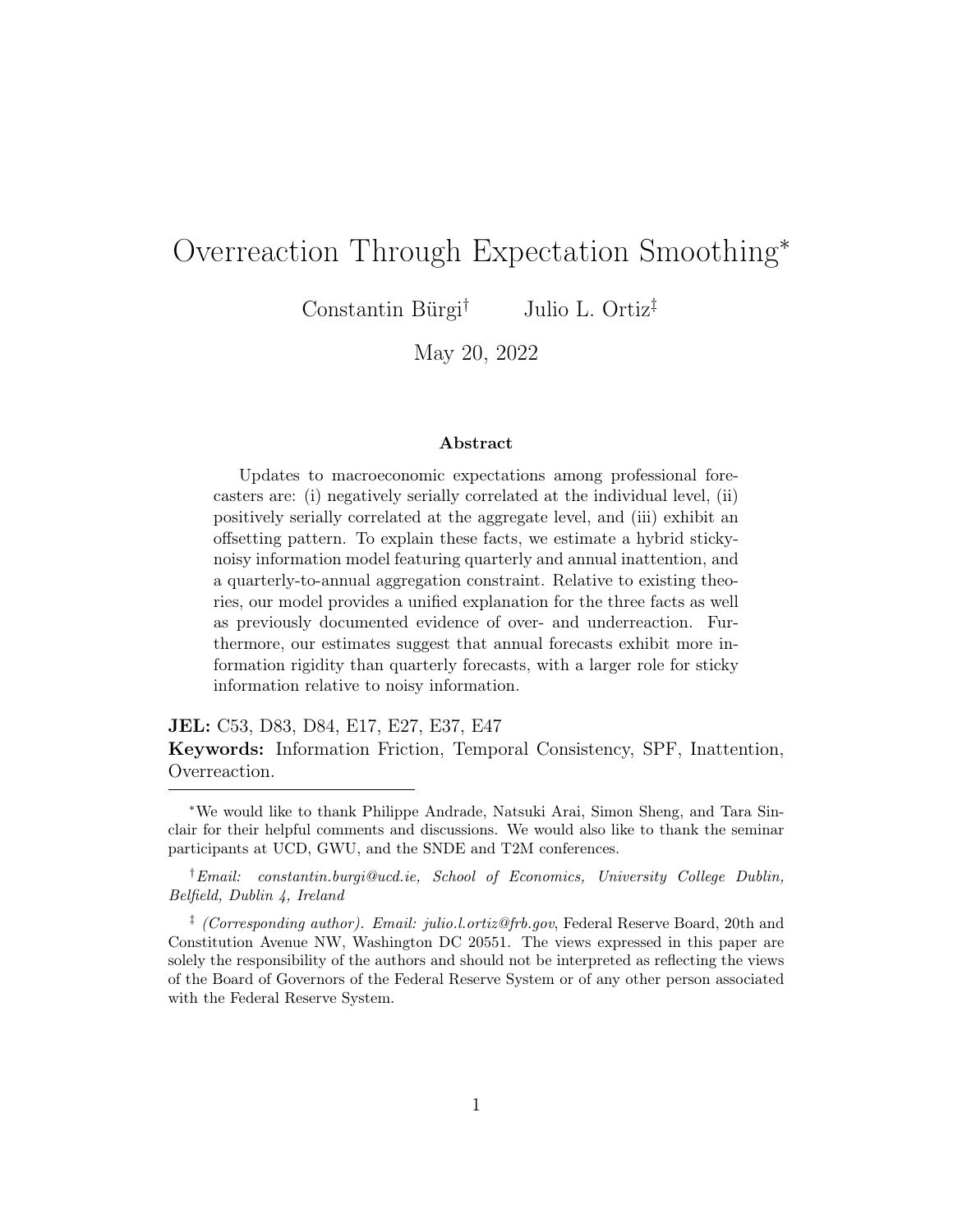# Appendix C Estimation

The model is estimated via the simulated method of moments. Operationally, this is done by simulating a balanced panel of 250 forecasters over 40 periods, consistent with the average number of quarterly forecasts that a unique fore-caster contributes throughout the history of the survey.<sup>[27](#page-46-0)</sup> For each iteration, the target moments are computed, averaged across simulations, and compared to their empirical analogs. The six-dimensional parameter vector,  $\theta$ , is selected to minimize the weighted distance between simulated moments and empirical moments, where the asymptotically efficient weighting matrix is specified.

Formally, we search the parameter space to find the  $\hat{\theta}$  that minimizes the following objective

$$
\min_{\theta} (m(\theta) - m(X))' W(m(\theta) - m(X))
$$

where  $m(\theta)$  denotes the simulated moments,  $m(X)$  denotes the empirical moments, and W denotes the weighting matrix. The limiting distribution of the estimated parameter vector  $\widehat{\theta}$  is

$$
\sqrt{N}(\widehat{\theta}-\theta) \stackrel{d}{\rightarrow} \mathcal{N}(0,\Sigma)
$$

where

$$
\Sigma = \left(1 + \frac{1}{S}\right) \left[ \left(\frac{\partial m(\theta)}{\partial \theta}\right)' W \left(\frac{\partial m(\theta)}{\partial \theta}\right) \right]^{-1}
$$

and  $S = 100$ . Standard errors are obtained by numerically computing the partial derivative of the simulated moment vector with respect to the parameter vector.

### C.1 Identification

The eight moments jointly determine the six parameters that reside in vector  $\theta$ . To supplement the discussion on monotone relationships reported in Figure [C4,](#page-48-0)

<span id="page-46-0"></span><sup>&</sup>lt;sup>27</sup>Similar results are obtained when mimicking the unbalanced nature of the panel data by simulating a larger set of forecasters and matching missing observations.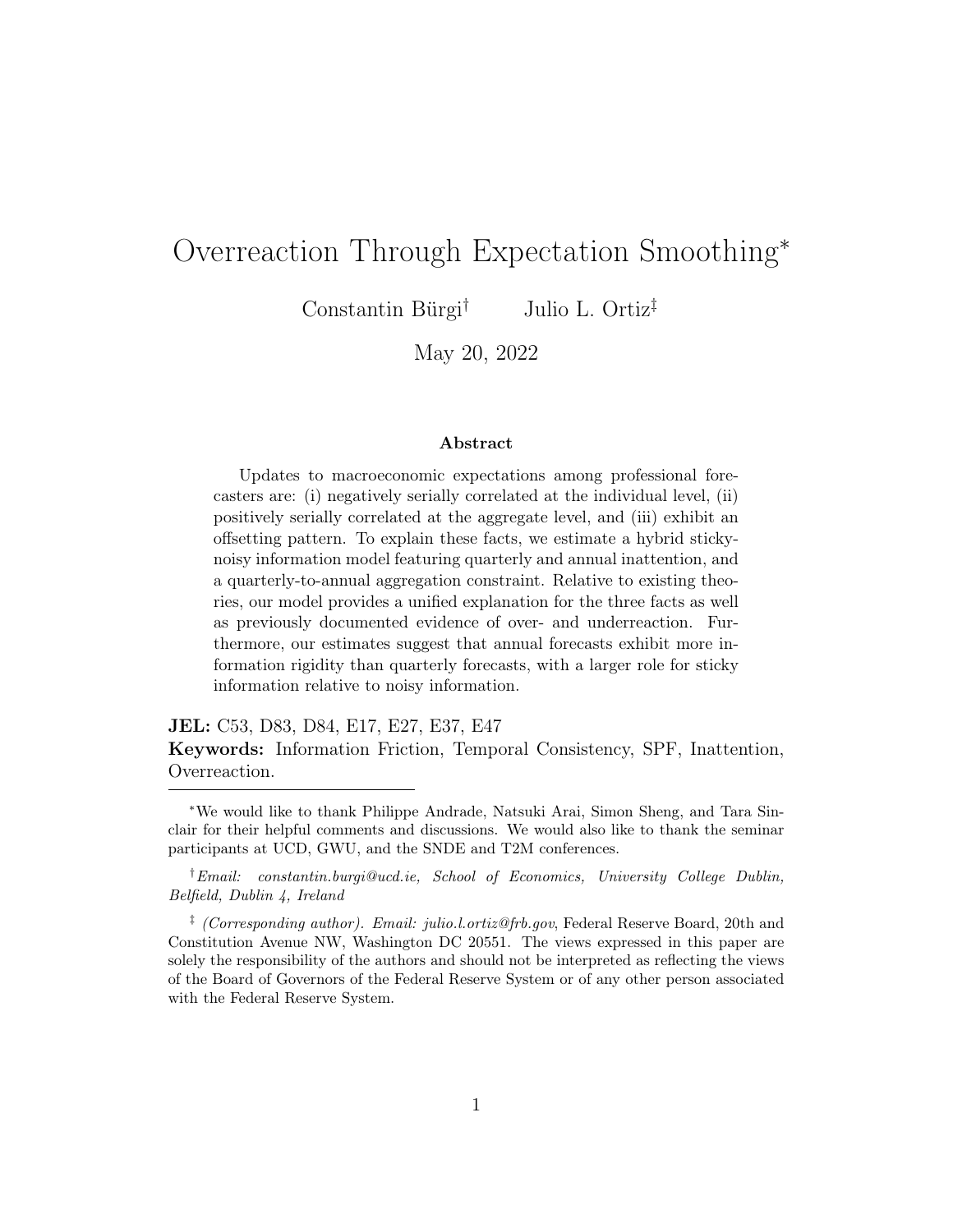we additionally report the sensitivity of each of the parameters to changes in each of the moments in Figure [C5.](#page-49-0) These sensitivities are an implementation of [Andrews et al.](#page-34-7) [\(2017\)](#page-34-7). In particular, the sensitivity of  $\widehat{\theta}$  to  $m(\theta)$  is

$$
\Lambda = -\left[ \left( \frac{\partial m(\theta)}{\partial \theta} \right)' W \left( \frac{\partial m(\theta)}{\partial \theta} \right) \right]^{-1} \left( \frac{\partial m(\theta)}{\partial \theta} \right)' W.
$$

We transform this matrix so that the estimates can be interpreted as elasticities of the parameters with respect to moments.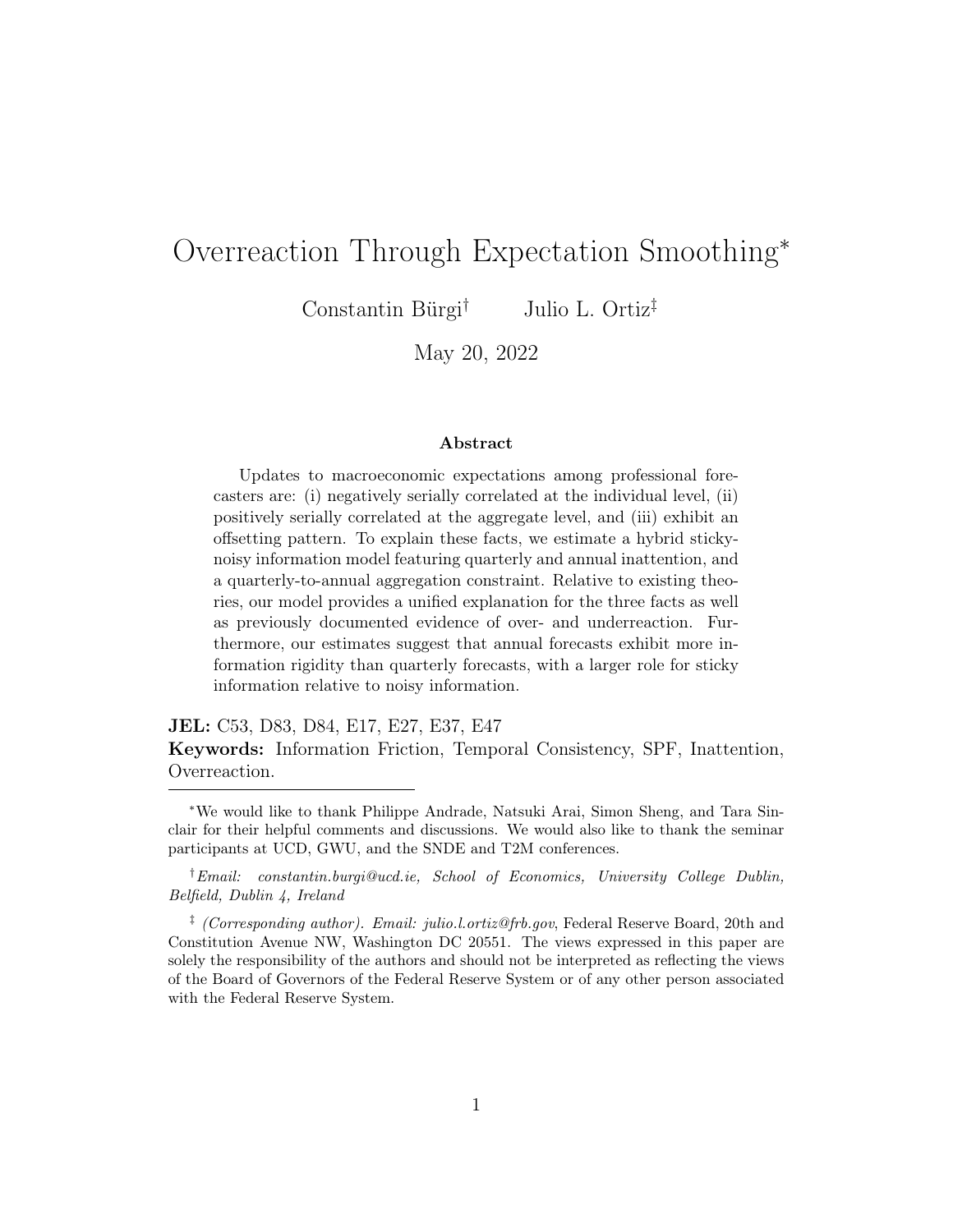<span id="page-48-0"></span>

Figure C4: Comparative Statics

Note: Each panel displays a monotonic relationship between the parameter on the horizontal axis and a given moment. The vertical axis measures the percent deviation of the given moment from its estimated value in Table [5.](#page-23-0)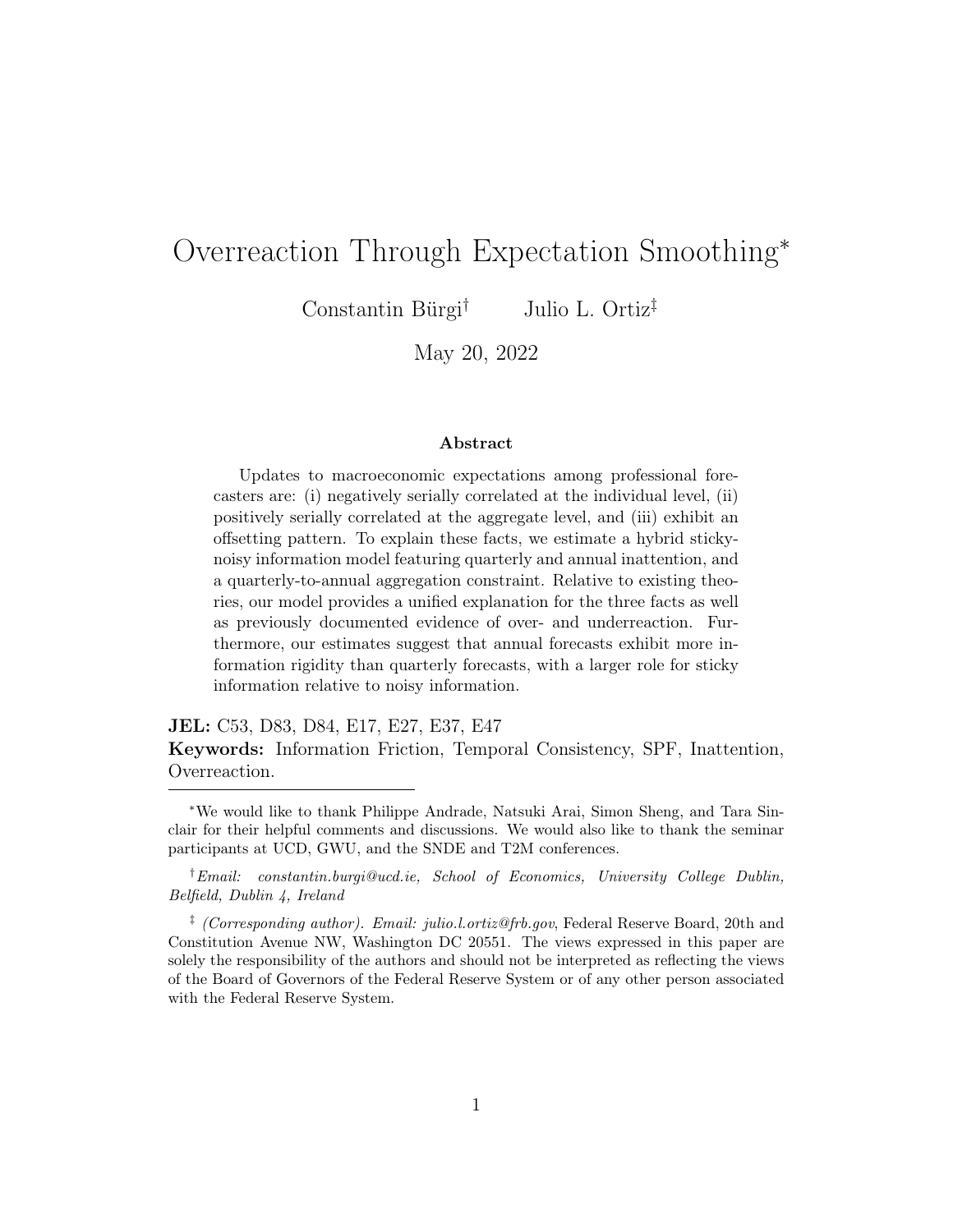<span id="page-49-0"></span>

Figure C5: Sensitivity

Note: The figure computes the elasticities of estimated parameters to moments as in [An](#page-34-7)[drews et al.](#page-34-7) [\(2017\)](#page-34-7).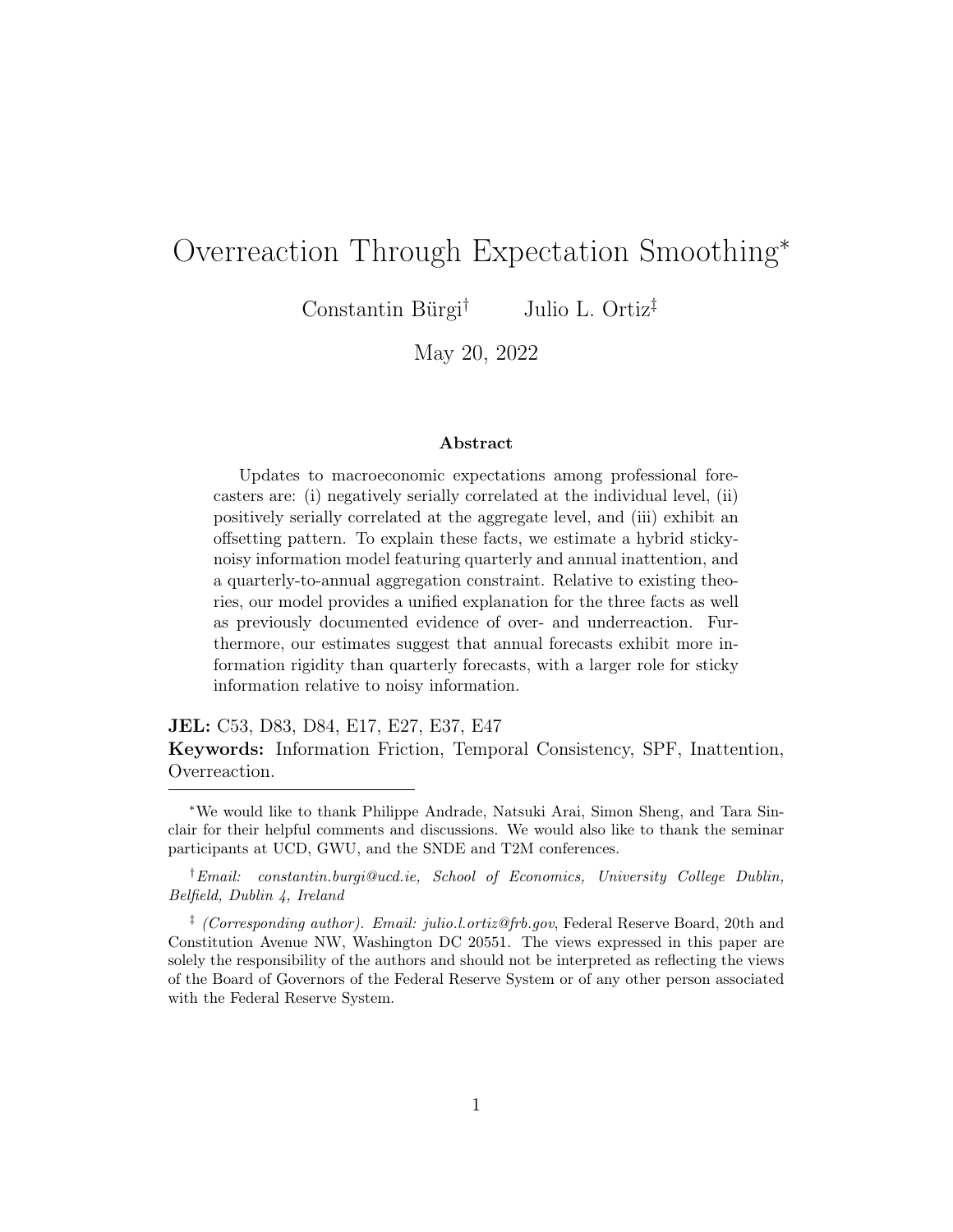# Appendix D Robustness

In this section, we consider a variety of robustness checks. First, we examine the role that rounding plays in the parameter estimates. We then augment our model with diagnostic expectations to assess the relative importance of our mechanism in generating overadjustments. Next, we report the results for across forecaster types, and then report the estimates based on real GDP forecasts from the Bloomberg Survey as well as SPF inflation forecasts. Following this, we undertake a sub-sample analysis, estimating the baseline model before and after 1990. Finally, we consider an alternative data generating process for the underlying state.

### D.1 Rounding

We first report parameter estimates under the assumption that forecasters round their predictions to the nearest 0.10 percentage point. We find that this rounding assumption does not meaningfully change our parameter estimates (see Table  $D4$ ).<sup>[28](#page-50-0)</sup>

<span id="page-50-0"></span><sup>28</sup>Studying more traditional Gaussian measurement error introduces an identification problem between the measurement error dispersion and private signal noise dispersion,  $\sigma_v$ . At the same time, rounding is a well understood phenomenon in survey expectations. For this reason, we focus on this form of measurement error.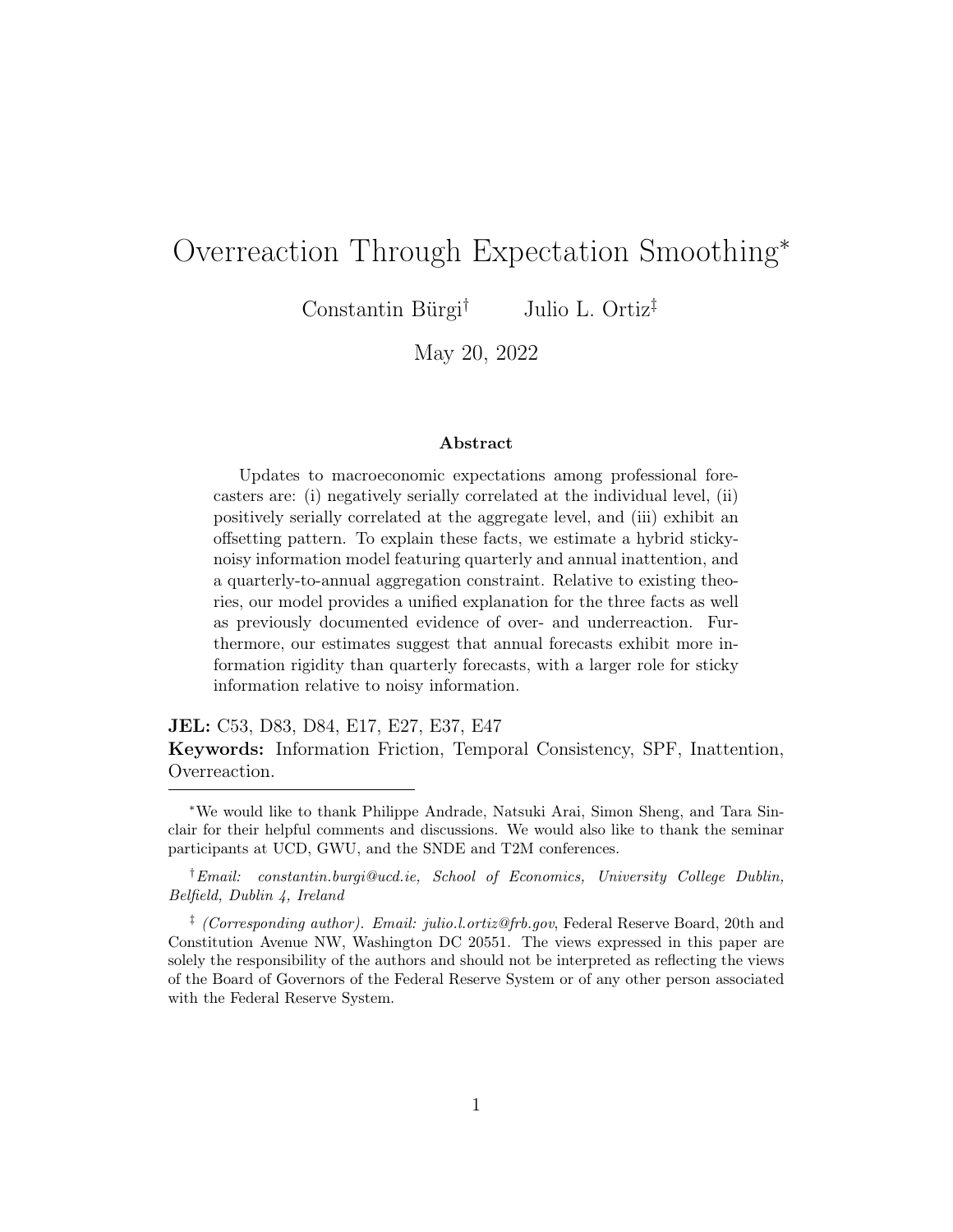| Panel A: Parameter Estimates                |               |             |                |
|---------------------------------------------|---------------|-------------|----------------|
|                                             | Parameter     | Estimate    | Standard error |
| Persistence of latent state                 | $\rho$        | 0.401       | 0.034          |
| State innovation dispersion                 | $\sigma_w$    | 2.016       | 0.158          |
| Public signal noise                         | $\sigma_e$    | 0.816       | 0.353          |
| Private signal noise                        | $\sigma_v$    | 1.595       | 0.364          |
| Probability of quarterly update             | q             | 0.997       | 0.129          |
| Probability of annual update                | $\mathcal{p}$ | 0.620       | 0.032          |
| Panel B: Moments                            |               |             |                |
|                                             | Model moment  | Data moment | t-statistic    |
|                                             |               |             |                |
| Standard deviation of nowcast               | 1.656         | 1.719       | $-0.623$       |
| Correlation of nowcast with annual forecast | 0.689         | 0.670       | $-0.211$       |
| Standard deviation of annual forecast       | 1.093         | 1.103       | $-0.178$       |
| Standard deviation of revision              | 1.573         | 1.615       | $-0.295$       |
| Correlation of revision with lagged error   | 0.242         | 0.143       | 1.603          |
| Standard deviation of lag error             | 1.644         | 1.720       | $-0.889$       |
| RMSE nowcast                                | 1.657         | 1.677       | $-0.415$       |

#### <span id="page-51-0"></span>Table D4: Model Estimation Results (Rounding to nearest 0.1 pp)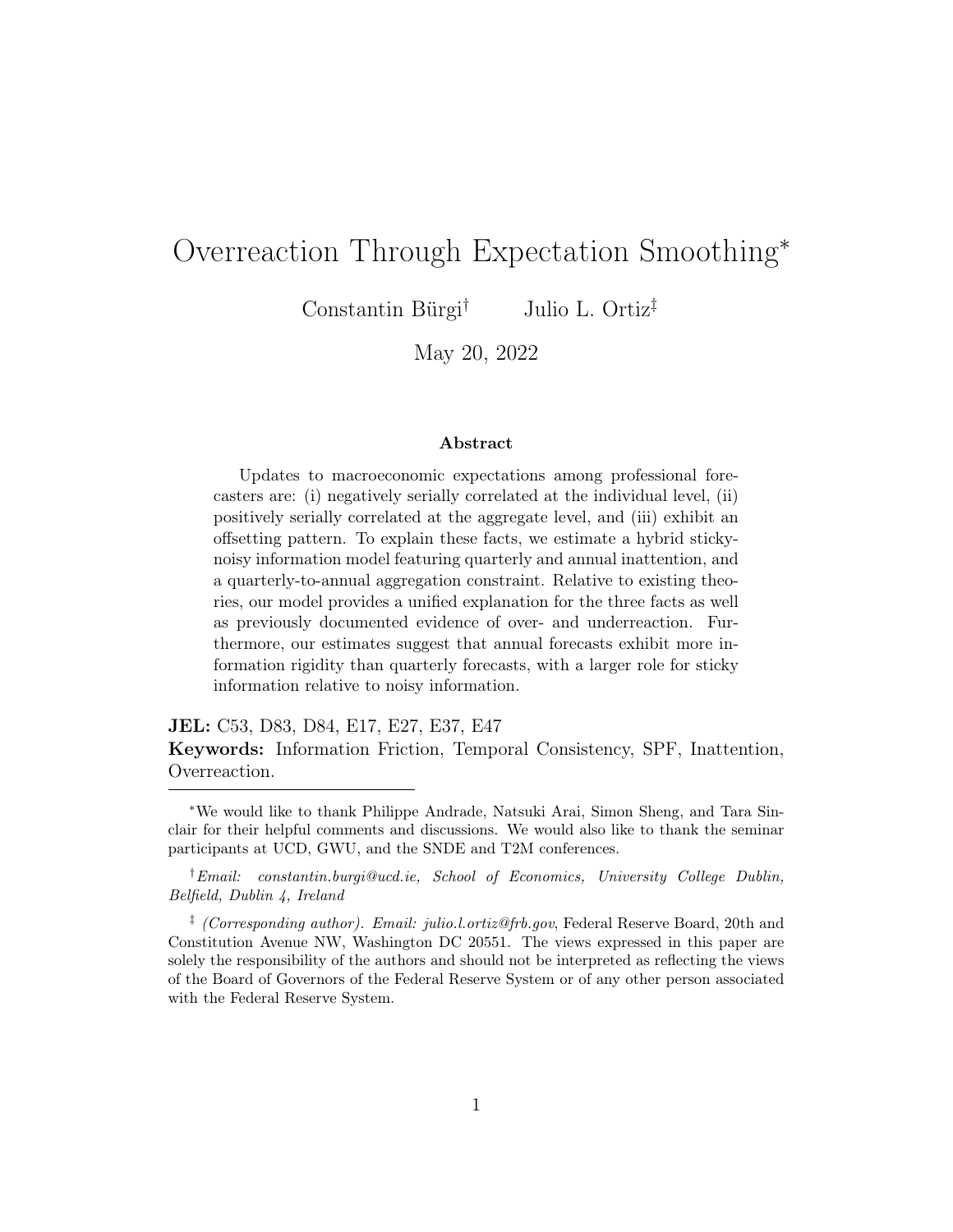### D.2 Diagnostic Expectations

Table [D5](#page-52-0) reports the parameter estimates for the unconstrained and constrained models. These models are estimated by targeting the original eight moments described in the main text as well as the covariance of contemporaneous errors and revisions and the variance of contemporaneous errors. The unconstrained model estimates the annual smoothing plus diagnostic expectations model. The constrained model estimates a version without diagnostic expectations.

|                                 | Parameter        | Unconstrained | Constrained |
|---------------------------------|------------------|---------------|-------------|
| Persistence of latent state     | $\rho$           | 0.512         | 0.566       |
|                                 |                  | (0.037)       | (0.039)     |
| State innovation dispersion     | $\sigma_w$       | 1.726         | 1.521       |
|                                 |                  | (0.103)       | (0.130)     |
| Public signal noise             | $\sigma_e$       | 0.306         | 1.062       |
|                                 |                  | (0.081)       | (0.161)     |
| Private signal noise            | $\sigma_{v}$     | 1.252         | 0.973       |
|                                 |                  | (0.231)       | (0.167)     |
| Probability of quarterly update | $\boldsymbol{q}$ | 0.577         | 0.999       |
|                                 |                  | (0.061)       | (0.101)     |
| Probability of annual update    | $\mathcal{p}$    | 0.542         | 0.592       |
|                                 |                  | (0.032)       | (0.058)     |
| Diagnosticity                   | $\theta$         | 0.498         | 0.000       |
|                                 |                  | (0.105)       |             |

<span id="page-52-0"></span>Table D5: Model Estimation Results, Diagnostic Expectations

Note: The table reports parameter estimates of the model with and without diagnostic expectations. The "Unconstrained" column refers to the full model with annual inattention and diagnostic expectations. The "Constrained" column refers to the model with only annual inattention. Standard errors are reported in parentheses.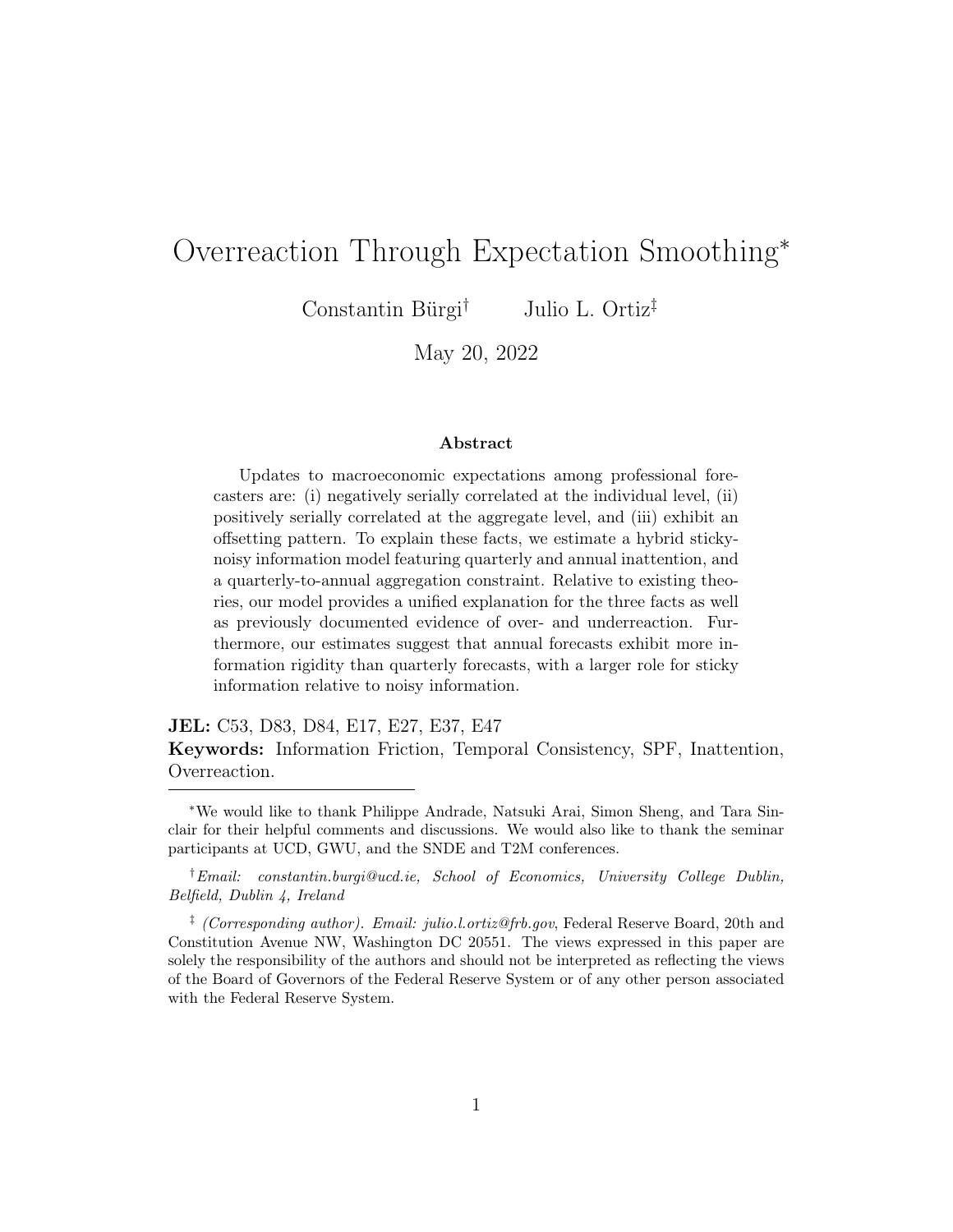## D.3 Financial vs. Non-Financial Forecasters

Table [D6](#page-53-0) reports parameter estimates for real GDP predictions made by financial and non-financial forecasters, respectively. These industry identifiers are recorded in the SPF beginning in 1990.

<span id="page-53-0"></span>

|                                 | Parameter      | Financial Industry | Non-financial Industry |
|---------------------------------|----------------|--------------------|------------------------|
| Persistence of latent state     | $\rho$         | 0.491              | 0.617                  |
|                                 |                | (0.114)            | (0.060)                |
| State innovation dispersion     | $\sigma_w$     | 1.365              | 1.339                  |
|                                 |                | (0.137)            | (0.120)                |
| Public signal noise             | $\sigma_e$     | 1.162              | 0.958                  |
|                                 |                | (0.240)            | (0.239)                |
| Private signal noise            | $\sigma_{v}$   | 1.015              | 1.130                  |
|                                 |                | (0.142)            | (0.123)                |
| Probability of quarterly update | q              | 1.000              | 1.000                  |
|                                 |                | (0.113)            | (0.527)                |
| Probability of annual update    | $\mathfrak{p}$ | 0.986              | 0.435                  |
|                                 |                | (0.432)            | (0.173)                |

Table D6: Model Estimation Results, By Forecaster Type

Note: The table reports parameter estimates of the baseline model, estimated separately over a sample of financial industry forecasters and non-financial industry forecasters, respectively.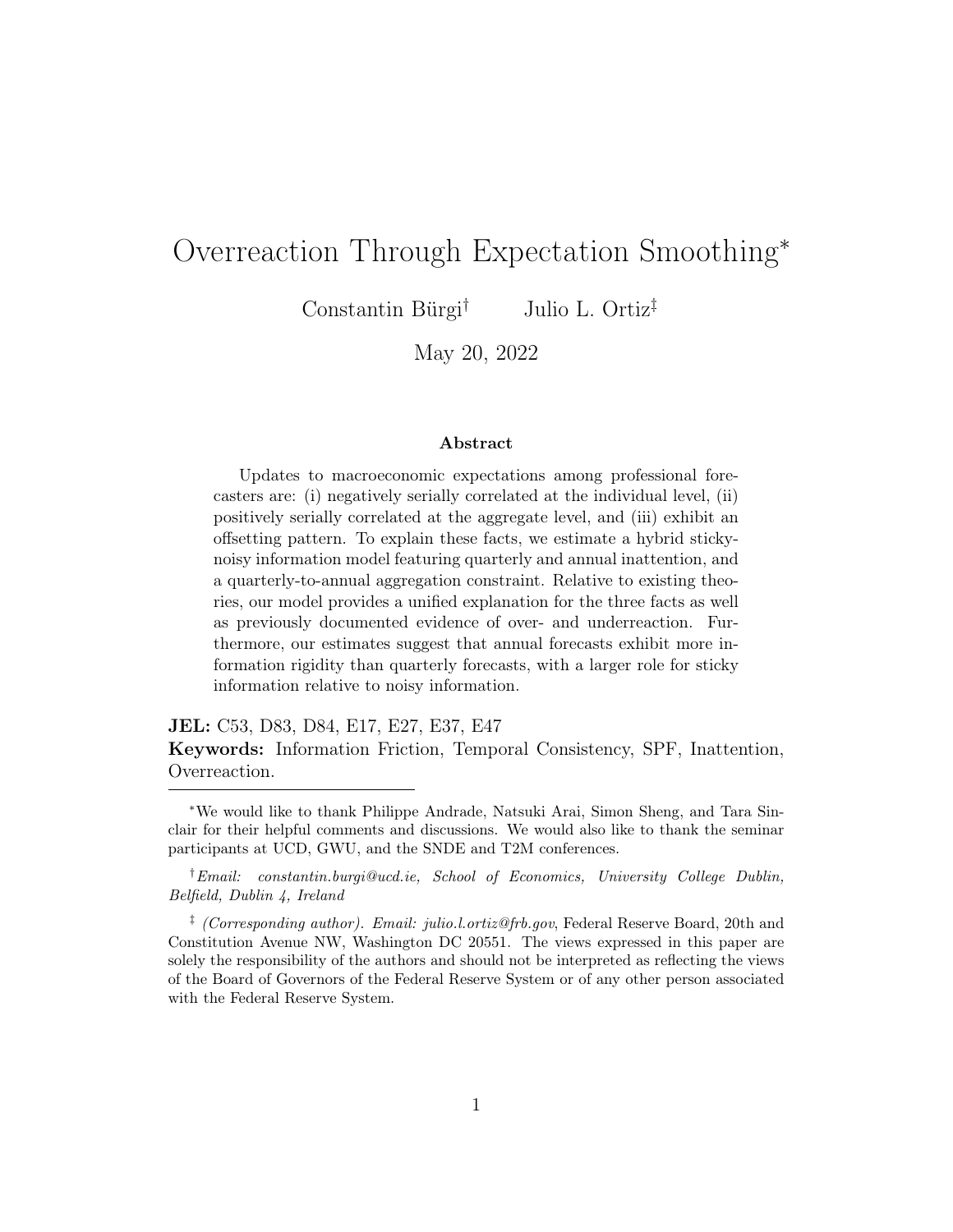### D.4 Bloomberg Real GDP Forecasts

Tables [D7](#page-54-0) and [D8](#page-55-0) document additional evidence of offsetting revisions from the Bloomberg survey of real GDP forecasts. Table [D9](#page-56-0) reports the the model estimates from the Bloomberg survey.

|                            | Three quarter ahead revision |
|----------------------------|------------------------------|
| Two quarter ahead revision | $0.398***$                   |
|                            | (0.057)                      |
| One quarter ahead revision | 0.014                        |
|                            | $(0.034)$<br>-0.057**        |
| Current quarter revision   |                              |
|                            | (0.024)                      |
| Fixed effects              | Time                         |
| Observations               | 857                          |

<span id="page-54-0"></span>Table D7: Offsetting Revisions in the Bloomberg Survey

Note: The table reports panel regression results from SPF forecasts based on regression [\(3\)](#page-9-0). The sample spans 1993Q2 to 2016Q3. [Driscoll and Kraay](#page-35-7) [\(1998\)](#page-35-7) standard errors are reported in parentheses. \*\*\* denotes 1% significance, \*\* denotes 5% significance, and \* denotes 10% significance.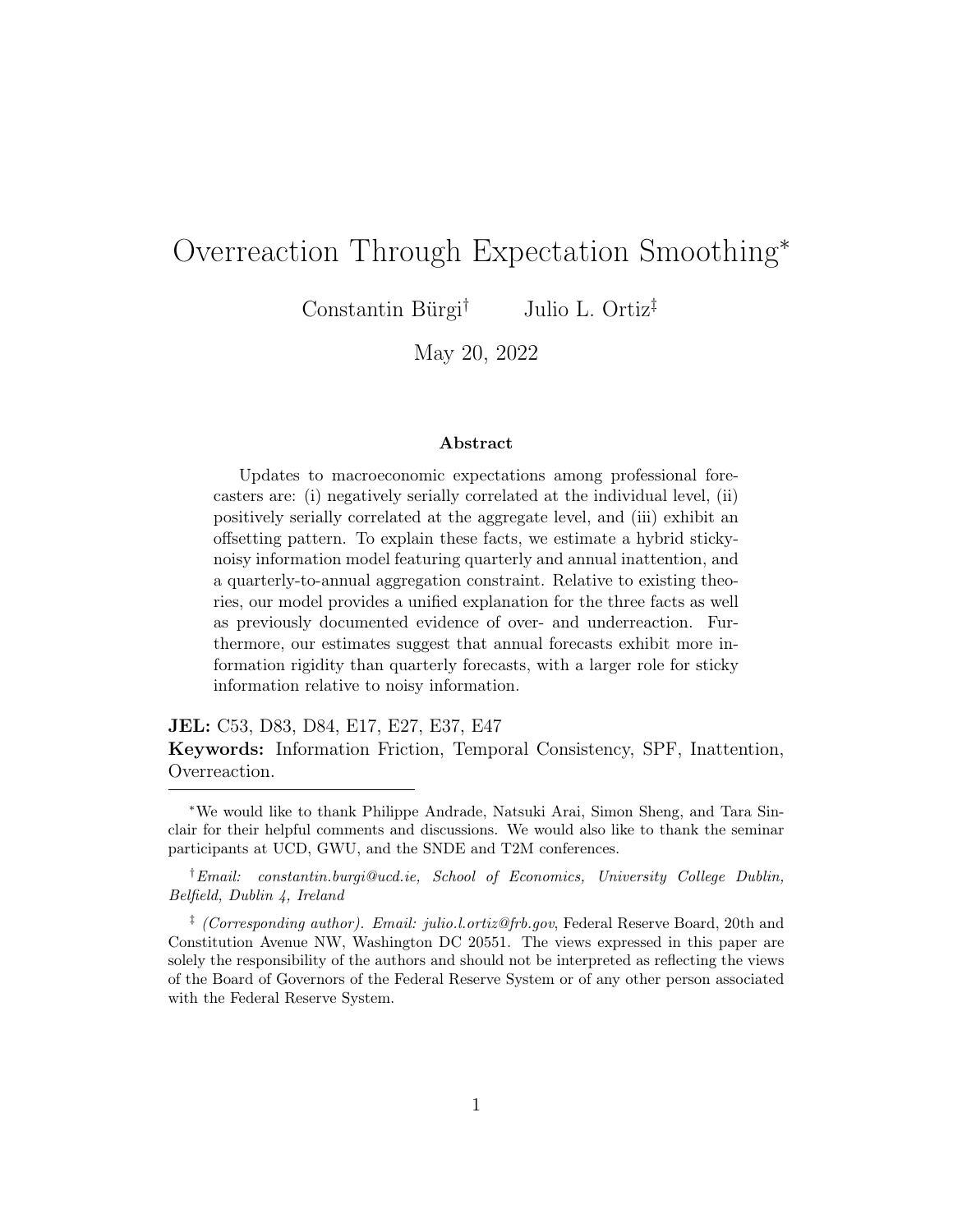|                         | Fourth quarter revision |
|-------------------------|-------------------------|
| Third quarter revision  | $0.307***$              |
|                         | (0.024)                 |
| Second quarter revision | $-0.023$                |
|                         | $(0.019)$<br>-0.059***  |
| First quarter revision  |                         |
|                         | (0.021)                 |
| Fixed effects           | Time                    |
| Observations            | 3124                    |

<span id="page-55-0"></span>Table D8: Offsetting Calendar Year Revisions in the Bloomberg Survey

Note: The table reports panel regression results from SPF forecasts based on regression [\(4\)](#page-10-0). The sample spans 1993Q2 to 2016Q3. [Driscoll and Kraay](#page-35-7) [\(1998\)](#page-35-7) standard errors are reported in parentheses. \*\*\* denotes 1% significance, \*\* denotes 5% significance, and \* denotes 10% significance.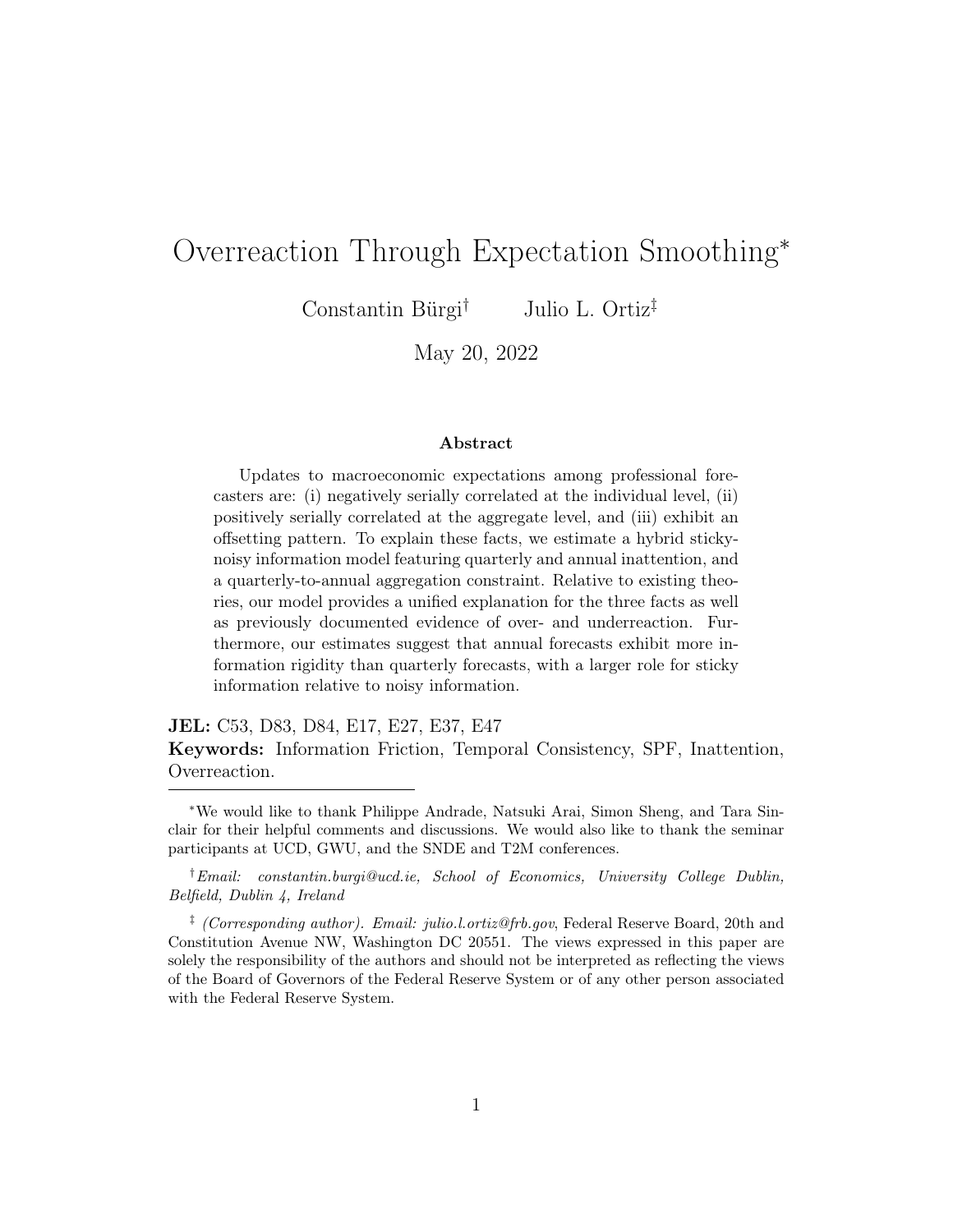<span id="page-56-0"></span>

| Panel A: Parameter Estimates                |               |             |                |
|---------------------------------------------|---------------|-------------|----------------|
|                                             | Parameter     | Estimate    | Standard error |
| Persistence of latent state                 | $\rho$        | 0.717       | 0.016          |
| State innovation dispersion                 | $\sigma_w$    | 1.202       | 0.043          |
| Public signal noise                         | $\sigma_e$    | 0.899       | 0.048          |
| Private signal noise                        | $\sigma_v$    | 0.322       | 0.039          |
| Probability of quarterly update             | q             | 0.751       | 0.048          |
| Probability of annual update                | $\mathcal{p}$ | 0.370       | 0.034          |
| Panel B: Moments                            |               |             |                |
|                                             | Model moment  | Data moment | t-statistic    |
| Standard deviation of nowcast               | 1.320         | 1.540       | $-6.088$       |
| Correlation of nowcast with annual forecast |               |             |                |
|                                             | 0.816         | 0.805       | $-4.220$       |
| Standard deviation of annual forecast       | 1.160         | 1.213       | $-3.311$       |
| Standard deviation of revision              | 0.967         | 0.997       | $-1.059$       |
| Correlation of revision with lagged error   | 0.180         | 0.240       | $-3.148$       |
| Standard deviation of lag error             | 1.399         | 1.411       | $-0.529$       |
| RMSE nowcast                                | 1.442         | 1.497       | $-2.110$       |

### Table D9: Model Estimation Results, Bloomberg Survey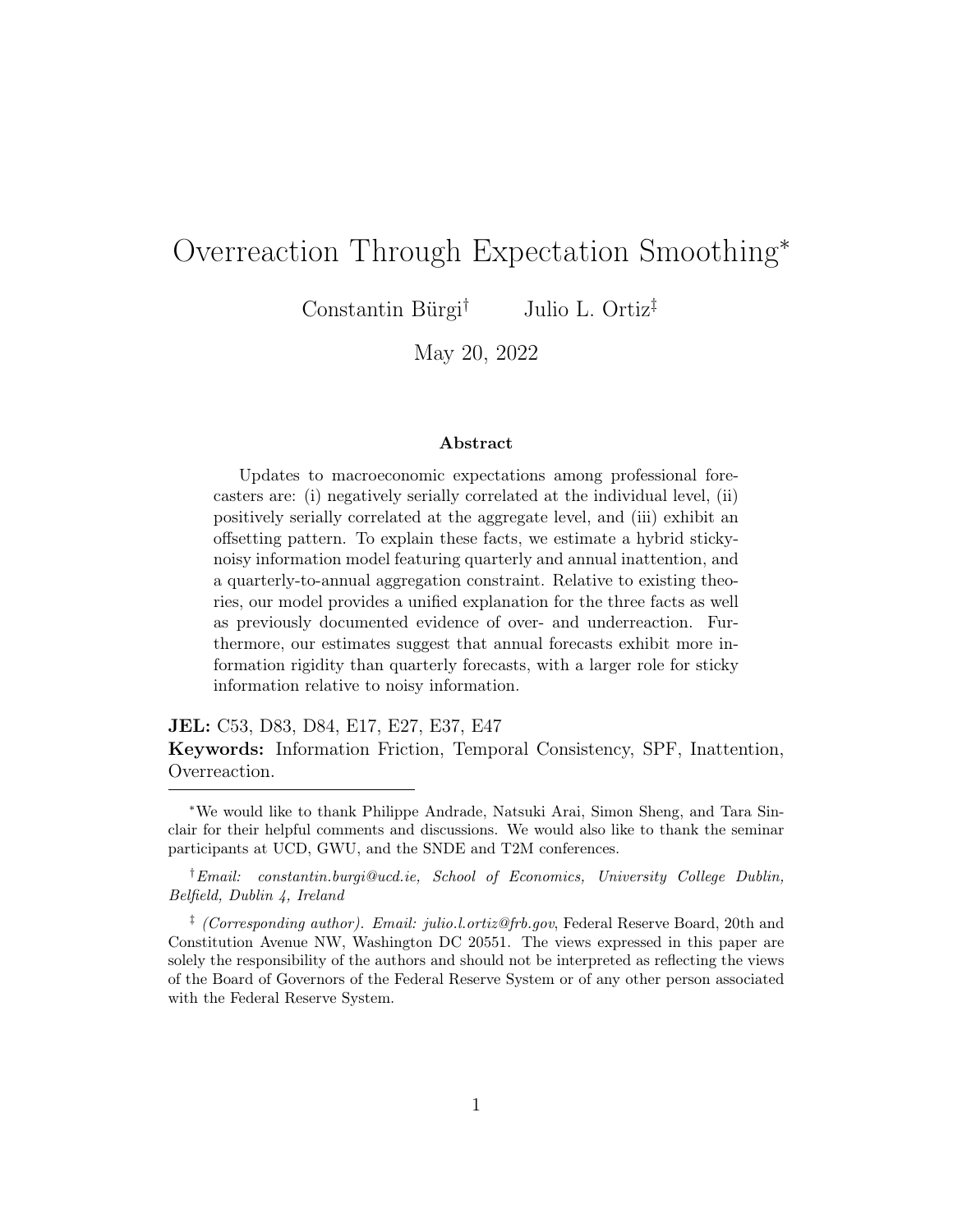## D.5 Inflation Forecasts

Table [D10](#page-57-0) reports model estimates using SPF inflation forecasts based on the GDP deflator.

| Panel A: Parameter Estimates                |                  |             |                |
|---------------------------------------------|------------------|-------------|----------------|
|                                             | Parameter        | Estimate    | Standard error |
| Persistence of latent state                 | $\rho$           | 0.523       | 0.040          |
| State innovation dispersion                 | $\sigma_w$       | 1.159       | 0.177          |
| Public signal noise                         | $\sigma_e$       | 0.876       | 0.192          |
| Private signal noise                        | $\sigma_v$       | 0.808       | 0.195          |
| Probability of quarterly update             | $\boldsymbol{q}$ | 0.997       | 0.165          |
| Probability of annual update                | $\mathcal{p}$    | 0.571       | 0.045          |
| Panel B: Moments                            |                  |             |                |
|                                             | Model moment     | Data moment | t-statistic    |
| Standard deviation of nowcast               | 1.022            | 1.096       | $-1.002$       |
| Correlation of nowcast with annual forecast | 0.730            | 0.727       | $-0.952$       |
| Standard deviation of annual forecast       | 0.711            | 0.757       | $-0.959$       |
| Standard deviation of revision              | 0.922            | 1.102       | $-1.678$       |
| Correlation of revision with lagged error   | 0.173            | 0.197       | $-0.709$       |
| Standard deviation of lag error             | 1.176            | 1.253       | $-1.172$       |
| RMSE nowcast                                | 1.408            | 1.535       | $-1.009$       |
| RMSE annual forecast                        | 0.531            | 0.606       | $-1.209$       |

<span id="page-57-0"></span>Table D10: Model Estimation Results, Inflation Forecasts (Deflator)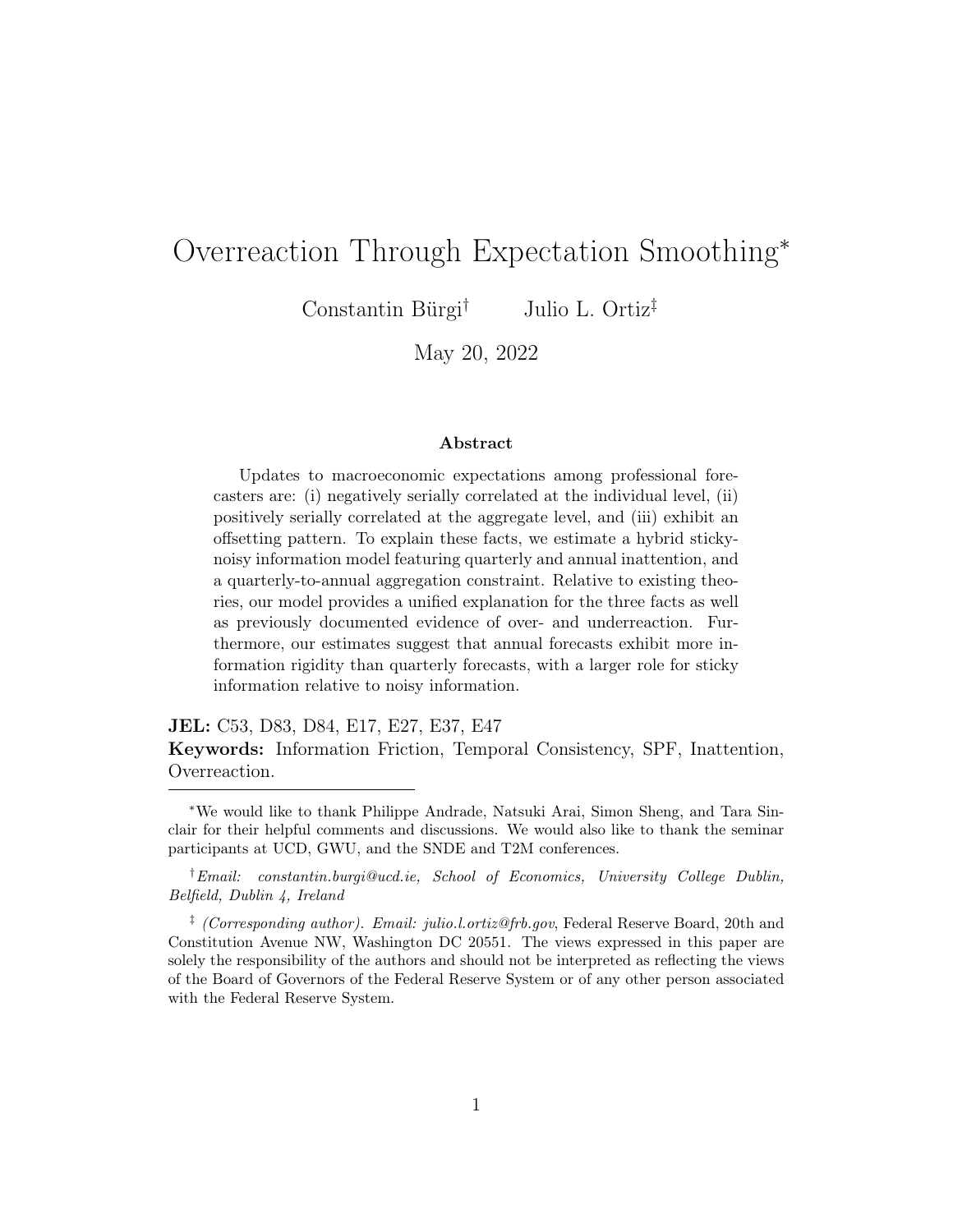### D.6 Sub-sample Analysis (Pre- and Post-2000)

The SPF, as well as broader macroeconomic dynamics, experienced important changes between 1981-2019. In this section, we estimate the model for two subperiods: 1981-1999 (Table [D11\)](#page-58-0) and 2000-2019 (Table [D12\)](#page-59-0). Overall, we find that our headline conclusions hold across the sub-samples with the estimated parameters differing across samples as expected. For instance, we estimate the underlying state to be less persistent and more volatile in the earlier period.

<span id="page-58-0"></span>

| Panel A: Parameter Estimates                |                  |             |                |
|---------------------------------------------|------------------|-------------|----------------|
|                                             | Parameter        | Estimate    | Standard error |
| Persistence of latent state                 | $\rho$           | 0.335       | 0.089          |
| State innovation dispersion                 | $\sigma_w$       | 2.081       | 0.438          |
| Public signal noise                         | $\sigma_e$       | 1.366       | 0.709          |
| Private signal noise                        | $\sigma_v$       | 0.031       | 0.016          |
| Probability of quarterly update             | q                | 0.778       | 0.318          |
| Probability of annual update                | $\boldsymbol{p}$ | 0.501       | 0.067          |
| Panel B: Moments                            |                  |             |                |
|                                             |                  |             |                |
|                                             | Model moment     | Data moment | t-statistic    |
| Standard deviation of nowcast               | 1.798            | 2.003       | $-0.933$       |
| Correlation of nowcast with annual forecast | 0.592            | 0.560       | $-0.790$       |
| Standard deviation of annual forecast       | 1.071            | 1.177       | $-0.870$       |
| Standard deviation of revision              | 1.704            | 2.146       | $-1.465$       |
| Correlation of revision with lagged error   | 0.067            | 0.083       | $-0.443$       |
| Standard deviation of lag error             | 1.828            | 2.035       | $-1.159$       |
| RMSE nowcast                                | 1.863            | 1.945       | $-1.056$       |

Table D11: Model Estimation Results (1981-1999)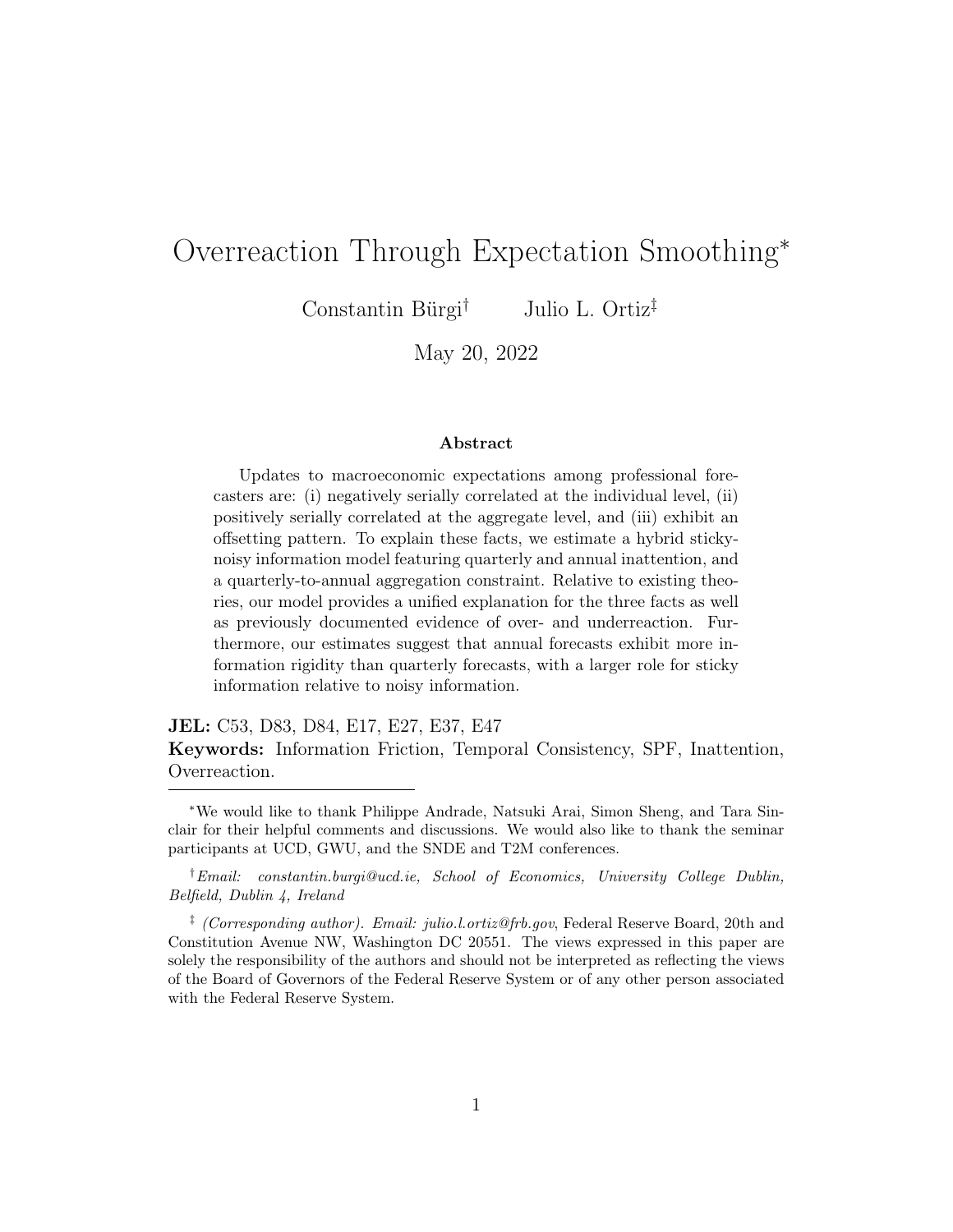| Panel A: Parameter Estimates                |               |             |                |
|---------------------------------------------|---------------|-------------|----------------|
|                                             | Parameter     | Estimate    | Standard error |
| Persistence of latent state                 | $\rho$        | 0.624       | 0.035          |
| State innovation dispersion                 | $\sigma_w$    | 1.359       | 0.256          |
| Public signal noise                         | $\sigma_e$    | 1.129       | 0.308          |
| Private signal noise                        | $\sigma_v$    | 0.720       | 0.345          |
| Probability of quarterly update             | q             | 1.000       | 0.121          |
| Probability of annual update                | $\mathcal{p}$ | 0.520       | 0.068          |
| Panel B: Moments                            |               |             |                |
|                                             | Model moment  | Data moment | t-statistic    |
| Standard deviation of nowcast               | 1.388         |             |                |
|                                             |               | 1.538       | $-2.213$       |
| Correlation of nowcast with annual forecast | 0.792         | 0.764       | $-1.040$       |
| Standard deviation of annual forecast       | 1.031         | 1.060       | $-0.555$       |
| Standard deviation of revision              | 1.152         | 1.225       | $-1.334$       |
| Correlation of revision with lagged error   | 0.155         | 0.218       | $-1.955$       |
| Standard deviation of lag error             | 1.461         | 1.518       | $-1.269$       |
| RMSE nowcast                                | 1.481         | 1.509       | $-0.641$       |

#### Table D12: Model Estimation Results (2000-2019)

<span id="page-59-0"></span> $=$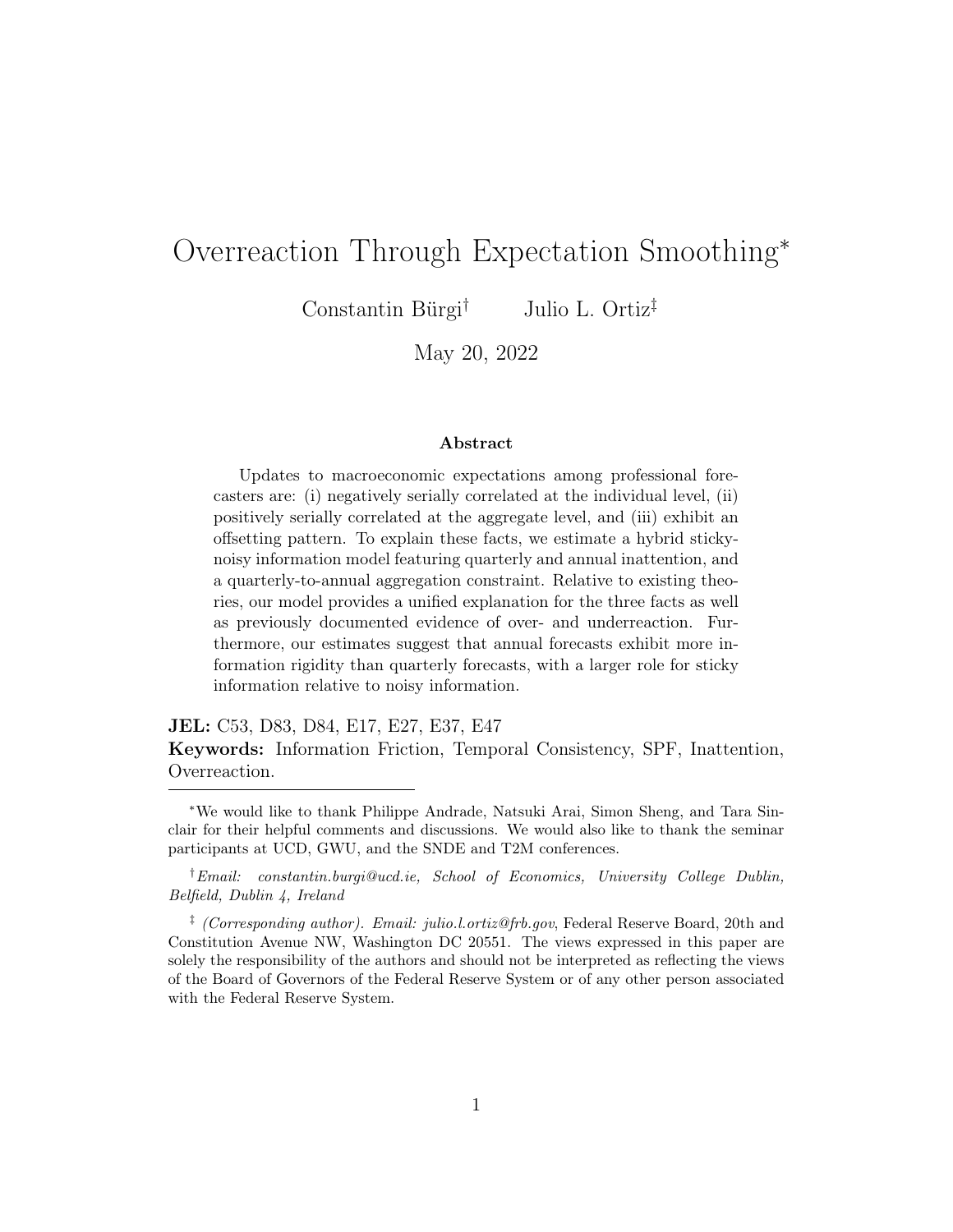### D.7 Alternative Data Generating Process

Whereas offsetting revisions can be an artifact of annual smoothing, these patterns could also arise under a more general data generating process. If so, then we might be erroneously attributing the empirical finding to annual smoothing. In this section, we provide results in support of our mechanism under richer dynamics.

We extend our model to feature an  $AR(2)$  process for real GDP growth. We select an  $AR(2)$  process for three reasons. First, we find that the  $AR(2)$  fits real GDP growth best in the sense that it delivers the lowest information criteria.<sup>[29](#page-60-0)</sup> Second, an AR(2) is highly feasible to estimate with the current SMM approach as it only adds one parameter to the model. Third, an AR(2) allows us to remain consistent with others in the literature who similarly examine richer data generating processes for their models [\(Bordalo et al.,](#page-34-0) [2020\)](#page-34-0).

The key modification relative to the baseline model detailed in the main text is that the underlying latent state now evolves as follows:

$$
s_t = (1 - \rho_1 - \rho_2)\mu + \rho_1 s_{t-1} + \rho_2 s_{t-2} + w_t, \quad w_t \sim N(0, \sigma_w^2)
$$

where  $\rho_1$  and  $\rho_2$  govern the persistence of the state. We impose the usual assumptions on these two parameters to ensure stationarity.

There are now seven parameters to be estimated. We estimate these parameters by targeting the same eight moments described in the main text. As a result, our estimator is still an overidentified SMM estimator. The results are reported in Table [D13.](#page-61-0)

All the parameters are precisely estimated and the model fits the empirical moments well. We estimate  $\rho_1 > 0$  and  $\rho_2 < 0$ , indicating that AR(2) dynamics can potentially account for some of the offsetting revisions in the data. With that said, we note that controlling for adjacent revisions, there is still evidence of offsetting revisions over longer horizons. While such patterns cannot arise with an AR(2) process, they can arise under annual smoothing and temporal

<span id="page-60-0"></span><sup>&</sup>lt;sup>29</sup>In this unreported exercise, we considered AR(2),  $AR(4)$ ,  $ARMA(1,1)$ ,  $ARMA(2,1)$  and  $ARMA(2,2)$  models.